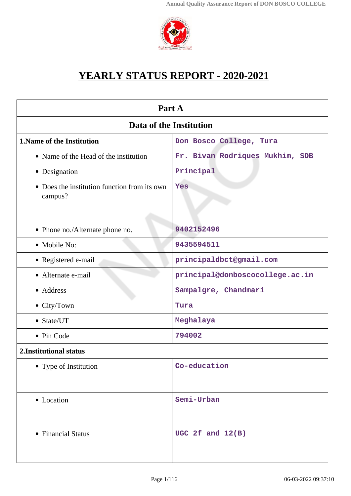

## **YEARLY STATUS REPORT - 2020-2021**

| Part A                                                  |                                 |  |  |  |
|---------------------------------------------------------|---------------------------------|--|--|--|
| Data of the Institution                                 |                                 |  |  |  |
| 1. Name of the Institution                              | Don Bosco College, Tura         |  |  |  |
| • Name of the Head of the institution                   | Fr. Bivan Rodriques Mukhim, SDB |  |  |  |
| • Designation                                           | Principal                       |  |  |  |
| • Does the institution function from its own<br>campus? | Yes                             |  |  |  |
| • Phone no./Alternate phone no.                         | 9402152496                      |  |  |  |
| • Mobile No:                                            | 9435594511                      |  |  |  |
| • Registered e-mail                                     | principaldbct@gmail.com         |  |  |  |
| • Alternate e-mail                                      | principal@donboscocollege.ac.in |  |  |  |
| • Address                                               | Sampalgre, Chandmari            |  |  |  |
| • City/Town                                             | Tura                            |  |  |  |
| • State/UT                                              | Meghalaya                       |  |  |  |
| • Pin Code                                              | 794002                          |  |  |  |
| 2. Institutional status                                 |                                 |  |  |  |
| • Type of Institution                                   | Co-education                    |  |  |  |
| • Location                                              | Semi-Urban                      |  |  |  |
| • Financial Status                                      | UGC 2f and $12(B)$              |  |  |  |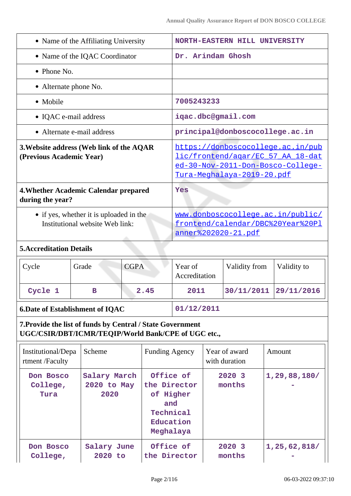| • Name of the Affiliating University                                       |                                                     |             |                                                                                                                                                  |                                 | <b>NORTH-EASTERN HILL UNIVERSITY</b> |                                |  |                 |
|----------------------------------------------------------------------------|-----------------------------------------------------|-------------|--------------------------------------------------------------------------------------------------------------------------------------------------|---------------------------------|--------------------------------------|--------------------------------|--|-----------------|
| • Name of the IQAC Coordinator                                             |                                                     |             |                                                                                                                                                  |                                 | Dr. Arindam Ghosh                    |                                |  |                 |
| • Phone No.                                                                |                                                     |             |                                                                                                                                                  |                                 |                                      |                                |  |                 |
| • Alternate phone No.                                                      |                                                     |             |                                                                                                                                                  |                                 |                                      |                                |  |                 |
| • Mobile                                                                   |                                                     |             |                                                                                                                                                  | 7005243233                      |                                      |                                |  |                 |
|                                                                            | • IQAC e-mail address                               |             |                                                                                                                                                  |                                 |                                      | igac.dbc@gmail.com             |  |                 |
|                                                                            | • Alternate e-mail address                          |             |                                                                                                                                                  | principal@donboscocollege.ac.in |                                      |                                |  |                 |
| 3. Website address (Web link of the AQAR<br>(Previous Academic Year)       |                                                     |             | https://donboscocollege.ac.in/pub<br>lic/frontend/agar/EC 57 AA 18-dat<br>ed-30-Nov-2011-Don-Bosco-College-<br><u>Tura-Meghalaya-2019-20.pdf</u> |                                 |                                      |                                |  |                 |
| 4. Whether Academic Calendar prepared<br>during the year?                  |                                                     |             |                                                                                                                                                  | Yes                             |                                      |                                |  |                 |
| • if yes, whether it is uploaded in the<br>Institutional website Web link: |                                                     |             | www.donboscocollege.ac.in/public/<br>frontend/calendar/DBC%20Year%20Pl<br>anner%202020-21.pdf                                                    |                                 |                                      |                                |  |                 |
| <b>5. Accreditation Details</b>                                            |                                                     |             |                                                                                                                                                  |                                 |                                      |                                |  |                 |
| Cycle                                                                      | Grade                                               | <b>CGPA</b> |                                                                                                                                                  | Year of<br>Accreditation        |                                      | Validity from                  |  | Validity to     |
| Cycle 1                                                                    | в                                                   | 2.45        |                                                                                                                                                  | 2011                            |                                      | 30/11/2011                     |  | 29/11/2016      |
| <b>6.Date of Establishment of IQAC</b>                                     |                                                     | 01/12/2011  |                                                                                                                                                  |                                 |                                      |                                |  |                 |
| 7. Provide the list of funds by Central / State Government                 | UGC/CSIR/DBT/ICMR/TEQIP/World Bank/CPE of UGC etc., |             |                                                                                                                                                  |                                 |                                      |                                |  |                 |
| Institutional/Depa<br>rtment /Faculty                                      | Scheme                                              |             | <b>Funding Agency</b>                                                                                                                            |                                 |                                      | Year of award<br>with duration |  | Amount          |
| Don Bosco<br>College,<br>Tura                                              | Salary March<br>2020 to May<br>2020                 |             | Office of<br>the Director<br>of Higher<br>and<br>Technical<br>Education<br>Meghalaya                                                             |                                 |                                      | 2020 3<br>months               |  | 1, 29, 88, 180/ |
| Don Bosco<br>College,                                                      | Salary June<br>2020 to                              |             | Office of<br>the Director                                                                                                                        |                                 |                                      | 2020 3<br>months               |  | 1, 25, 62, 818/ |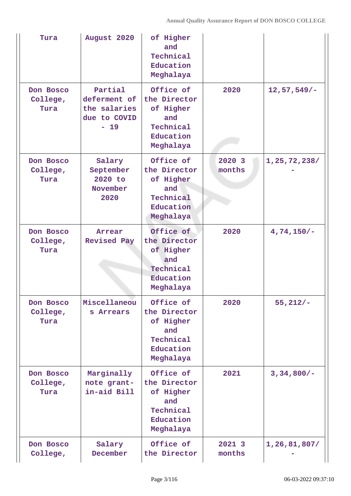| Tura                          | August 2020                                                      | of Higher<br>and<br>Technical<br>Education<br>Meghalaya                              |                  |                  |
|-------------------------------|------------------------------------------------------------------|--------------------------------------------------------------------------------------|------------------|------------------|
| Don Bosco<br>College,<br>Tura | Partial<br>deferment of<br>the salaries<br>due to COVID<br>$-19$ | Office of<br>the Director<br>of Higher<br>and<br>Technical<br>Education<br>Meghalaya | 2020             | $12, 57, 549/ -$ |
| Don Bosco<br>College,<br>Tura | Salary<br>September<br>2020 to<br>November<br>2020               | Office of<br>the Director<br>of Higher<br>and<br>Technical<br>Education<br>Meghalaya | 2020 3<br>months | 1,25,72,238/     |
| Don Bosco<br>College,<br>Tura | Arrear<br><b>Revised Pay</b>                                     | Office of<br>the Director<br>of Higher<br>and<br>Technical<br>Education<br>Meghalaya | 2020             | $4,74,150/-$     |
| Don Bosco<br>College,<br>Tura | Miscellaneou<br>s Arrears                                        | Office of<br>the Director<br>of Higher<br>and<br>Technical<br>Education<br>Meghalaya | 2020             | $55,212/-$       |
| Don Bosco<br>College,<br>Tura | Marginally<br>note grant-<br>in-aid Bill                         | Office of<br>the Director<br>of Higher<br>and<br>Technical<br>Education<br>Meghalaya | 2021             | $3,34,800/-$     |
| Don Bosco<br>College,         | Salary<br>December                                               | Office of<br>the Director                                                            | 2021 3<br>months | 1,26,81,807/     |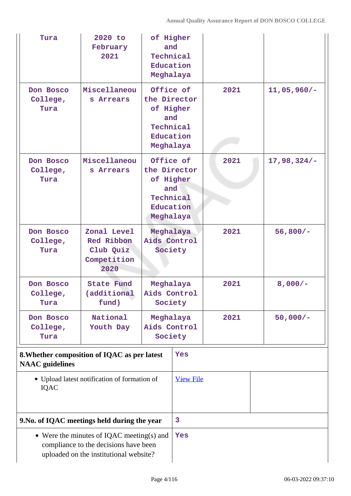| Tura                                                                   | 2020 to<br>February<br>2021                                                                                                          | of Higher<br>and<br>Technical<br>Education<br>Meghalaya                              |                  |      |               |
|------------------------------------------------------------------------|--------------------------------------------------------------------------------------------------------------------------------------|--------------------------------------------------------------------------------------|------------------|------|---------------|
| Don Bosco<br>College,<br>Tura                                          | Miscellaneou<br>s Arrears                                                                                                            | Office of<br>the Director<br>of Higher<br>and<br>Technical<br>Education<br>Meghalaya |                  | 2021 | $11,05,960/-$ |
| Don Bosco<br>College,<br>Tura                                          | Miscellaneou<br>s Arrears                                                                                                            | Office of<br>the Director<br>of Higher<br>and<br>Technical<br>Education<br>Meghalaya |                  | 2021 | $17,98,324/-$ |
| Don Bosco<br>College,<br>Tura                                          | Zonal Level<br><b>Red Ribbon</b><br>Club Quiz<br>Competition<br>2020                                                                 | Meghalaya<br>Aids Control                                                            | Society          | 2021 | $56,800/-$    |
| Don Bosco<br>College,<br>Tura                                          | <b>State Fund</b><br>(additional<br>fund)                                                                                            | Meghalaya<br>Aids Control<br>Society                                                 |                  | 2021 | $8,000/-$     |
| Don Bosco<br>College,<br>Tura                                          | National<br>Youth Day                                                                                                                | Meghalaya<br>Aids Control<br>Society                                                 |                  | 2021 | $50,000/-$    |
| 8. Whether composition of IQAC as per latest<br><b>NAAC</b> guidelines |                                                                                                                                      |                                                                                      | Yes              |      |               |
| <b>IQAC</b>                                                            | • Upload latest notification of formation of                                                                                         |                                                                                      | <b>View File</b> |      |               |
| 9. No. of IQAC meetings held during the year                           |                                                                                                                                      |                                                                                      | 3                |      |               |
|                                                                        | $\bullet$ Were the minutes of IQAC meeting(s) and<br>compliance to the decisions have been<br>uploaded on the institutional website? |                                                                                      | Yes              |      |               |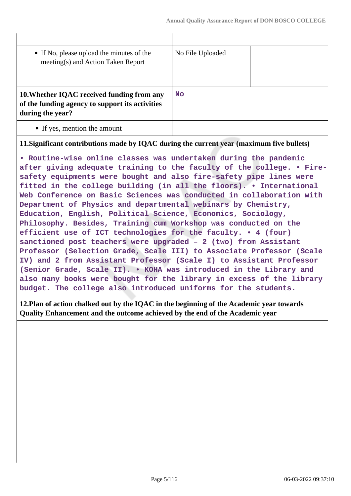| • If No, please upload the minutes of the<br>meeting(s) and Action Taken Report                                   | No File Uploaded |  |
|-------------------------------------------------------------------------------------------------------------------|------------------|--|
| 10. Whether IQAC received funding from any<br>of the funding agency to support its activities<br>during the year? | <b>No</b>        |  |
| • If yes, mention the amount                                                                                      |                  |  |

 $\mathbf{L}$ 

**11.Significant contributions made by IQAC during the current year (maximum five bullets)**

**• Routine-wise online classes was undertaken during the pandemic after giving adequate training to the faculty of the college. • Firesafety equipments were bought and also fire-safety pipe lines were fitted in the college building (in all the floors). • International Web Conference on Basic Sciences was conducted in collaboration with Department of Physics and departmental webinars by Chemistry, Education, English, Political Science, Economics, Sociology, Philosophy. Besides, Training cum Workshop was conducted on the efficient use of ICT technologies for the faculty. • 4 (four) sanctioned post teachers were upgraded – 2 (two) from Assistant Professor (Selection Grade, Scale III) to Associate Professor (Scale IV) and 2 from Assistant Professor (Scale I) to Assistant Professor (Senior Grade, Scale II). • KOHA was introduced in the Library and also many books were bought for the library in excess of the library budget. The college also introduced uniforms for the students.**

**12.Plan of action chalked out by the IQAC in the beginning of the Academic year towards Quality Enhancement and the outcome achieved by the end of the Academic year**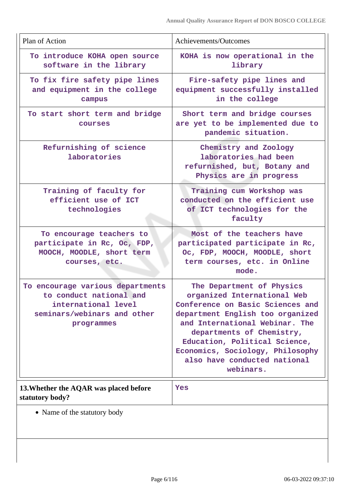| Plan of Action                                                                                                                  | Achievements/Outcomes                                                                                                                                                                                                                                                                                             |
|---------------------------------------------------------------------------------------------------------------------------------|-------------------------------------------------------------------------------------------------------------------------------------------------------------------------------------------------------------------------------------------------------------------------------------------------------------------|
| To introduce KOHA open source<br>software in the library                                                                        | KOHA is now operational in the<br>library                                                                                                                                                                                                                                                                         |
| To fix fire safety pipe lines<br>and equipment in the college<br>campus                                                         | Fire-safety pipe lines and<br>equipment successfully installed<br>in the college                                                                                                                                                                                                                                  |
| To start short term and bridge<br><b>COUTSES</b>                                                                                | Short term and bridge courses<br>are yet to be implemented due to<br>pandemic situation.                                                                                                                                                                                                                          |
| Refurnishing of science<br>laboratories                                                                                         | Chemistry and Zoology<br>laboratories had been<br>refurnished, but, Botany and<br>Physics are in progress                                                                                                                                                                                                         |
| Training of faculty for<br>efficient use of ICT<br>technologies                                                                 | Training cum Workshop was<br>conducted on the efficient use<br>of ICT technologies for the<br>faculty                                                                                                                                                                                                             |
| To encourage teachers to<br>participate in Rc, Oc, FDP,<br>MOOCH, MOODLE, short term<br>courses, etc.                           | Most of the teachers have<br>participated participate in Rc,<br>Oc, FDP, MOOCH, MOODLE, short<br>term courses, etc. in Online<br>mode.                                                                                                                                                                            |
| To encourage various departments<br>to conduct national and<br>international level<br>seminars/webinars and other<br>programmes | The Department of Physics<br>organized International Web<br>Conference on Basic Sciences and<br>department English too organized<br>and International Webinar. The<br>departments of Chemistry,<br>Education, Political Science,<br>Economics, Sociology, Philosophy<br>also have conducted national<br>webinars. |
| 13. Whether the AQAR was placed before<br>statutory body?                                                                       | Yes                                                                                                                                                                                                                                                                                                               |
| • Name of the statutory body                                                                                                    |                                                                                                                                                                                                                                                                                                                   |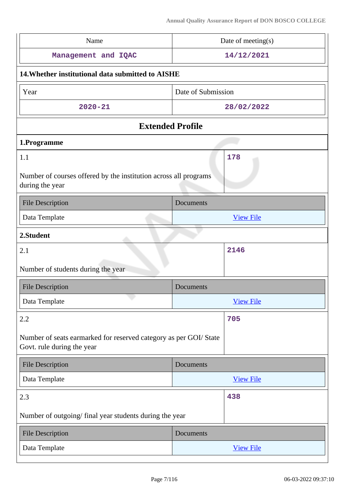| Name                                                                                           | Date of meeting(s) |
|------------------------------------------------------------------------------------------------|--------------------|
| Management and IQAC                                                                            | 14/12/2021         |
| 14. Whether institutional data submitted to AISHE                                              |                    |
| Year                                                                                           | Date of Submission |
| $2020 - 21$                                                                                    | 28/02/2022         |
| <b>Extended Profile</b>                                                                        |                    |
| 1.Programme                                                                                    |                    |
| 1.1<br>Number of courses offered by the institution across all programs<br>during the year     | 178                |
| <b>File Description</b>                                                                        | Documents          |
| Data Template                                                                                  | <b>View File</b>   |
| 2.Student                                                                                      |                    |
| 2.1                                                                                            | 2146               |
| Number of students during the year                                                             |                    |
| <b>File Description</b>                                                                        | Documents          |
| Data Template                                                                                  | <b>View File</b>   |
| 2.2                                                                                            | 705                |
| Number of seats earmarked for reserved category as per GOI/State<br>Govt. rule during the year |                    |
| <b>File Description</b>                                                                        | Documents          |
| Data Template                                                                                  | <b>View File</b>   |
| 2.3                                                                                            | 438                |
| Number of outgoing/ final year students during the year                                        |                    |
| <b>File Description</b>                                                                        | Documents          |
|                                                                                                |                    |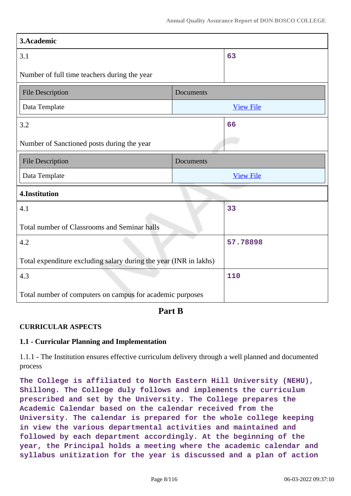| 3.Academic                                                        |           |                  |  |  |
|-------------------------------------------------------------------|-----------|------------------|--|--|
| 3.1                                                               |           | 63               |  |  |
| Number of full time teachers during the year                      |           |                  |  |  |
| <b>File Description</b>                                           | Documents |                  |  |  |
| Data Template                                                     |           | <b>View File</b> |  |  |
| 3.2                                                               |           | 66               |  |  |
| Number of Sanctioned posts during the year                        |           |                  |  |  |
| <b>File Description</b>                                           | Documents |                  |  |  |
| Data Template                                                     |           | <b>View File</b> |  |  |
| 4.Institution                                                     |           |                  |  |  |
| 4.1                                                               |           | 33               |  |  |
| Total number of Classrooms and Seminar halls                      |           |                  |  |  |
| 4.2                                                               |           | 57.78898         |  |  |
| Total expenditure excluding salary during the year (INR in lakhs) |           |                  |  |  |
| 4.3                                                               |           | 110              |  |  |
| Total number of computers on campus for academic purposes         |           |                  |  |  |

**Part B**

### **CURRICULAR ASPECTS**

### **1.1 - Curricular Planning and Implementation**

1.1.1 - The Institution ensures effective curriculum delivery through a well planned and documented process

**The College is affiliated to North Eastern Hill University (NEHU), Shillong. The College duly follows and implements the curriculum prescribed and set by the University. The College prepares the Academic Calendar based on the calendar received from the University. The calendar is prepared for the whole college keeping in view the various departmental activities and maintained and followed by each department accordingly. At the beginning of the year, the Principal holds a meeting where the academic calendar and syllabus unitization for the year is discussed and a plan of action**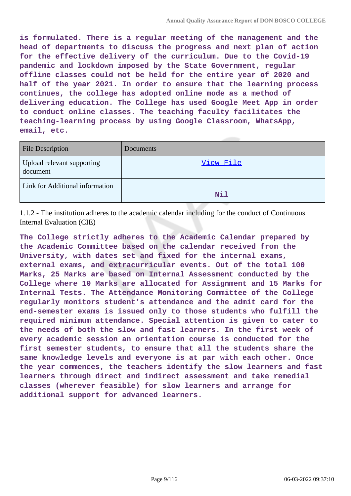**is formulated. There is a regular meeting of the management and the head of departments to discuss the progress and next plan of action for the effective delivery of the curriculum. Due to the Covid-19 pandemic and lockdown imposed by the State Government, regular offline classes could not be held for the entire year of 2020 and half of the year 2021. In order to ensure that the learning process continues, the college has adopted online mode as a method of delivering education. The College has used Google Meet App in order to conduct online classes. The teaching faculty facilitates the teaching-learning process by using Google Classroom, WhatsApp, email, etc.**

| <b>File Description</b>                       | Documents |
|-----------------------------------------------|-----------|
| <b>Upload relevant supporting</b><br>document | View File |
| Link for Additional information               | Nil       |

1.1.2 - The institution adheres to the academic calendar including for the conduct of Continuous Internal Evaluation (CIE)

**The College strictly adheres to the Academic Calendar prepared by the Academic Committee based on the calendar received from the University, with dates set and fixed for the internal exams, external exams, and extracurricular events. Out of the total 100 Marks, 25 Marks are based on Internal Assessment conducted by the College where 10 Marks are allocated for Assignment and 15 Marks for Internal Tests. The Attendance Monitoring Committee of the College regularly monitors student's attendance and the admit card for the end-semester exams is issued only to those students who fulfill the required minimum attendance. Special attention is given to cater to the needs of both the slow and fast learners. In the first week of every academic session an orientation course is conducted for the first semester students, to ensure that all the students share the same knowledge levels and everyone is at par with each other. Once the year commences, the teachers identify the slow learners and fast learners through direct and indirect assessment and take remedial classes (wherever feasible) for slow learners and arrange for additional support for advanced learners.**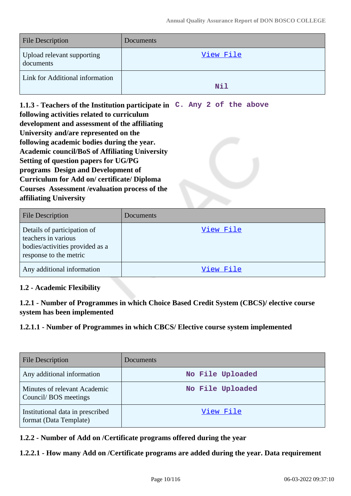| <b>File Description</b>                 | Documents |
|-----------------------------------------|-----------|
| Upload relevant supporting<br>documents | View File |
| Link for Additional information         | Nil       |

**1.1.3 - Teachers of the Institution participate in C. Any 2 of the above following activities related to curriculum development and assessment of the affiliating University and/are represented on the following academic bodies during the year. Academic council/BoS of Affiliating University Setting of question papers for UG/PG programs Design and Development of Curriculum for Add on/ certificate/ Diploma Courses Assessment /evaluation process of the affiliating University**

| <b>File Description</b>                                                                                         | <b>Documents</b> |
|-----------------------------------------------------------------------------------------------------------------|------------------|
| Details of participation of<br>teachers in various<br>bodies/activities provided as a<br>response to the metric | View File        |
| Any additional information                                                                                      | View File        |

### **1.2 - Academic Flexibility**

**1.2.1 - Number of Programmes in which Choice Based Credit System (CBCS)/ elective course system has been implemented**

### **1.2.1.1 - Number of Programmes in which CBCS/ Elective course system implemented**

| <b>File Description</b>                                    | <b>Documents</b> |
|------------------------------------------------------------|------------------|
| Any additional information                                 | No File Uploaded |
| Minutes of relevant Academic<br>Council/BOS meetings       | No File Uploaded |
| Institutional data in prescribed<br>format (Data Template) | View File        |

### **1.2.2 - Number of Add on /Certificate programs offered during the year**

### **1.2.2.1 - How many Add on /Certificate programs are added during the year. Data requirement**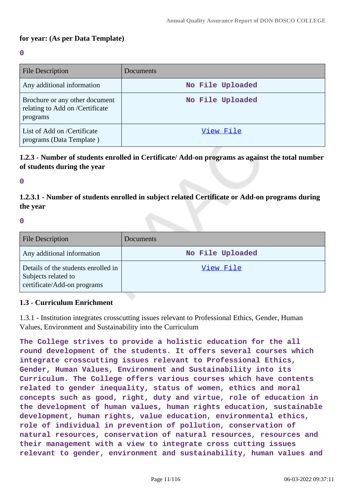### **for year: (As per Data Template)**

#### **0**

| <b>File Description</b>                                                       | Documents        |
|-------------------------------------------------------------------------------|------------------|
| Any additional information                                                    | No File Uploaded |
| Brochure or any other document<br>relating to Add on /Certificate<br>programs | No File Uploaded |
| List of Add on /Certificate<br>programs (Data Template)                       | View File        |

### **1.2.3 - Number of students enrolled in Certificate/ Add-on programs as against the total number of students during the year**

**0**

**1.2.3.1 - Number of students enrolled in subject related Certificate or Add-on programs during the year**

#### **0**

| <b>File Description</b>                                                                   | Documents        |
|-------------------------------------------------------------------------------------------|------------------|
| Any additional information                                                                | No File Uploaded |
| Details of the students enrolled in<br>Subjects related to<br>certificate/Add-on programs | View File        |

### **1.3 - Curriculum Enrichment**

1.3.1 - Institution integrates crosscutting issues relevant to Professional Ethics, Gender, Human Values, Environment and Sustainability into the Curriculum

**The College strives to provide a holistic education for the all round development of the students. It offers several courses which integrate crosscutting issues relevant to Professional Ethics, Gender, Human Values, Environment and Sustainability into its Curriculum. The College offers various courses which have contents related to gender inequality, status of women, ethics and moral concepts such as good, right, duty and virtue, role of education in the development of human values, human rights education, sustainable development, human rights, value education, environmental ethics, role of individual in prevention of pollution, conservation of natural resources, conservation of natural resources, resources and their management with a view to integrate cross cutting issues relevant to gender, environment and sustainability, human values and**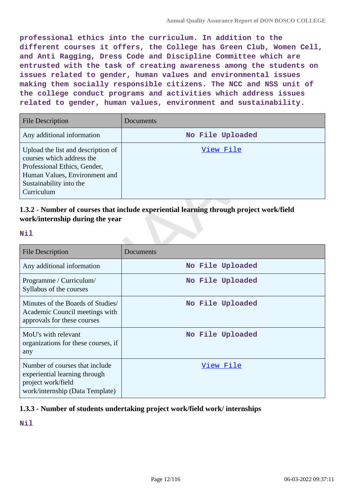**professional ethics into the curriculum. In addition to the different courses it offers, the College has Green Club, Women Cell, and Anti Ragging, Dress Code and Discipline Committee which are entrusted with the task of creating awareness among the students on issues related to gender, human values and environmental issues making them socially responsible citizens. The NCC and NSS unit of the college conduct programs and activities which address issues related to gender, human values, environment and sustainability.**

| <b>File Description</b>                                                                                                                                                   | Documents        |
|---------------------------------------------------------------------------------------------------------------------------------------------------------------------------|------------------|
| Any additional information                                                                                                                                                | No File Uploaded |
| Upload the list and description of<br>courses which address the<br>Professional Ethics, Gender,<br>Human Values, Environment and<br>Sustainability into the<br>Curriculum | View File        |

### **1.3.2 - Number of courses that include experiential learning through project work/field work/internship during the year**

**Nil**

| <b>File Description</b>                                                                                                  | Documents        |
|--------------------------------------------------------------------------------------------------------------------------|------------------|
| Any additional information                                                                                               | No File Uploaded |
| Programme / Curriculum/<br>Syllabus of the courses                                                                       | No File Uploaded |
| Minutes of the Boards of Studies<br>Academic Council meetings with<br>approvals for these courses                        | No File Uploaded |
| MoU's with relevant<br>organizations for these courses, if<br>any                                                        | No File Uploaded |
| Number of courses that include<br>experiential learning through<br>project work/field<br>work/internship (Data Template) | View File        |

### **1.3.3 - Number of students undertaking project work/field work/ internships**

**Nil**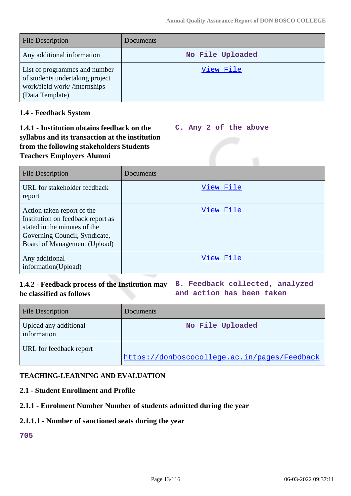| <b>File Description</b>                                                                                             | Documents        |
|---------------------------------------------------------------------------------------------------------------------|------------------|
| Any additional information                                                                                          | No File Uploaded |
| List of programmes and number<br>of students undertaking project<br>work/field work//internships<br>(Data Template) | View File        |

### **1.4 - Feedback System**

#### **1.4.1 - Institution obtains feedback on the syllabus and its transaction at the institution from the following stakeholders Students Teachers Employers Alumni C. Any 2 of the above**

| <b>File Description</b>                                                                                                                                          | Documents |
|------------------------------------------------------------------------------------------------------------------------------------------------------------------|-----------|
| URL for stakeholder feedback<br>report                                                                                                                           | View File |
| Action taken report of the<br>Institution on feedback report as<br>stated in the minutes of the<br>Governing Council, Syndicate,<br>Board of Management (Upload) | View File |
| Any additional<br>information(Upload)                                                                                                                            | View File |

# **be classified as follows**

**1.4.2 - Feedback process of the Institution may B. Feedback collected, analyzed and action has been taken**

| <b>File Description</b>              | Documents                                    |
|--------------------------------------|----------------------------------------------|
| Upload any additional<br>information | No File Uploaded                             |
| URL for feedback report              | https://donboscocollege.ac.in/pages/Feedback |

### **TEACHING-LEARNING AND EVALUATION**

### **2.1 - Student Enrollment and Profile**

### **2.1.1 - Enrolment Number Number of students admitted during the year**

#### **2.1.1.1 - Number of sanctioned seats during the year**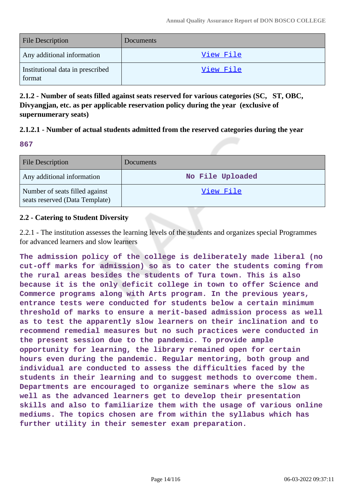| <b>File Description</b>                    | Documents        |
|--------------------------------------------|------------------|
| Any additional information                 | <u>View File</u> |
| Institutional data in prescribed<br>format | View File        |

**2.1.2 - Number of seats filled against seats reserved for various categories (SC, ST, OBC, Divyangjan, etc. as per applicable reservation policy during the year (exclusive of supernumerary seats)**

### **2.1.2.1 - Number of actual students admitted from the reserved categories during the year**

|             | an a   |  |
|-------------|--------|--|
| ×<br>$\sim$ | $\sim$ |  |
|             |        |  |

| <b>File Description</b>                                          | <b>Documents</b> |
|------------------------------------------------------------------|------------------|
| Any additional information                                       | No File Uploaded |
| Number of seats filled against<br>seats reserved (Data Template) | View File        |

### **2.2 - Catering to Student Diversity**

2.2.1 - The institution assesses the learning levels of the students and organizes special Programmes for advanced learners and slow learners

**The admission policy of the college is deliberately made liberal (no cut-off marks for admission) so as to cater the students coming from the rural areas besides the students of Tura town. This is also because it is the only deficit college in town to offer Science and Commerce programs along with Arts program. In the previous years, entrance tests were conducted for students below a certain minimum threshold of marks to ensure a merit-based admission process as well as to test the apparently slow learners on their inclination and to recommend remedial measures but no such practices were conducted in the present session due to the pandemic. To provide ample opportunity for learning, the library remained open for certain hours even during the pandemic. Regular mentoring, both group and individual are conducted to assess the difficulties faced by the students in their learning and to suggest methods to overcome them. Departments are encouraged to organize seminars where the slow as well as the advanced learners get to develop their presentation skills and also to familiarize them with the usage of various online mediums. The topics chosen are from within the syllabus which has further utility in their semester exam preparation.**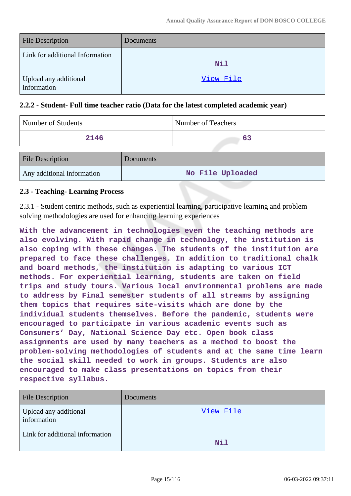| <b>File Description</b>              | Documents |
|--------------------------------------|-----------|
| Link for additional Information      | Nil       |
| Upload any additional<br>information | View File |

### **2.2.2 - Student- Full time teacher ratio (Data for the latest completed academic year)**

| Number of Students         |           | Number of Teachers |
|----------------------------|-----------|--------------------|
| 2146                       |           | 63                 |
| <b>File Description</b>    | Documents |                    |
| Any additional information |           | No File Uploaded   |

### **2.3 - Teaching- Learning Process**

2.3.1 - Student centric methods, such as experiential learning, participative learning and problem solving methodologies are used for enhancing learning experiences

**With the advancement in technologies even the teaching methods are also evolving. With rapid change in technology, the institution is also coping with these changes. The students of the institution are prepared to face these challenges. In addition to traditional chalk and board methods, the institution is adapting to various ICT methods. For experiential learning, students are taken on field trips and study tours. Various local environmental problems are made to address by Final semester students of all streams by assigning them topics that requires site-visits which are done by the individual students themselves. Before the pandemic, students were encouraged to participate in various academic events such as Consumers' Day, National Science Day etc. Open book class assignments are used by many teachers as a method to boost the problem-solving methodologies of students and at the same time learn the social skill needed to work in groups. Students are also encouraged to make class presentations on topics from their respective syllabus.**

| <b>File Description</b>              | Documents  |
|--------------------------------------|------------|
| Upload any additional<br>information | View File  |
| Link for additional information      | <b>Nil</b> |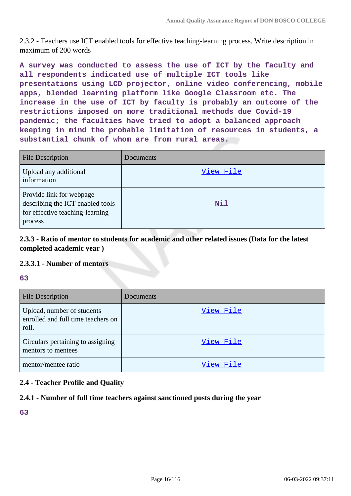2.3.2 - Teachers use ICT enabled tools for effective teaching-learning process. Write description in maximum of 200 words

**A survey was conducted to assess the use of ICT by the faculty and all respondents indicated use of multiple ICT tools like presentations using LCD projector, online video conferencing, mobile apps, blended learning platform like Google Classroom etc. The increase in the use of ICT by faculty is probably an outcome of the restrictions imposed on more traditional methods due Covid-19 pandemic; the faculties have tried to adopt a balanced approach keeping in mind the probable limitation of resources in students, a substantial chunk of whom are from rural areas.**

| <b>File Description</b>                                                                                    | Documents |
|------------------------------------------------------------------------------------------------------------|-----------|
| Upload any additional<br>information                                                                       | View File |
| Provide link for webpage<br>describing the ICT enabled tools<br>for effective teaching-learning<br>process | Nil       |

**2.3.3 - Ratio of mentor to students for academic and other related issues (Data for the latest completed academic year )**

### **2.3.3.1 - Number of mentors**

#### **63**

| <b>File Description</b>                                                   | Documents |
|---------------------------------------------------------------------------|-----------|
| Upload, number of students<br>enrolled and full time teachers on<br>roll. | View File |
| Circulars pertaining to assigning<br>mentors to mentees                   | View File |
| mentor/mentee ratio                                                       | View File |

### **2.4 - Teacher Profile and Quality**

### **2.4.1 - Number of full time teachers against sanctioned posts during the year**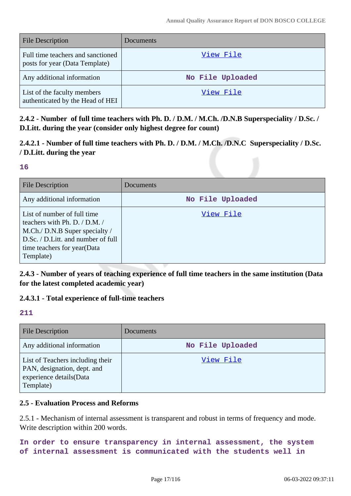| <b>File Description</b>                                             | Documents        |
|---------------------------------------------------------------------|------------------|
| Full time teachers and sanctioned<br>posts for year (Data Template) | View File        |
| Any additional information                                          | No File Uploaded |
| List of the faculty members<br>authenticated by the Head of HEI     | View File        |

**2.4.2 - Number of full time teachers with Ph. D. / D.M. / M.Ch. /D.N.B Superspeciality / D.Sc. / D.Litt. during the year (consider only highest degree for count)**

**2.4.2.1 - Number of full time teachers with Ph. D. / D.M. / M.Ch. /D.N.C Superspeciality / D.Sc. / D.Litt. during the year**

#### **16**

| <b>File Description</b>                                                                                                                                                          | <b>Documents</b> |
|----------------------------------------------------------------------------------------------------------------------------------------------------------------------------------|------------------|
| Any additional information                                                                                                                                                       | No File Uploaded |
| List of number of full time<br>teachers with Ph. D. / D.M. /<br>M.Ch./ D.N.B Super specialty /<br>D.Sc. / D.Litt. and number of full<br>time teachers for year(Data<br>Template) | View File        |

**2.4.3 - Number of years of teaching experience of full time teachers in the same institution (Data for the latest completed academic year)**

### **2.4.3.1 - Total experience of full-time teachers**

#### **211**

| <b>File Description</b>                                                                                 | Documents        |
|---------------------------------------------------------------------------------------------------------|------------------|
| Any additional information                                                                              | No File Uploaded |
| List of Teachers including their<br>PAN, designation, dept. and<br>experience details(Data<br>Template) | View File        |

### **2.5 - Evaluation Process and Reforms**

2.5.1 - Mechanism of internal assessment is transparent and robust in terms of frequency and mode. Write description within 200 words.

**In order to ensure transparency in internal assessment, the system of internal assessment is communicated with the students well in**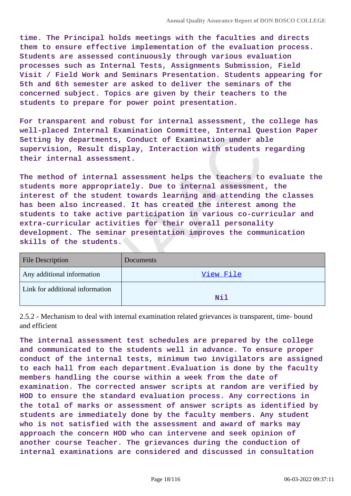**time. The Principal holds meetings with the faculties and directs them to ensure effective implementation of the evaluation process. Students are assessed continuously through various evaluation processes such as Internal Tests, Assignments Submission, Field Visit / Field Work and Seminars Presentation. Students appearing for 5th and 6th semester are asked to deliver the seminars of the concerned subject. Topics are given by their teachers to the students to prepare for power point presentation.**

**For transparent and robust for internal assessment, the college has well-placed Internal Examination Committee, Internal Question Paper Setting by departments, Conduct of Examination under able supervision, Result display, Interaction with students regarding their internal assessment.**

**The method of internal assessment helps the teachers to evaluate the students more appropriately. Due to internal assessment, the interest of the student towards learning and attending the classes has been also increased. It has created the interest among the students to take active participation in various co-curricular and extra-curricular activities for their overall personality development. The seminar presentation improves the communication skills of the students.**

| <b>File Description</b>         | Documents |
|---------------------------------|-----------|
| Any additional information      | View File |
| Link for additional information | Nil       |

2.5.2 - Mechanism to deal with internal examination related grievances is transparent, time- bound and efficient

**The internal assessment test schedules are prepared by the college and communicated to the students well in advance. To ensure proper conduct of the internal tests, minimum two invigilators are assigned to each hall from each department.Evaluation is done by the faculty members handling the course within a week from the date of examination. The corrected answer scripts at random are verified by HOD to ensure the standard evaluation process. Any corrections in the total of marks or assessment of answer scripts as identified by students are immediately done by the faculty members. Any student who is not satisfied with the assessment and award of marks may approach the concern HOD who can intervene and seek opinion of another course Teacher. The grievances during the conduction of internal examinations are considered and discussed in consultation**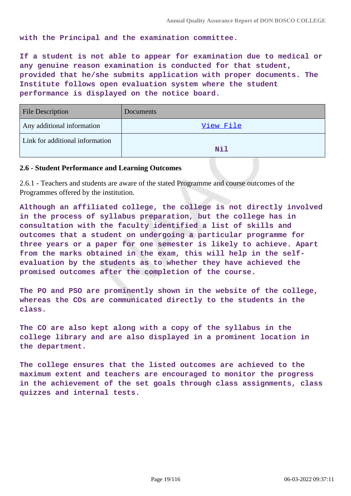**with the Principal and the examination committee.**

**If a student is not able to appear for examination due to medical or any genuine reason examination is conducted for that student, provided that he/she submits application with proper documents. The Institute follows open evaluation system where the student performance is displayed on the notice board.**

| <b>File Description</b>         | <b>Documents</b> |
|---------------------------------|------------------|
| Any additional information      | View File        |
| Link for additional information | Nil              |

#### **2.6 - Student Performance and Learning Outcomes**

2.6.1 - Teachers and students are aware of the stated Programme and course outcomes of the Programmes offered by the institution.

**Although an affiliated college, the college is not directly involved in the process of syllabus preparation, but the college has in consultation with the faculty identified a list of skills and outcomes that a student on undergoing a particular programme for three years or a paper for one semester is likely to achieve. Apart from the marks obtained in the exam, this will help in the selfevaluation by the students as to whether they have achieved the promised outcomes after the completion of the course.**

**The PO and PSO are prominently shown in the website of the college, whereas the COs are communicated directly to the students in the class.**

**The CO are also kept along with a copy of the syllabus in the college library and are also displayed in a prominent location in the department.**

**The college ensures that the listed outcomes are achieved to the maximum extent and teachers are encouraged to monitor the progress in the achievement of the set goals through class assignments, class quizzes and internal tests.**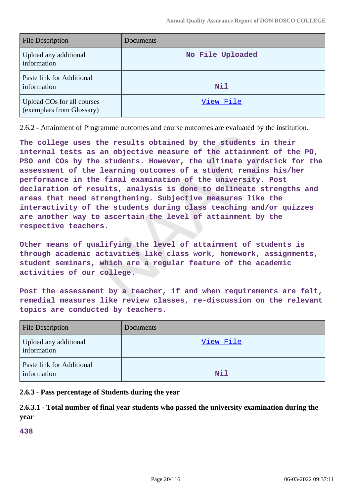| <b>File Description</b>                                 | Documents        |
|---------------------------------------------------------|------------------|
| Upload any additional<br>information                    | No File Uploaded |
| Paste link for Additional<br>information                | Nil              |
| Upload COs for all courses<br>(exemplars from Glossary) | View File        |

2.6.2 - Attainment of Programme outcomes and course outcomes are evaluated by the institution.

**The college uses the results obtained by the students in their internal tests as an objective measure of the attainment of the PO, PSO and COs by the students. However, the ultimate yardstick for the assessment of the learning outcomes of a student remains his/her performance in the final examination of the university. Post declaration of results, analysis is done to delineate strengths and areas that need strengthening. Subjective measures like the interactivity of the students during class teaching and/or quizzes are another way to ascertain the level of attainment by the respective teachers.**

**Other means of qualifying the level of attainment of students is through academic activities like class work, homework, assignments, student seminars, which are a regular feature of the academic activities of our college.**

**Post the assessment by a teacher, if and when requirements are felt, remedial measures like review classes, re-discussion on the relevant topics are conducted by teachers.**

| <b>File Description</b>                  | Documents |
|------------------------------------------|-----------|
| Upload any additional<br>information     | View File |
| Paste link for Additional<br>information | Nil       |

#### **2.6.3 - Pass percentage of Students during the year**

### **2.6.3.1 - Total number of final year students who passed the university examination during the year**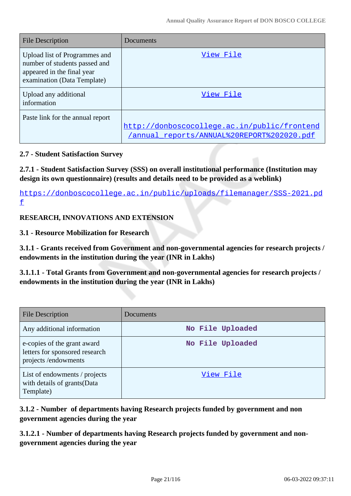| File Description                                                                                                            | Documents                                                                                  |
|-----------------------------------------------------------------------------------------------------------------------------|--------------------------------------------------------------------------------------------|
| Upload list of Programmes and<br>number of students passed and<br>appeared in the final year<br>examination (Data Template) | View File                                                                                  |
| Upload any additional<br>information                                                                                        | View File                                                                                  |
| Paste link for the annual report                                                                                            | http://donboscocollege.ac.in/public/frontend<br>/annual reports/ANNUAL%20REPORT%202020.pdf |

### **2.7 - Student Satisfaction Survey**

**2.7.1 - Student Satisfaction Survey (SSS) on overall institutional performance (Institution may design its own questionnaire) (results and details need to be provided as a weblink)**

https://donboscocollege.ac.in/public/uploads/filemanager/SSS-2021.pd f

### **RESEARCH, INNOVATIONS AND EXTENSION**

### **3.1 - Resource Mobilization for Research**

**3.1.1 - Grants received from Government and non-governmental agencies for research projects / endowments in the institution during the year (INR in Lakhs)**

**3.1.1.1 - Total Grants from Government and non-governmental agencies for research projects / endowments in the institution during the year (INR in Lakhs)**

| <b>File Description</b>                                                              | Documents        |
|--------------------------------------------------------------------------------------|------------------|
| Any additional information                                                           | No File Uploaded |
| e-copies of the grant award<br>letters for sponsored research<br>projects/endowments | No File Uploaded |
| List of endowments / projects<br>with details of grants(Data<br>Template)            | View File        |

**3.1.2 - Number of departments having Research projects funded by government and non government agencies during the year**

**3.1.2.1 - Number of departments having Research projects funded by government and nongovernment agencies during the year**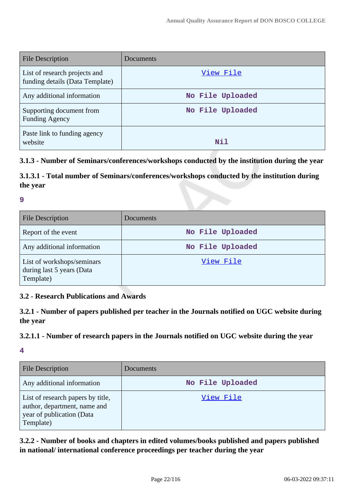| File Description                                                 | Documents        |
|------------------------------------------------------------------|------------------|
| List of research projects and<br>funding details (Data Template) | View File        |
| Any additional information                                       | No File Uploaded |
| Supporting document from<br><b>Funding Agency</b>                | No File Uploaded |
| Paste link to funding agency<br>website                          | Nil              |

### **3.1.3 - Number of Seminars/conferences/workshops conducted by the institution during the year**

### **3.1.3.1 - Total number of Seminars/conferences/workshops conducted by the institution during the year**

#### **9**

| <b>File Description</b>                                              | Documents        |
|----------------------------------------------------------------------|------------------|
| Report of the event                                                  | No File Uploaded |
| Any additional information                                           | No File Uploaded |
| List of workshops/seminars<br>during last 5 years (Data<br>Template) | View File        |

### **3.2 - Research Publications and Awards**

### **3.2.1 - Number of papers published per teacher in the Journals notified on UGC website during the year**

### **3.2.1.1 - Number of research papers in the Journals notified on UGC website during the year**

#### **4**

| <b>File Description</b>                                                                                     | Documents        |
|-------------------------------------------------------------------------------------------------------------|------------------|
| Any additional information                                                                                  | No File Uploaded |
| List of research papers by title,<br>author, department, name and<br>year of publication (Data<br>Template) | View File        |

**3.2.2 - Number of books and chapters in edited volumes/books published and papers published in national/ international conference proceedings per teacher during the year**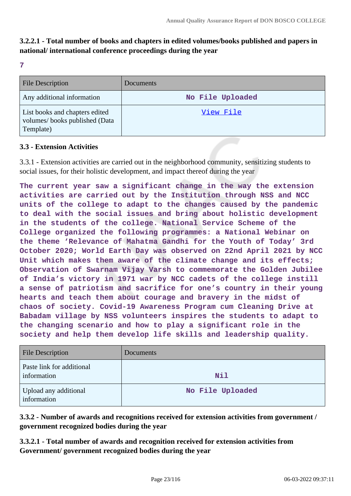### **3.2.2.1 - Total number of books and chapters in edited volumes/books published and papers in national/ international conference proceedings during the year**

**7**

| <b>File Description</b>                                                      | Documents        |
|------------------------------------------------------------------------------|------------------|
| Any additional information                                                   | No File Uploaded |
| List books and chapters edited<br>volumes/books published (Data<br>Template) | View File        |

### **3.3 - Extension Activities**

3.3.1 - Extension activities are carried out in the neighborhood community, sensitizing students to social issues, for their holistic development, and impact thereof during the year

**The current year saw a significant change in the way the extension activities are carried out by the Institution through NSS and NCC units of the college to adapt to the changes caused by the pandemic to deal with the social issues and bring about holistic development in the students of the college. National Service Scheme of the College organized the following programmes: a National Webinar on the theme 'Relevance of Mahatma Gandhi for the Youth of Today' 3rd October 2020; World Earth Day was observed on 22nd April 2021 by NCC Unit which makes them aware of the climate change and its effects; Observation of Swarnam Vijay Varsh to commemorate the Golden Jubilee of India's victory in 1971 war by NCC cadets of the college instill a sense of patriotism and sacrifice for one's country in their young hearts and teach them about courage and bravery in the midst of chaos of society. Covid-19 Awareness Program cum Cleaning Drive at Babadam village by NSS volunteers inspires the students to adapt to the changing scenario and how to play a significant role in the society and help them develop life skills and leadership quality.**

| <b>File Description</b>                  | Documents        |
|------------------------------------------|------------------|
| Paste link for additional<br>information | <b>Nil</b>       |
| Upload any additional<br>information     | No File Uploaded |

**3.3.2 - Number of awards and recognitions received for extension activities from government / government recognized bodies during the year**

**3.3.2.1 - Total number of awards and recognition received for extension activities from Government/ government recognized bodies during the year**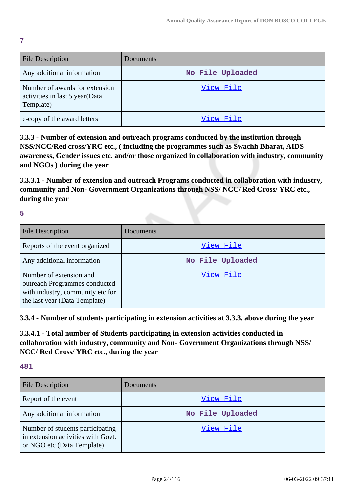| <b>File Description</b>                                                       | Documents        |
|-------------------------------------------------------------------------------|------------------|
| Any additional information                                                    | No File Uploaded |
| Number of awards for extension<br>activities in last 5 year(Data<br>Template) | View File        |
| e-copy of the award letters                                                   | View File        |

**3.3.3 - Number of extension and outreach programs conducted by the institution through NSS/NCC/Red cross/YRC etc., ( including the programmes such as Swachh Bharat, AIDS awareness, Gender issues etc. and/or those organized in collaboration with industry, community and NGOs ) during the year**

**3.3.3.1 - Number of extension and outreach Programs conducted in collaboration with industry, community and Non- Government Organizations through NSS/ NCC/ Red Cross/ YRC etc., during the year**

**5**

**7**

| <b>File Description</b>                                                                                                       | Documents        |
|-------------------------------------------------------------------------------------------------------------------------------|------------------|
| Reports of the event organized                                                                                                | View File        |
| Any additional information                                                                                                    | No File Uploaded |
| Number of extension and<br>outreach Programmes conducted<br>with industry, community etc for<br>the last year (Data Template) | View File        |

**3.3.4 - Number of students participating in extension activities at 3.3.3. above during the year**

**3.3.4.1 - Total number of Students participating in extension activities conducted in collaboration with industry, community and Non- Government Organizations through NSS/ NCC/ Red Cross/ YRC etc., during the year**

| <b>File Description</b>                                                                              | <b>Documents</b> |
|------------------------------------------------------------------------------------------------------|------------------|
| Report of the event                                                                                  | View File        |
| Any additional information                                                                           | No File Uploaded |
| Number of students participating<br>in extension activities with Govt.<br>or NGO etc (Data Template) | View File        |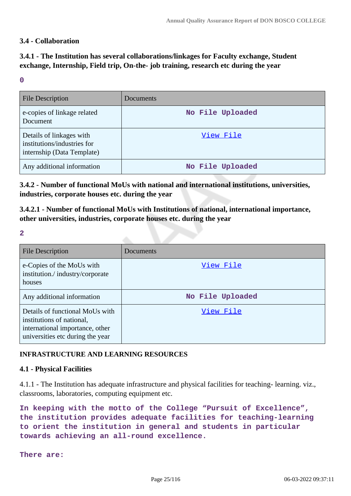### **3.4 - Collaboration**

### **3.4.1 - The Institution has several collaborations/linkages for Faculty exchange, Student exchange, Internship, Field trip, On-the- job training, research etc during the year**

#### **0**

| <b>File Description</b>                                                               | <b>Documents</b> |
|---------------------------------------------------------------------------------------|------------------|
| e-copies of linkage related<br>Document                                               | No File Uploaded |
| Details of linkages with<br>institutions/industries for<br>internship (Data Template) | View File        |
| Any additional information                                                            | No File Uploaded |

**3.4.2 - Number of functional MoUs with national and international institutions, universities, industries, corporate houses etc. during the year**

**3.4.2.1 - Number of functional MoUs with Institutions of national, international importance, other universities, industries, corporate houses etc. during the year**

**2**

| File Description                                                                                                                    | Documents        |
|-------------------------------------------------------------------------------------------------------------------------------------|------------------|
| e-Copies of the MoUs with<br>institution./industry/corporate<br>houses                                                              | View File        |
| Any additional information                                                                                                          | No File Uploaded |
| Details of functional MoUs with<br>institutions of national,<br>international importance, other<br>universities etc during the year | View File        |

### **INFRASTRUCTURE AND LEARNING RESOURCES**

#### **4.1 - Physical Facilities**

4.1.1 - The Institution has adequate infrastructure and physical facilities for teaching- learning. viz., classrooms, laboratories, computing equipment etc.

**In keeping with the motto of the College "Pursuit of Excellence", the institution provides adequate facilities for teaching-learning to orient the institution in general and students in particular towards achieving an all-round excellence.**

**There are:**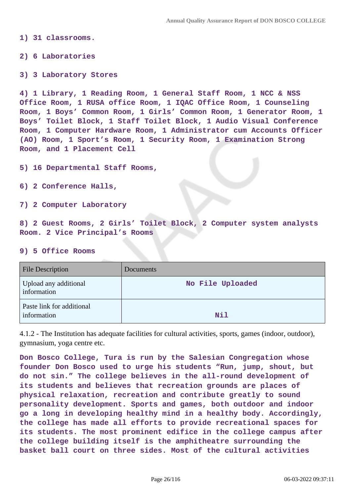**1) 31 classrooms.**

**2) 6 Laboratories**

**3) 3 Laboratory Stores**

**4) 1 Library, 1 Reading Room, 1 General Staff Room, 1 NCC & NSS Office Room, 1 RUSA office Room, 1 IQAC Office Room, 1 Counseling Room, 1 Boys' Common Room, 1 Girls' Common Room, 1 Generator Room, 1 Boys' Toilet Block, 1 Staff Toilet Block, 1 Audio Visual Conference Room, 1 Computer Hardware Room, 1 Administrator cum Accounts Officer (AO) Room, 1 Sport's Room, 1 Security Room, 1 Examination Strong Room, and 1 Placement Cell**

**5) 16 Departmental Staff Rooms,**

**6) 2 Conference Halls,**

**7) 2 Computer Laboratory**

**8) 2 Guest Rooms, 2 Girls' Toilet Block, 2 Computer system analysts Room. 2 Vice Principal's Rooms**

#### **9) 5 Office Rooms**

| <b>File Description</b>                  | Documents        |
|------------------------------------------|------------------|
| Upload any additional<br>information     | No File Uploaded |
| Paste link for additional<br>information | Nil              |

4.1.2 - The Institution has adequate facilities for cultural activities, sports, games (indoor, outdoor), gymnasium, yoga centre etc.

**Don Bosco College, Tura is run by the Salesian Congregation whose founder Don Bosco used to urge his students "Run, jump, shout, but do not sin." The college believes in the all-round development of its students and believes that recreation grounds are places of physical relaxation, recreation and contribute greatly to sound personality development. Sports and games, both outdoor and indoor go a long in developing healthy mind in a healthy body. Accordingly, the college has made all efforts to provide recreational spaces for its students. The most prominent edifice in the college campus after the college building itself is the amphitheatre surrounding the basket ball court on three sides. Most of the cultural activities**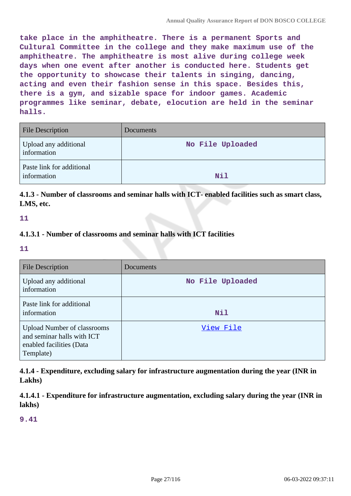**take place in the amphitheatre. There is a permanent Sports and Cultural Committee in the college and they make maximum use of the amphitheatre. The amphitheatre is most alive during college week days when one event after another is conducted here. Students get the opportunity to showcase their talents in singing, dancing, acting and even their fashion sense in this space. Besides this, there is a gym, and sizable space for indoor games. Academic programmes like seminar, debate, elocution are held in the seminar halls.**

| <b>File Description</b>                  | Documents        |
|------------------------------------------|------------------|
| Upload any additional<br>information     | No File Uploaded |
| Paste link for additional<br>information | <b>Nil</b>       |

**4.1.3 - Number of classrooms and seminar halls with ICT- enabled facilities such as smart class, LMS, etc.**

**11**

### **4.1.3.1 - Number of classrooms and seminar halls with ICT facilities**

**11**

| File Description                                                                                          | Documents        |
|-----------------------------------------------------------------------------------------------------------|------------------|
| Upload any additional<br>information                                                                      | No File Uploaded |
| Paste link for additional<br>information                                                                  | Nil              |
| <b>Upload Number of classrooms</b><br>and seminar halls with ICT<br>enabled facilities (Data<br>Template) | View File        |

**4.1.4 - Expenditure, excluding salary for infrastructure augmentation during the year (INR in Lakhs)**

**4.1.4.1 - Expenditure for infrastructure augmentation, excluding salary during the year (INR in lakhs)**

**9.41**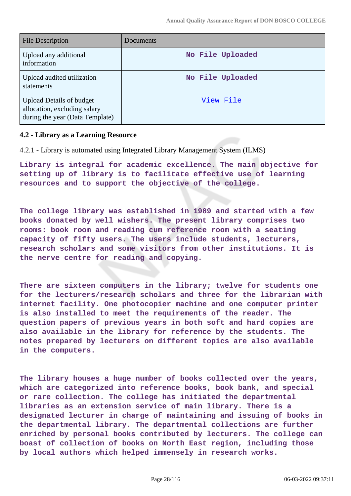| File Description                                                                                   | Documents        |
|----------------------------------------------------------------------------------------------------|------------------|
| Upload any additional<br>information                                                               | No File Uploaded |
| Upload audited utilization<br>statements                                                           | No File Uploaded |
| <b>Upload Details of budget</b><br>allocation, excluding salary<br>during the year (Data Template) | View File        |

#### **4.2 - Library as a Learning Resource**

4.2.1 - Library is automated using Integrated Library Management System (ILMS)

**Library is integral for academic excellence. The main objective for setting up of library is to facilitate effective use of learning resources and to support the objective of the college.**

**The college library was established in 1989 and started with a few books donated by well wishers. The present library comprises two rooms: book room and reading cum reference room with a seating capacity of fifty users. The users include students, lecturers, research scholars and some visitors from other institutions. It is the nerve centre for reading and copying.**

**There are sixteen computers in the library; twelve for students one for the lecturers/research scholars and three for the librarian with internet facility. One photocopier machine and one computer printer is also installed to meet the requirements of the reader. The question papers of previous years in both soft and hard copies are also available in the library for reference by the students. The notes prepared by lecturers on different topics are also available in the computers.**

**The library houses a huge number of books collected over the years, which are categorized into reference books, book bank, and special or rare collection. The college has initiated the departmental libraries as an extension service of main library. There is a designated lecturer in charge of maintaining and issuing of books in the departmental library. The departmental collections are further enriched by personal books contributed by lecturers. The college can boast of collection of books on North East region, including those by local authors which helped immensely in research works.**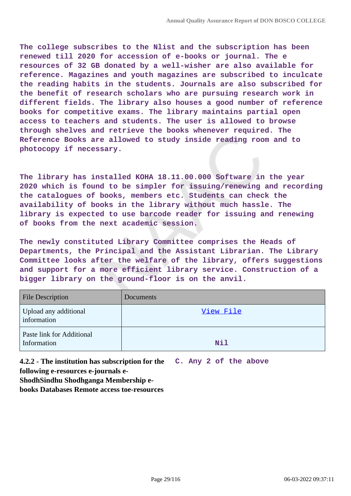**The college subscribes to the Nlist and the subscription has been renewed till 2020 for accession of e-books or journal. The e resources of 32 GB donated by a well-wisher are also available for reference. Magazines and youth magazines are subscribed to inculcate the reading habits in the students. Journals are also subscribed for the benefit of research scholars who are pursuing research work in different fields. The library also houses a good number of reference books for competitive exams. The library maintains partial open access to teachers and students. The user is allowed to browse through shelves and retrieve the books whenever required. The Reference Books are allowed to study inside reading room and to photocopy if necessary.**

**The library has installed KOHA 18.11.00.000 Software in the year 2020 which is found to be simpler for issuing/renewing and recording the catalogues of books, members etc. Students can check the availability of books in the library without much hassle. The library is expected to use barcode reader for issuing and renewing of books from the next academic session.**

**The newly constituted Library Committee comprises the Heads of Departments, the Principal and the Assistant Librarian. The Library Committee looks after the welfare of the library, offers suggestions and support for a more efficient library service. Construction of a bigger library on the ground-floor is on the anvil.**

| <b>File Description</b>                  | Documents |
|------------------------------------------|-----------|
| Upload any additional<br>information     | View File |
| Paste link for Additional<br>Information | Nil       |

**4.2.2 - The institution has subscription for the C. Any 2 of the above following e-resources e-journals e-**

**ShodhSindhu Shodhganga Membership e-**

**books Databases Remote access toe-resources**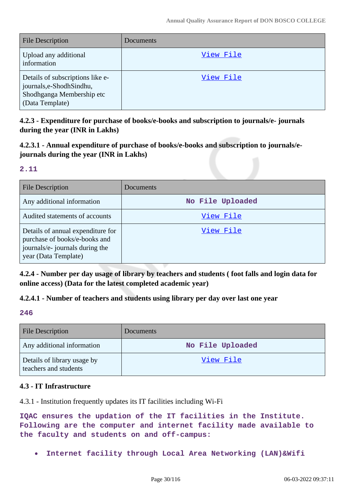| <b>File Description</b>                                                                                       | Documents |
|---------------------------------------------------------------------------------------------------------------|-----------|
| Upload any additional<br>information                                                                          | View File |
| Details of subscriptions like e-<br>journals, e-Shodh Sindhu,<br>Shodhganga Membership etc<br>(Data Template) | View File |

**4.2.3 - Expenditure for purchase of books/e-books and subscription to journals/e- journals during the year (INR in Lakhs)**

**4.2.3.1 - Annual expenditure of purchase of books/e-books and subscription to journals/ejournals during the year (INR in Lakhs)**

#### **2.11**

| <b>File Description</b>                                                                                                       | Documents        |
|-------------------------------------------------------------------------------------------------------------------------------|------------------|
| Any additional information                                                                                                    | No File Uploaded |
| Audited statements of accounts                                                                                                | View File        |
| Details of annual expenditure for<br>purchase of books/e-books and<br>journals/e- journals during the<br>year (Data Template) | View File        |

**4.2.4 - Number per day usage of library by teachers and students ( foot falls and login data for online access) (Data for the latest completed academic year)**

### **4.2.4.1 - Number of teachers and students using library per day over last one year**

### **246**

| <b>File Description</b>                              | <b>Documents</b> |
|------------------------------------------------------|------------------|
| Any additional information                           | No File Uploaded |
| Details of library usage by<br>teachers and students | View File        |

### **4.3 - IT Infrastructure**

4.3.1 - Institution frequently updates its IT facilities including Wi-Fi

**IQAC ensures the updation of the IT facilities in the Institute. Following are the computer and internet facility made available to the faculty and students on and off-campus:**

**Internet facility through Local Area Networking (LAN)&Wifi**  $\bullet$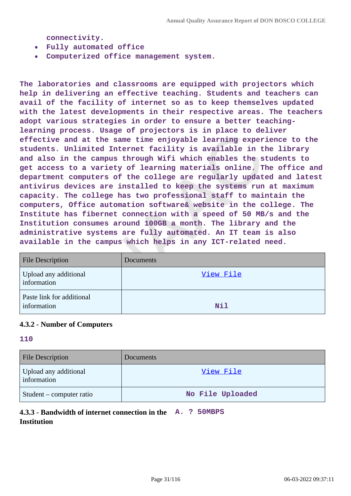**connectivity.**

- **Fully automated office**
- **Computerized office management system.**  $\bullet$

**The laboratories and classrooms are equipped with projectors which help in delivering an effective teaching. Students and teachers can avail of the facility of internet so as to keep themselves updated with the latest developments in their respective areas. The teachers adopt various strategies in order to ensure a better teachinglearning process. Usage of projectors is in place to deliver effective and at the same time enjoyable learning experience to the students. Unlimited Internet facility is available in the library and also in the campus through Wifi which enables the students to get access to a variety of learning materials online. The office and department computers of the college are regularly updated and latest antivirus devices are installed to keep the systems run at maximum capacity. The college has two professional staff to maintain the computers, Office automation software& website in the college. The Institute has fibernet connection with a speed of 50 MB/s and the Institution consumes around 100GB a month. The library and the administrative systems are fully automated. An IT team is also available in the campus which helps in any ICT-related need.**

| <b>File Description</b>                  | Documents |
|------------------------------------------|-----------|
| Upload any additional<br>information     | View File |
| Paste link for additional<br>information | Nil       |

#### **4.3.2 - Number of Computers**

#### **110**

| <b>File Description</b>              | <b>Documents</b> |
|--------------------------------------|------------------|
| Upload any additional<br>information | View File        |
| Student – computer ratio             | No File Uploaded |

### **4.3.3 - Bandwidth of internet connection in the A. ? 50MBPS Institution**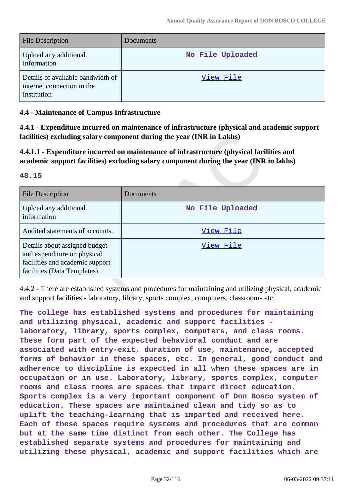| <b>File Description</b>                                                        | Documents        |
|--------------------------------------------------------------------------------|------------------|
| Upload any additional<br>Information                                           | No File Uploaded |
| Details of available bandwidth of<br>internet connection in the<br>Institution | View File        |

### **4.4 - Maintenance of Campus Infrastructure**

**4.4.1 - Expenditure incurred on maintenance of infrastructure (physical and academic support facilities) excluding salary component during the year (INR in Lakhs)**

**4.4.1.1 - Expenditure incurred on maintenance of infrastructure (physical facilities and academic support facilities) excluding salary component during the year (INR in lakhs)**

#### **48.15**

| File Description                                                                                                               | Documents        |
|--------------------------------------------------------------------------------------------------------------------------------|------------------|
| Upload any additional<br>information                                                                                           | No File Uploaded |
| Audited statements of accounts.                                                                                                | View File        |
| Details about assigned budget<br>and expenditure on physical<br>facilities and academic support<br>facilities (Data Templates) | View File        |

4.4.2 - There are established systems and procedures for maintaining and utilizing physical, academic and support facilities - laboratory, library, sports complex, computers, classrooms etc.

**The college has established systems and procedures for maintaining and utilizing physical, academic and support facilities laboratory, library, sports complex, computers, and class rooms. These form part of the expected behavioral conduct and are associated with entry-exit, duration of use, maintenance, accepted forms of behavior in these spaces, etc. In general, good conduct and adherence to discipline is expected in all when these spaces are in occupation or in use. Laboratory, library, sports complex, computer rooms and class rooms are spaces that impart direct education. Sports complex is a very important component of Don Bosco system of education. These spaces are maintained clean and tidy so as to uplift the teaching-learning that is imparted and received here. Each of these spaces require systems and procedures that are common but at the same time distinct from each other. The College has established separate systems and procedures for maintaining and utilizing these physical, academic and support facilities which are**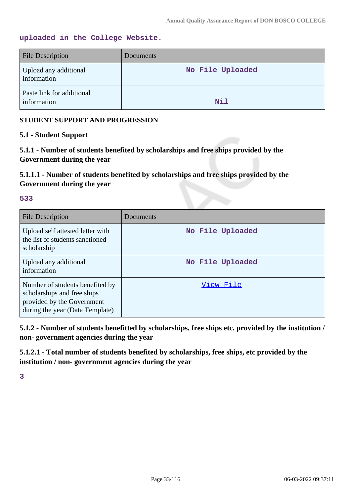### **uploaded in the College Website.**

| <b>File Description</b>                  | Documents        |
|------------------------------------------|------------------|
| Upload any additional<br>information     | No File Uploaded |
| Paste link for additional<br>information | Nil              |

### **STUDENT SUPPORT AND PROGRESSION**

### **5.1 - Student Support**

**5.1.1 - Number of students benefited by scholarships and free ships provided by the Government during the year**

**5.1.1.1 - Number of students benefited by scholarships and free ships provided by the Government during the year**

#### **533**

| File Description                                                                                                                | Documents        |
|---------------------------------------------------------------------------------------------------------------------------------|------------------|
| Upload self attested letter with<br>the list of students sanctioned<br>scholarship                                              | No File Uploaded |
| Upload any additional<br>information                                                                                            | No File Uploaded |
| Number of students benefited by<br>scholarships and free ships<br>provided by the Government<br>during the year (Data Template) | View File        |

**5.1.2 - Number of students benefitted by scholarships, free ships etc. provided by the institution / non- government agencies during the year**

**5.1.2.1 - Total number of students benefited by scholarships, free ships, etc provided by the institution / non- government agencies during the year**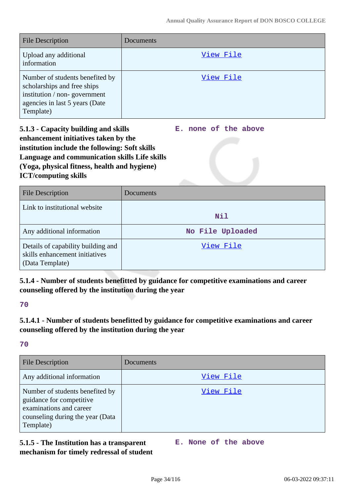| <b>File Description</b>                                                                                                                       | Documents |
|-----------------------------------------------------------------------------------------------------------------------------------------------|-----------|
| Upload any additional<br>information                                                                                                          | View File |
| Number of students benefited by<br>scholarships and free ships<br>institution / non-government<br>agencies in last 5 years (Date<br>Template) | View File |

**5.1.3 - Capacity building and skills enhancement initiatives taken by the institution include the following: Soft skills Language and communication skills Life skills (Yoga, physical fitness, health and hygiene) ICT/computing skills E. none of the above**

| <b>File Description</b>                                                                 | Documents        |
|-----------------------------------------------------------------------------------------|------------------|
| Link to institutional website                                                           | Nil              |
| Any additional information                                                              | No File Uploaded |
| Details of capability building and<br>skills enhancement initiatives<br>(Data Template) | View File        |

### **5.1.4 - Number of students benefitted by guidance for competitive examinations and career counseling offered by the institution during the year**

**70**

### **5.1.4.1 - Number of students benefitted by guidance for competitive examinations and career counseling offered by the institution during the year**

**70**

| <b>File Description</b>                                                                                                                 | Documents |
|-----------------------------------------------------------------------------------------------------------------------------------------|-----------|
| Any additional information                                                                                                              | View File |
| Number of students benefited by<br>guidance for competitive<br>examinations and career<br>counseling during the year (Data<br>Template) | View File |

### **5.1.5 - The Institution has a transparent mechanism for timely redressal of student**

**E. None of the above**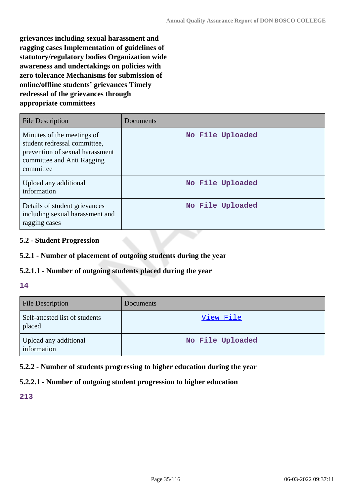**grievances including sexual harassment and ragging cases Implementation of guidelines of statutory/regulatory bodies Organization wide awareness and undertakings on policies with zero tolerance Mechanisms for submission of online/offline students' grievances Timely redressal of the grievances through appropriate committees**

| <b>File Description</b>                                                                                                                  | Documents        |
|------------------------------------------------------------------------------------------------------------------------------------------|------------------|
| Minutes of the meetings of<br>student redressal committee,<br>prevention of sexual harassment<br>committee and Anti Ragging<br>committee | No File Uploaded |
| Upload any additional<br>information                                                                                                     | No File Uploaded |
| Details of student grievances<br>including sexual harassment and<br>ragging cases                                                        | No File Uploaded |

### **5.2 - Student Progression**

### **5.2.1 - Number of placement of outgoing students during the year**

#### **5.2.1.1 - Number of outgoing students placed during the year**

#### **14**

| <b>File Description</b>                  | Documents        |
|------------------------------------------|------------------|
| Self-attested list of students<br>placed | View File        |
| Upload any additional<br>information     | No File Uploaded |

### **5.2.2 - Number of students progressing to higher education during the year**

### **5.2.2.1 - Number of outgoing student progression to higher education**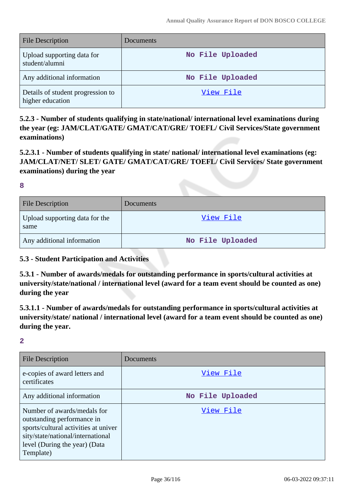| <b>File Description</b>                               | Documents        |
|-------------------------------------------------------|------------------|
| Upload supporting data for<br>student/alumni          | No File Uploaded |
| Any additional information                            | No File Uploaded |
| Details of student progression to<br>higher education | View File        |

**5.2.3 - Number of students qualifying in state/national/ international level examinations during the year (eg: JAM/CLAT/GATE/ GMAT/CAT/GRE/ TOEFL/ Civil Services/State government examinations)**

**5.2.3.1 - Number of students qualifying in state/ national/ international level examinations (eg: JAM/CLAT/NET/ SLET/ GATE/ GMAT/CAT/GRE/ TOEFL/ Civil Services/ State government examinations) during the year**

**8**

| <b>File Description</b>                | Documents        |
|----------------------------------------|------------------|
| Upload supporting data for the<br>same | View File        |
| Any additional information             | No File Uploaded |

### **5.3 - Student Participation and Activities**

**5.3.1 - Number of awards/medals for outstanding performance in sports/cultural activities at university/state/national / international level (award for a team event should be counted as one) during the year**

**5.3.1.1 - Number of awards/medals for outstanding performance in sports/cultural activities at university/state/ national / international level (award for a team event should be counted as one) during the year.**

| <b>File Description</b>                                                                                                                                                              | Documents        |
|--------------------------------------------------------------------------------------------------------------------------------------------------------------------------------------|------------------|
| e-copies of award letters and<br>certificates                                                                                                                                        | View File        |
| Any additional information                                                                                                                                                           | No File Uploaded |
| Number of awards/medals for<br>outstanding performance in<br>sports/cultural activities at univer<br>sity/state/national/international<br>level (During the year) (Data<br>Template) | View File        |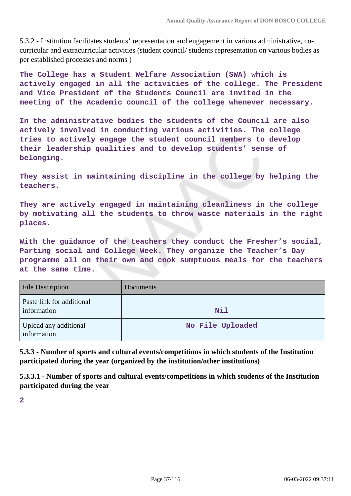5.3.2 - Institution facilitates students' representation and engagement in various administrative, cocurricular and extracurricular activities (student council/ students representation on various bodies as per established processes and norms )

**The College has a Student Welfare Association (SWA) which is actively engaged in all the activities of the college. The President and Vice President of the Students Council are invited in the meeting of the Academic council of the college whenever necessary.**

**In the administrative bodies the students of the Council are also actively involved in conducting various activities. The college tries to actively engage the student council members to develop their leadership qualities and to develop students' sense of belonging.**

**They assist in maintaining discipline in the college by helping the teachers.**

**They are actively engaged in maintaining cleanliness in the college by motivating all the students to throw waste materials in the right places.**

**With the guidance of the teachers they conduct the Fresher's social, Parting social and College Week. They organize the Teacher's Day programme all on their own and cook sumptuous meals for the teachers at the same time.**

| <b>File Description</b>                  | Documents        |
|------------------------------------------|------------------|
| Paste link for additional<br>information | <b>Nil</b>       |
| Upload any additional<br>information     | No File Uploaded |

**5.3.3 - Number of sports and cultural events/competitions in which students of the Institution participated during the year (organized by the institution/other institutions)**

**5.3.3.1 - Number of sports and cultural events/competitions in which students of the Institution participated during the year**

**2**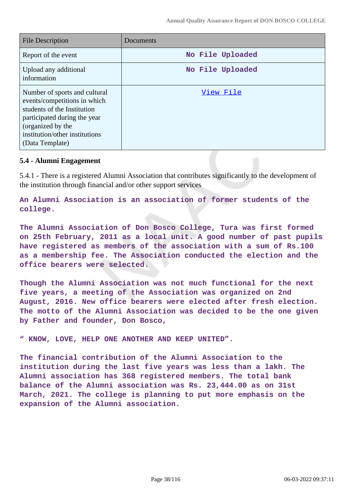| <b>File Description</b>                                                                                                                                                                                | Documents        |
|--------------------------------------------------------------------------------------------------------------------------------------------------------------------------------------------------------|------------------|
| Report of the event                                                                                                                                                                                    | No File Uploaded |
| Upload any additional<br>information                                                                                                                                                                   | No File Uploaded |
| Number of sports and cultural<br>events/competitions in which<br>students of the Institution<br>participated during the year<br>(organized by the<br>institution/other institutions<br>(Data Template) | View File        |

### **5.4 - Alumni Engagement**

5.4.1 - There is a registered Alumni Association that contributes significantly to the development of the institution through financial and/or other support services

**An Alumni Association is an association of former students of the college.**

**The Alumni Association of Don Bosco College, Tura was first formed on 25th February, 2011 as a local unit. A good number of past pupils have registered as members of the association with a sum of Rs.100 as a membership fee. The Association conducted the election and the office bearers were selected.**

**Though the Alumni Association was not much functional for the next five years, a meeting of the Association was organized on 2nd August, 2016. New office bearers were elected after fresh election. The motto of the Alumni Association was decided to be the one given by Father and founder, Don Bosco,**

**" KNOW, LOVE, HELP ONE ANOTHER AND KEEP UNITED".**

**The financial contribution of the Alumni Association to the institution during the last five years was less than a lakh. The Alumni association has 368 registered members. The total bank balance of the Alumni association was Rs. 23,444.00 as on 31st March, 2021. The college is planning to put more emphasis on the expansion of the Alumni association.**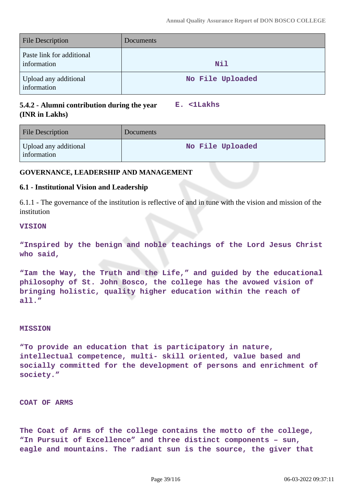| <b>File Description</b>                  | Documents        |
|------------------------------------------|------------------|
| Paste link for additional<br>information | Nil              |
| Upload any additional<br>information     | No File Uploaded |

## **5.4.2 - Alumni contribution during the year (INR in Lakhs)**

**E. <1Lakhs**

| <b>File Description</b>              | Documents        |
|--------------------------------------|------------------|
| Upload any additional<br>information | No File Uploaded |

## **GOVERNANCE, LEADERSHIP AND MANAGEMENT**

### **6.1 - Institutional Vision and Leadership**

6.1.1 - The governance of the institution is reflective of and in tune with the vision and mission of the institution

### **VISION**

**"Inspired by the benign and noble teachings of the Lord Jesus Christ who said,**

**"Iam the Way, the Truth and the Life," and guided by the educational philosophy of St. John Bosco, the college has the avowed vision of bringing holistic, quality higher education within the reach of all."**

### **MISSION**

**"To provide an education that is participatory in nature, intellectual competence, multi- skill oriented, value based and socially committed for the development of persons and enrichment of society."**

### **COAT OF ARMS**

**The Coat of Arms of the college contains the motto of the college, "In Pursuit of Excellence" and three distinct components – sun, eagle and mountains. The radiant sun is the source, the giver that**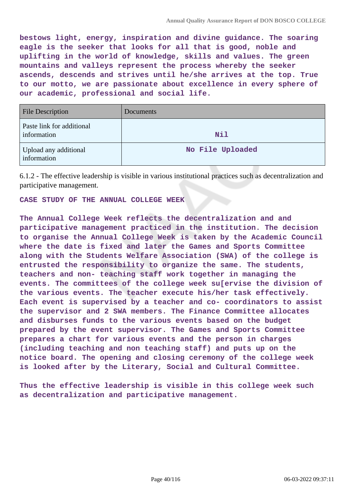**bestows light, energy, inspiration and divine guidance. The soaring eagle is the seeker that looks for all that is good, noble and uplifting in the world of knowledge, skills and values. The green mountains and valleys represent the process whereby the seeker ascends, descends and strives until he/she arrives at the top. True to our motto, we are passionate about excellence in every sphere of our academic, professional and social life.**

| <b>File Description</b>                  | <b>Documents</b> |
|------------------------------------------|------------------|
| Paste link for additional<br>information | Nil              |
| Upload any additional<br>information     | No File Uploaded |

6.1.2 - The effective leadership is visible in various institutional practices such as decentralization and participative management.

#### **CASE STUDY OF THE ANNUAL COLLEGE WEEK**

**The Annual College Week reflects the decentralization and and participative management practiced in the institution. The decision to organise the Annual College Week is taken by the Academic Council where the date is fixed and later the Games and Sports Committee along with the Students Welfare Association (SWA) of the college is entrusted the responsibility to organize the same. The students, teachers and non- teaching staff work together in managing the events. The committees of the college week su[ervise the division of the various events. The teacher execute his/her task effectively. Each event is supervised by a teacher and co- coordinators to assist the supervisor and 2 SWA members. The Finance Committee allocates and disburses funds to the various events based on the budget prepared by the event supervisor. The Games and Sports Committee prepares a chart for various events and the person in charges (including teaching and non teaching staff) and puts up on the notice board. The opening and closing ceremony of the college week is looked after by the Literary, Social and Cultural Committee.**

**Thus the effective leadership is visible in this college week such as decentralization and participative management.**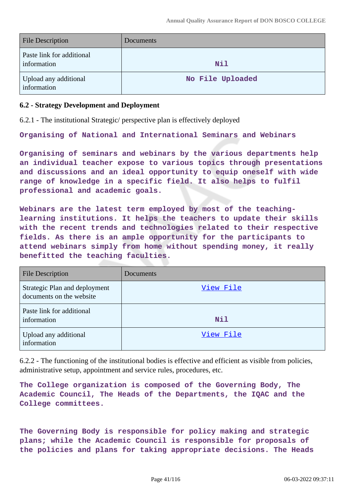| File Description                         | <b>Documents</b> |
|------------------------------------------|------------------|
| Paste link for additional<br>information | <b>Nil</b>       |
| Upload any additional<br>information     | No File Uploaded |

### **6.2 - Strategy Development and Deployment**

6.2.1 - The institutional Strategic/ perspective plan is effectively deployed

**Organising of National and International Seminars and Webinars**

**Organising of seminars and webinars by the various departments help an individual teacher expose to various topics through presentations and discussions and an ideal opportunity to equip oneself with wide range of knowledge in a specific field. It also helps to fulfil professional and academic goals.**

**Webinars are the latest term employed by most of the teachinglearning institutions. It helps the teachers to update their skills with the recent trends and technologies related to their respective fields. As there is an ample opportunity for the participants to attend webinars simply from home without spending money, it really benefitted the teaching faculties.**

| <b>File Description</b>                                   | <b>Documents</b> |
|-----------------------------------------------------------|------------------|
| Strategic Plan and deployment<br>documents on the website | View File        |
| Paste link for additional<br>information                  | Nil              |
| Upload any additional<br>information                      | View File        |

6.2.2 - The functioning of the institutional bodies is effective and efficient as visible from policies, administrative setup, appointment and service rules, procedures, etc.

**The College organization is composed of the Governing Body, The Academic Council, The Heads of the Departments, the IQAC and the College committees.**

**The Governing Body is responsible for policy making and strategic plans; while the Academic Council is responsible for proposals of the policies and plans for taking appropriate decisions. The Heads**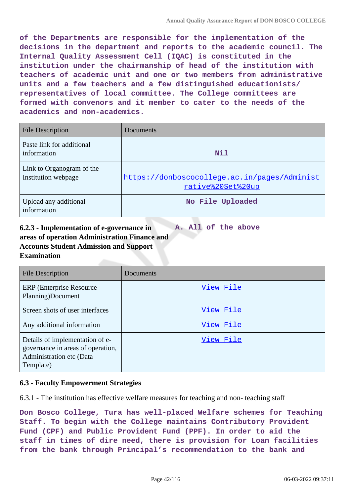**of the Departments are responsible for the implementation of the decisions in the department and reports to the academic council. The Internal Quality Assessment Cell (IQAC) is constituted in the institution under the chairmanship of head of the institution with teachers of academic unit and one or two members from administrative units and a few teachers and a few distinguished educationists/ representatives of local committee. The College committees are formed with convenors and it member to cater to the needs of the academics and non-academics.**

| <b>File Description</b>                          | Documents                                                         |
|--------------------------------------------------|-------------------------------------------------------------------|
| Paste link for additional<br>information         | Nil                                                               |
| Link to Organogram of the<br>Institution webpage | https://donboscocollege.ac.in/pages/Administ<br>rative%20Set%20up |
| Upload any additional<br>information             | No File Uploaded                                                  |

#### **6.2.3 - Implementation of e-governance in areas of operation Administration Finance and Accounts Student Admission and Support Examination A. All of the above**

| File Description                                                                                              | Documents |
|---------------------------------------------------------------------------------------------------------------|-----------|
| <b>ERP</b> (Enterprise Resource)<br>Planning)Document                                                         | View File |
| Screen shots of user interfaces                                                                               | View File |
| Any additional information                                                                                    | View File |
| Details of implementation of e-<br>governance in areas of operation,<br>Administration etc (Data<br>Template) | View File |

## **6.3 - Faculty Empowerment Strategies**

6.3.1 - The institution has effective welfare measures for teaching and non- teaching staff

**Don Bosco College, Tura has well-placed Welfare schemes for Teaching Staff. To begin with the College maintains Contributory Provident Fund (CPF) and Public Provident Fund (PPF). In order to aid the staff in times of dire need, there is provision for Loan facilities from the bank through Principal's recommendation to the bank and**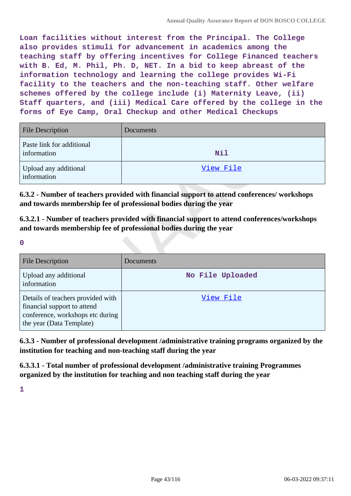**Loan facilities without interest from the Principal. The College also provides stimuli for advancement in academics among the teaching staff by offering incentives for College Financed teachers with B. Ed, M. Phil, Ph. D, NET. In a bid to keep abreast of the information technology and learning the college provides Wi-Fi facility to the teachers and the non-teaching staff. Other welfare schemes offered by the college include (i) Maternity Leave, (ii) Staff quarters, and (iii) Medical Care offered by the college in the forms of Eye Camp, Oral Checkup and other Medical Checkups**

| <b>File Description</b>                  | <b>Documents</b> |
|------------------------------------------|------------------|
| Paste link for additional<br>information | <b>Nil</b>       |
| Upload any additional<br>information     | View File        |

**6.3.2 - Number of teachers provided with financial support to attend conferences/ workshops and towards membership fee of professional bodies during the year**

**6.3.2.1 - Number of teachers provided with financial support to attend conferences/workshops and towards membership fee of professional bodies during the year**

**0**

| <b>File Description</b>                                                                                                          | Documents        |
|----------------------------------------------------------------------------------------------------------------------------------|------------------|
| Upload any additional<br>information                                                                                             | No File Uploaded |
| Details of teachers provided with<br>financial support to attend<br>conference, workshops etc during<br>the year (Data Template) | View File        |

**6.3.3 - Number of professional development /administrative training programs organized by the institution for teaching and non-teaching staff during the year**

**6.3.3.1 - Total number of professional development /administrative training Programmes organized by the institution for teaching and non teaching staff during the year**

**1**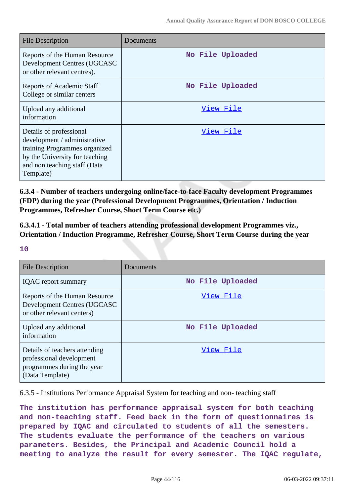| <b>File Description</b>                                                                                                                                                 | Documents        |
|-------------------------------------------------------------------------------------------------------------------------------------------------------------------------|------------------|
| Reports of the Human Resource<br>Development Centres (UGCASC<br>or other relevant centres).                                                                             | No File Uploaded |
| <b>Reports of Academic Staff</b><br>College or similar centers                                                                                                          | No File Uploaded |
| Upload any additional<br>information                                                                                                                                    | View File        |
| Details of professional<br>development / administrative<br>training Programmes organized<br>by the University for teaching<br>and non teaching staff (Data<br>Template) | View File        |

**6.3.4 - Number of teachers undergoing online/face-to-face Faculty development Programmes (FDP) during the year (Professional Development Programmes, Orientation / Induction Programmes, Refresher Course, Short Term Course etc.)**

**6.3.4.1 - Total number of teachers attending professional development Programmes viz., Orientation / Induction Programme, Refresher Course, Short Term Course during the year**

**10**

| <b>File Description</b>                                                                                    | Documents        |
|------------------------------------------------------------------------------------------------------------|------------------|
| <b>IQAC</b> report summary                                                                                 | No File Uploaded |
| Reports of the Human Resource<br>Development Centres (UGCASC<br>or other relevant centers)                 | View File        |
| Upload any additional<br>information                                                                       | No File Uploaded |
| Details of teachers attending<br>professional development<br>programmes during the year<br>(Data Template) | View File        |

6.3.5 - Institutions Performance Appraisal System for teaching and non- teaching staff

**The institution has performance appraisal system for both teaching and non-teaching staff. Feed back in the form of questionnaires is prepared by IQAC and circulated to students of all the semesters. The students evaluate the performance of the teachers on various parameters. Besides, the Principal and Academic Council hold a meeting to analyze the result for every semester. The IQAC regulate,**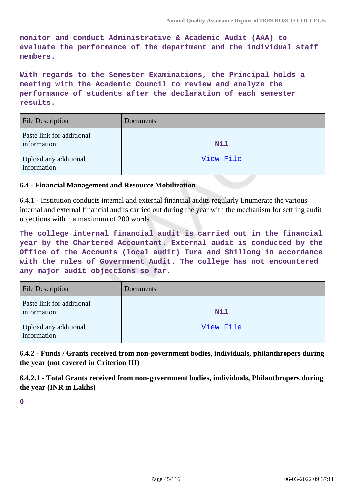**monitor and conduct Administrative & Academic Audit (AAA) to evaluate the performance of the department and the individual staff members.**

**With regards to the Semester Examinations, the Principal holds a meeting with the Academic Council to review and analyze the performance of students after the declaration of each semester results.**

| <b>File Description</b>                  | Documents  |
|------------------------------------------|------------|
| Paste link for additional<br>information | <b>Nil</b> |
| Upload any additional<br>information     | View File  |

## **6.4 - Financial Management and Resource Mobilization**

6.4.1 - Institution conducts internal and external financial audits regularly Enumerate the various internal and external financial audits carried out during the year with the mechanism for settling audit objections within a maximum of 200 words

**The college internal financial audit is carried out in the financial year by the Chartered Accountant. External audit is conducted by the Office of the Accounts (local audit) Tura and Shillong in accordance with the rules of Government Audit. The college has not encountered any major audit objections so far.**

| <b>File Description</b>                  | <b>Documents</b> |
|------------------------------------------|------------------|
| Paste link for additional<br>information | <b>Nil</b>       |
| Upload any additional<br>information     | View File        |

**6.4.2 - Funds / Grants received from non-government bodies, individuals, philanthropers during the year (not covered in Criterion III)**

**6.4.2.1 - Total Grants received from non-government bodies, individuals, Philanthropers during the year (INR in Lakhs)**

**0**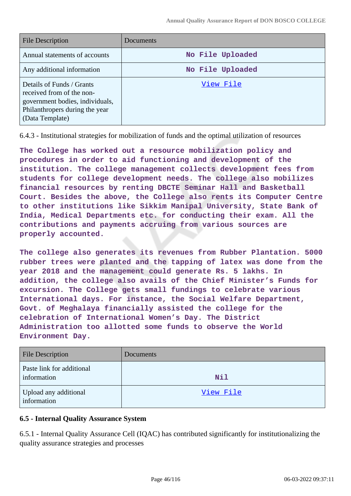| <b>File Description</b>                                                                                                                        | Documents        |
|------------------------------------------------------------------------------------------------------------------------------------------------|------------------|
| Annual statements of accounts                                                                                                                  | No File Uploaded |
| Any additional information                                                                                                                     | No File Uploaded |
| Details of Funds / Grants<br>received from of the non-<br>government bodies, individuals,<br>Philanthropers during the year<br>(Data Template) | View File        |

6.4.3 - Institutional strategies for mobilization of funds and the optimal utilization of resources

**The College has worked out a resource mobilization policy and procedures in order to aid functioning and development of the institution. The college management collects development fees from students for college development needs. The college also mobilizes financial resources by renting DBCTE Seminar Hall and Basketball Court. Besides the above, the College also rents its Computer Centre to other institutions like Sikkim Manipal University, State Bank of India, Medical Departments etc. for conducting their exam. All the contributions and payments accruing from various sources are properly accounted.**

**The college also generates its revenues from Rubber Plantation. 5000 rubber trees were planted and the tapping of latex was done from the year 2018 and the management could generate Rs. 5 lakhs. In addition, the college also avails of the Chief Minister's Funds for excursion. The College gets small fundings to celebrate various International days. For instance, the Social Welfare Department, Govt. of Meghalaya financially assisted the college for the celebration of International Women's Day. The District Administration too allotted some funds to observe the World Environment Day.**

| <b>File Description</b>                  | Documents |
|------------------------------------------|-----------|
| Paste link for additional<br>information | Nil       |
| Upload any additional<br>information     | View File |

## **6.5 - Internal Quality Assurance System**

6.5.1 - Internal Quality Assurance Cell (IQAC) has contributed significantly for institutionalizing the quality assurance strategies and processes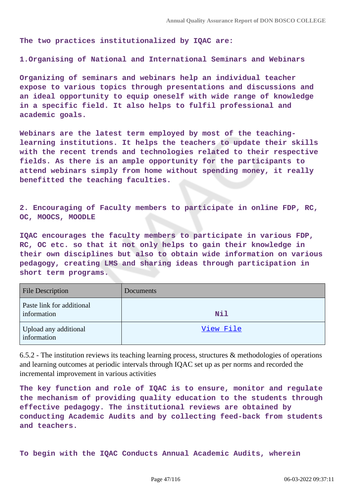**The two practices institutionalized by IQAC are:**

**1.Organising of National and International Seminars and Webinars**

**Organizing of seminars and webinars help an individual teacher expose to various topics through presentations and discussions and an ideal opportunity to equip oneself with wide range of knowledge in a specific field. It also helps to fulfil professional and academic goals.**

**Webinars are the latest term employed by most of the teachinglearning institutions. It helps the teachers to update their skills with the recent trends and technologies related to their respective fields. As there is an ample opportunity for the participants to attend webinars simply from home without spending money, it really benefitted the teaching faculties.**

**2. Encouraging of Faculty members to participate in online FDP, RC, OC, MOOCS, MOODLE**

**IQAC encourages the faculty members to participate in various FDP, RC, OC etc. so that it not only helps to gain their knowledge in their own disciplines but also to obtain wide information on various pedagogy, creating LMS and sharing ideas through participation in short term programs.**

| <b>File Description</b>                  | Documents  |
|------------------------------------------|------------|
| Paste link for additional<br>information | <b>Nil</b> |
| Upload any additional<br>information     | View File  |

6.5.2 - The institution reviews its teaching learning process, structures  $\&$  methodologies of operations and learning outcomes at periodic intervals through IQAC set up as per norms and recorded the incremental improvement in various activities

**The key function and role of IQAC is to ensure, monitor and regulate the mechanism of providing quality education to the students through effective pedagogy. The institutional reviews are obtained by conducting Academic Audits and by collecting feed-back from students and teachers.**

**To begin with the IQAC Conducts Annual Academic Audits, wherein**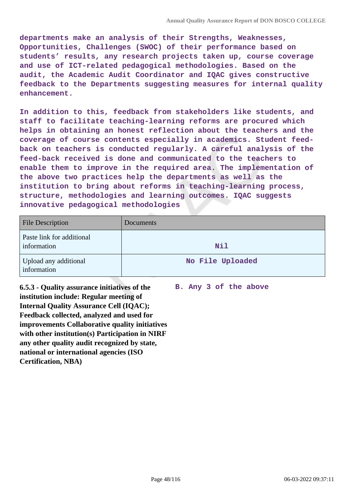**departments make an analysis of their Strengths, Weaknesses, Opportunities, Challenges (SWOC) of their performance based on students' results, any research projects taken up, course coverage and use of ICT-related pedagogical methodologies. Based on the audit, the Academic Audit Coordinator and IQAC gives constructive feedback to the Departments suggesting measures for internal quality enhancement.**

**In addition to this, feedback from stakeholders like students, and staff to facilitate teaching-learning reforms are procured which helps in obtaining an honest reflection about the teachers and the coverage of course contents especially in academics. Student feedback on teachers is conducted regularly. A careful analysis of the feed-back received is done and communicated to the teachers to enable them to improve in the required area. The implementation of the above two practices help the departments as well as the institution to bring about reforms in teaching-learning process, structure, methodologies and learning outcomes. IQAC suggests innovative pedagogical methodologies**

| <b>File Description</b>                  | Documents        |
|------------------------------------------|------------------|
| Paste link for additional<br>information | <b>Nil</b>       |
| Upload any additional<br>information     | No File Uploaded |

**6.5.3 - Quality assurance initiatives of the institution include: Regular meeting of Internal Quality Assurance Cell (IQAC); Feedback collected, analyzed and used for improvements Collaborative quality initiatives with other institution(s) Participation in NIRF any other quality audit recognized by state, national or international agencies (ISO Certification, NBA)**

**B. Any 3 of the above**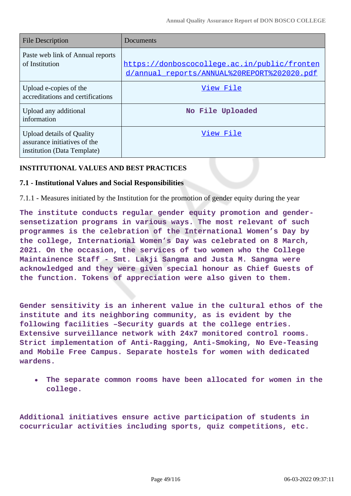| <b>File Description</b>                                                                         | Documents                                                                                   |
|-------------------------------------------------------------------------------------------------|---------------------------------------------------------------------------------------------|
| Paste web link of Annual reports<br>of Institution                                              | https://donboscocollege.ac.in/public/fronten<br>d/annual_reports/ANNUAL%20REPORT%202020.pdf |
| Upload e-copies of the<br>accreditations and certifications                                     | View File                                                                                   |
| Upload any additional<br>information                                                            | No File Uploaded                                                                            |
| <b>Upload details of Quality</b><br>assurance initiatives of the<br>institution (Data Template) | View File                                                                                   |

### **INSTITUTIONAL VALUES AND BEST PRACTICES**

### **7.1 - Institutional Values and Social Responsibilities**

7.1.1 - Measures initiated by the Institution for the promotion of gender equity during the year

**The institute conducts regular gender equity promotion and gendersensetization programs in various ways. The most relevant of such programmes is the celebration of the International Women's Day by the college, International Women's Day was celebrated on 8 March, 2021. On the occasion, the services of two women who the College Maintainence Staff - Smt. Lakji Sangma and Justa M. Sangma were acknowledged and they were given special honour as Chief Guests of the function. Tokens of appreciation were also given to them.**

**Gender sensitivity is an inherent value in the cultural ethos of the institute and its neighboring community, as is evident by the following facilities –Security guards at the college entries. Extensive surveillance network with 24x7 monitored control rooms. Strict implementation of Anti-Ragging, Anti-Smoking, No Eve-Teasing and Mobile Free Campus. Separate hostels for women with dedicated wardens.**

**The separate common rooms have been allocated for women in the**  $\bullet$ **college.**

**Additional initiatives ensure active participation of students in cocurricular activities including sports, quiz competitions, etc.**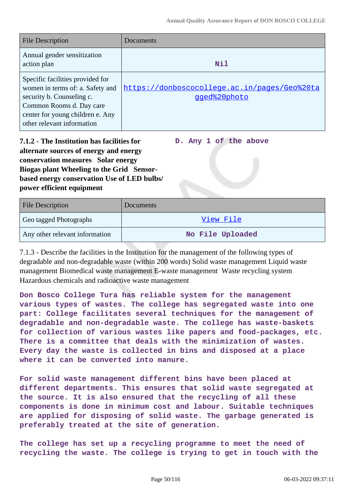| <b>File Description</b>                                                                                                                                                                         | <b>Documents</b>                                             |
|-------------------------------------------------------------------------------------------------------------------------------------------------------------------------------------------------|--------------------------------------------------------------|
| Annual gender sensitization<br>action plan                                                                                                                                                      | <b>Nil</b>                                                   |
| Specific facilities provided for<br>women in terms of: a. Safety and<br>security b. Counseling c.<br>Common Rooms d. Day care<br>center for young children e. Any<br>other relevant information | https://donboscocollege.ac.in/pages/Geo%20ta<br>gged%20photo |

**7.1.2 - The Institution has facilities for alternate sources of energy and energy conservation measures Solar energy Biogas plant Wheeling to the Grid Sensorbased energy conservation Use of LED bulbs/ power efficient equipment** 

**D. Any 1 of the above**

| <b>File Description</b>        | <b>Documents</b> |
|--------------------------------|------------------|
| Geo tagged Photographs         | View File        |
| Any other relevant information | No File Uploaded |

7.1.3 - Describe the facilities in the Institution for the management of the following types of degradable and non-degradable waste (within 200 words) Solid waste management Liquid waste management Biomedical waste management E-waste management Waste recycling system Hazardous chemicals and radioactive waste management

**Don Bosco College Tura has reliable system for the management various types of wastes. The college has segregated waste into one part: College facilitates several techniques for the management of degradable and non-degradable waste. The college has waste-baskets for collection of various wastes like papers and food-packages, etc. There is a committee that deals with the minimization of wastes. Every day the waste is collected in bins and disposed at a place where it can be converted into manure.**

**For solid waste management different bins have been placed at different departments. This ensures that solid waste segregated at the source. It is also ensured that the recycling of all these components is done in minimum cost and labour. Suitable techniques are applied for disposing of solid waste. The garbage generated is preferably treated at the site of generation.**

**The college has set up a recycling programme to meet the need of recycling the waste. The college is trying to get in touch with the**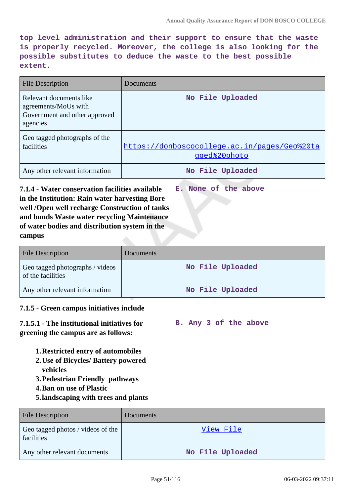**top level administration and their support to ensure that the waste is properly recycled. Moreover, the college is also looking for the possible substitutes to deduce the waste to the best possible extent.**

| <b>File Description</b>                                                                      | Documents                                                    |
|----------------------------------------------------------------------------------------------|--------------------------------------------------------------|
| Relevant documents like<br>agreements/MoUs with<br>Government and other approved<br>agencies | No File Uploaded                                             |
| Geo tagged photographs of the<br>facilities                                                  | https://donboscocollege.ac.in/pages/Geo%20ta<br>gged%20photo |
| Any other relevant information                                                               | No File Uploaded                                             |

**7.1.4 - Water conservation facilities available in the Institution: Rain water harvesting Bore well /Open well recharge Construction of tanks and bunds Waste water recycling Maintenance of water bodies and distribution system in the campus E. None of the above**

| <b>File Description</b>                              | <b>Documents</b> |
|------------------------------------------------------|------------------|
| Geo tagged photographs / videos<br>of the facilities | No File Uploaded |
| Any other relevant information                       | No File Uploaded |

## **7.1.5 - Green campus initiatives include**

**7.1.5.1 - The institutional initiatives for greening the campus are as follows: B. Any 3 of the above**

- **1.Restricted entry of automobiles**
- **2.Use of Bicycles/ Battery powered vehicles**
- **3.Pedestrian Friendly pathways**
- **4.Ban on use of Plastic**
- **5.landscaping with trees and plants**

| <b>File Description</b>                         | Documents        |
|-------------------------------------------------|------------------|
| Geo tagged photos / videos of the<br>facilities | View File        |
| Any other relevant documents                    | No File Uploaded |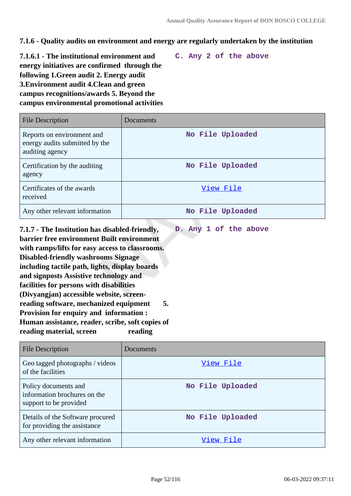**7.1.6 - Quality audits on environment and energy are regularly undertaken by the institution**

**7.1.6.1 - The institutional environment and energy initiatives are confirmed through the following 1.Green audit 2. Energy audit 3.Environment audit 4.Clean and green campus recognitions/awards 5. Beyond the campus environmental promotional activities**

**C. Any 2 of the above**

**D. Any 1 of the above**

| <b>File Description</b>                                                         | Documents        |
|---------------------------------------------------------------------------------|------------------|
| Reports on environment and<br>energy audits submitted by the<br>auditing agency | No File Uploaded |
| Certification by the auditing<br>agency                                         | No File Uploaded |
| Certificates of the awards<br>received                                          | View File        |
| Any other relevant information                                                  | No File Uploaded |

**7.1.7 - The Institution has disabled-friendly, barrier free environment Built environment with ramps/lifts for easy access to classrooms. Disabled-friendly washrooms Signage including tactile path, lights, display boards and signposts Assistive technology and facilities for persons with disabilities (Divyangjan) accessible website, screenreading software, mechanized equipment 5. Provision for enquiry and information : Human assistance, reader, scribe, soft copies of** reading material, screen reading

| <b>File Description</b>                                                        | Documents        |
|--------------------------------------------------------------------------------|------------------|
| Geo tagged photographs / videos<br>of the facilities                           | View File        |
| Policy documents and<br>information brochures on the<br>support to be provided | No File Uploaded |
| Details of the Software procured<br>for providing the assistance               | No File Uploaded |
| Any other relevant information                                                 | View File        |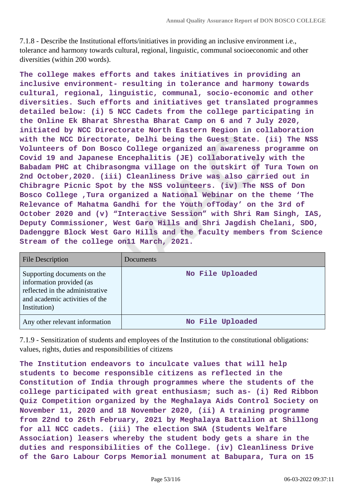7.1.8 - Describe the Institutional efforts/initiatives in providing an inclusive environment i.e., tolerance and harmony towards cultural, regional, linguistic, communal socioeconomic and other diversities (within 200 words).

**The college makes efforts and takes initiatives in providing an inclusive environment- resulting in tolerance and harmony towards cultural, regional, linguistic, communal, socio-economic and other diversities. Such efforts and initiatives get translated programmes detailed below: (i) 5 NCC Cadets from the college participating in the Online Ek Bharat Shrestha Bharat Camp on 6 and 7 July 2020, initiated by NCC Directorate North Eastern Region in collaboration with the NCC Directorate, Delhi being the Guest State. (ii) The NSS Volunteers of Don Bosco College organized an awareness programme on Covid 19 and Japanese Encephalitis (JE) collaboratively with the Babadam PHC at Chibrasongma village on the outskirt of Tura Town on 2nd October,2020. (iii) Cleanliness Drive was also carried out in Chibragre Picnic Spot by the NSS volunteers. (iv) The NSS of Don Bosco College ,Tura organized a National Webinar on the theme 'The Relevance of Mahatma Gandhi for the Youth ofToday' on the 3rd of October 2020 and (v) "Interactive Session" with Shri Ram Singh, IAS, Deputy Commissioner, West Garo Hills and Shri Jagdish Chelani, SDO, Dadenggre Block West Garo Hills and the faculty members from Science Stream of the college on11 March, 2021.**

| <b>File Description</b>                                                                                                                      | Documents        |
|----------------------------------------------------------------------------------------------------------------------------------------------|------------------|
| Supporting documents on the<br>information provided (as<br>reflected in the administrative<br>and academic activities of the<br>Institution) | No File Uploaded |
| Any other relevant information                                                                                                               | No File Uploaded |

7.1.9 - Sensitization of students and employees of the Institution to the constitutional obligations: values, rights, duties and responsibilities of citizens

**The Institution endeavors to inculcate values that will help students to become responsible citizens as reflected in the Constitution of India through programmes where the students of the college participated with great enthusiasm; such as- (i) Red Ribbon Quiz Competition organized by the Meghalaya Aids Control Society on November 11, 2020 and 18 November 2020, (ii) A training programme from 22nd to 26th February, 2021 by Meghalaya Battalion at Shillong for all NCC cadets. (iii) The election SWA (Students Welfare Association) leasers whereby the student body gets a share in the duties and responsibilities of the College. (iv) Cleanliness Drive of the Garo Labour Corps Memorial monument at Babupara, Tura on 15**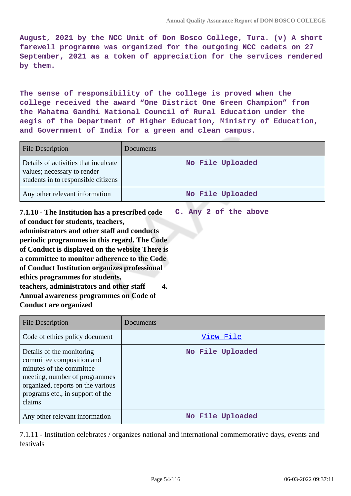**August, 2021 by the NCC Unit of Don Bosco College, Tura. (v) A short farewell programme was organized for the outgoing NCC cadets on 27 September, 2021 as a token of appreciation for the services rendered by them.**

**The sense of responsibility of the college is proved when the college received the award "One District One Green Champion" from the Mahatma Gandhi National Council of Rural Education under the aegis of the Department of Higher Education, Ministry of Education, and Government of India for a green and clean campus.**

| <b>File Description</b>                                                                                    | Documents        |
|------------------------------------------------------------------------------------------------------------|------------------|
| Details of activities that inculcate<br>values; necessary to render<br>students in to responsible citizens | No File Uploaded |
| Any other relevant information                                                                             | No File Uploaded |
|                                                                                                            |                  |

**7.1.10 - The Institution has a prescribed code of conduct for students, teachers, administrators and other staff and conducts periodic programmes in this regard. The Code of Conduct is displayed on the website There is a committee to monitor adherence to the Code of Conduct Institution organizes professional ethics programmes for students, teachers, administrators and other staff 4. Annual awareness programmes on Code of Conduct are organized C. Any 2 of the above**

| File Description                                                                                                                                                                                       | Documents        |
|--------------------------------------------------------------------------------------------------------------------------------------------------------------------------------------------------------|------------------|
| Code of ethics policy document                                                                                                                                                                         | View File        |
| Details of the monitoring<br>committee composition and<br>minutes of the committee<br>meeting, number of programmes<br>organized, reports on the various<br>programs etc., in support of the<br>claims | No File Uploaded |
| Any other relevant information                                                                                                                                                                         | No File Uploaded |

7.1.11 - Institution celebrates / organizes national and international commemorative days, events and festivals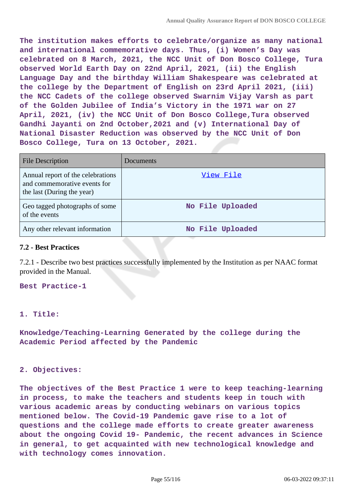**The institution makes efforts to celebrate/organize as many national and international commemorative days. Thus, (i) Women's Day was celebrated on 8 March, 2021, the NCC Unit of Don Bosco College, Tura observed World Earth Day on 22nd April, 2021, (ii) the English Language Day and the birthday William Shakespeare was celebrated at the college by the Department of English on 23rd April 2021, (iii) the NCC Cadets of the college observed Swarnim Vijay Varsh as part of the Golden Jubilee of India's Victory in the 1971 war on 27 April, 2021, (iv) the NCC Unit of Don Bosco College,Tura observed Gandhi Jayanti on 2nd October,2021 and (v) International Day of National Disaster Reduction was observed by the NCC Unit of Don Bosco College, Tura on 13 October, 2021.**

| <b>File Description</b>                                                                         | Documents        |
|-------------------------------------------------------------------------------------------------|------------------|
| Annual report of the celebrations<br>and commemorative events for<br>the last (During the year) | View File        |
| Geo tagged photographs of some<br>of the events                                                 | No File Uploaded |
| Any other relevant information                                                                  | No File Uploaded |

### **7.2 - Best Practices**

7.2.1 - Describe two best practices successfully implemented by the Institution as per NAAC format provided in the Manual.

**Best Practice-1**

### **1. Title:**

**Knowledge/Teaching-Learning Generated by the college during the Academic Period affected by the Pandemic**

### **2. Objectives:**

**The objectives of the Best Practice 1 were to keep teaching-learning in process, to make the teachers and students keep in touch with various academic areas by conducting webinars on various topics mentioned below. The Covid-19 Pandemic gave rise to a lot of questions and the college made efforts to create greater awareness about the ongoing Covid 19- Pandemic, the recent advances in Science in general, to get acquainted with new technological knowledge and with technology comes innovation.**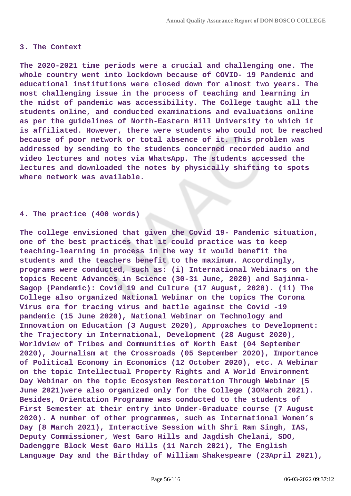#### **3. The Context**

**The 2020-2021 time periods were a crucial and challenging one. The whole country went into lockdown because of COVID- 19 Pandemic and educational institutions were closed down for almost two years. The most challenging issue in the process of teaching and learning in the midst of pandemic was accessibility. The College taught all the students online, and conducted examinations and evaluations online as per the guidelines of North-Eastern Hill University to which it is affiliated. However, there were students who could not be reached because of poor network or total absence of it. This problem was addressed by sending to the students concerned recorded audio and video lectures and notes via WhatsApp. The students accessed the lectures and downloaded the notes by physically shifting to spots where network was available.**

#### **4. The practice (400 words)**

**The college envisioned that given the Covid 19- Pandemic situation, one of the best practices that it could practice was to keep teaching-learning in process in the way it would benefit the students and the teachers benefit to the maximum. Accordingly, programs were conducted, such as: (i) International Webinars on the topics Recent Advances in Science (30-31 June, 2020) and Sajinma-Sagop (Pandemic): Covid 19 and Culture (17 August, 2020). (ii) The College also organized National Webinar on the topics The Corona Virus era for tracing virus and battle against the Covid -19 pandemic (15 June 2020), National Webinar on Technology and Innovation on Education (3 August 2020), Approaches to Development: the Trajectory in International, Development (28 August 2020), Worldview of Tribes and Communities of North East (04 September 2020), Journalism at the Crossroads (05 September 2020), Importance of Political Economy in Economics (12 October 2020), etc. A Webinar on the topic Intellectual Property Rights and A World Environment Day Webinar on the topic Ecosystem Restoration Through Webinar (5 June 2021)were also organized only for the College (30March 2021). Besides, Orientation Programme was conducted to the students of First Semester at their entry into Under-Graduate course (7 August 2020). A number of other programmes, such as International Women's Day (8 March 2021), Interactive Session with Shri Ram Singh, IAS, Deputy Commissioner, West Garo Hills and Jagdish Chelani, SDO, Dadenggre Block West Garo Hills (11 March 2021), The English Language Day and the Birthday of William Shakespeare (23April 2021),**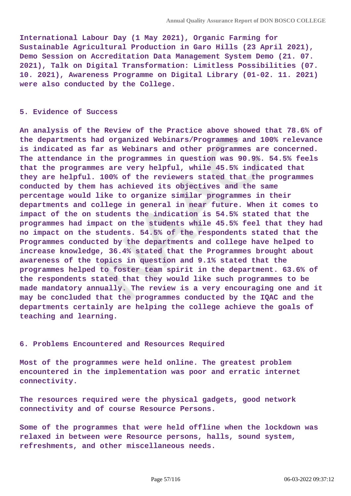**International Labour Day (1 May 2021), Organic Farming for Sustainable Agricultural Production in Garo Hills (23 April 2021), Demo Session on Accreditation Data Management System Demo (21. 07. 2021), Talk on Digital Transformation: Limitless Possibilities (07. 10. 2021), Awareness Programme on Digital Library (01-02. 11. 2021) were also conducted by the College.**

#### **5. Evidence of Success**

**An analysis of the Review of the Practice above showed that 78.6% of the departments had organized Webinars/Programmes and 100% relevance is indicated as far as Webinars and other programmes are concerned. The attendance in the programmes in question was 90.9%. 54.5% feels that the programmes are very helpful, while 45.5% indicated that they are helpful. 100% of the reviewers stated that the programmes conducted by them has achieved its objectives and the same percentage would like to organize similar programmes in their departments and college in general in near future. When it comes to impact of the on students the indication is 54.5% stated that the programmes had impact on the students while 45.5% feel that they had no impact on the students. 54.5% of the respondents stated that the Programmes conducted by the departments and college have helped to increase knowledge, 36.4% stated that the Programmes brought about awareness of the topics in question and 9.1% stated that the programmes helped to foster team spirit in the department. 63.6% of the respondents stated that they would like such programmes to be made mandatory annually. The review is a very encouraging one and it may be concluded that the programmes conducted by the IQAC and the departments certainly are helping the college achieve the goals of teaching and learning.**

#### **6. Problems Encountered and Resources Required**

**Most of the programmes were held online. The greatest problem encountered in the implementation was poor and erratic internet connectivity.**

**The resources required were the physical gadgets, good network connectivity and of course Resource Persons.**

**Some of the programmes that were held offline when the lockdown was relaxed in between were Resource persons, halls, sound system, refreshments, and other miscellaneous needs.**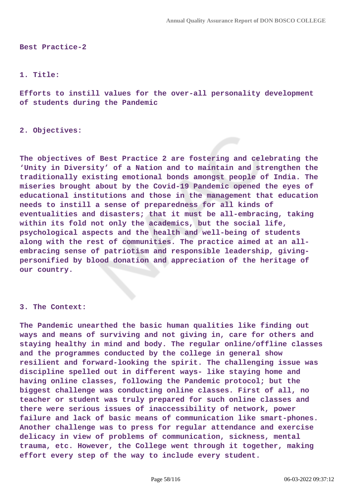**Best Practice-2**

#### **1. Title:**

**Efforts to instill values for the over-all personality development of students during the Pandemic**

**2. Objectives:**

**The objectives of Best Practice 2 are fostering and celebrating the 'Unity in Diversity' of a Nation and to maintain and strengthen the traditionally existing emotional bonds amongst people of India. The miseries brought about by the Covid-19 Pandemic opened the eyes of educational institutions and those in the management that education needs to instill a sense of preparedness for all kinds of eventualities and disasters; that it must be all-embracing, taking within its fold not only the academics, but the social life, psychological aspects and the health and well-being of students along with the rest of communities. The practice aimed at an allembracing sense of patriotism and responsible leadership, givingpersonified by blood donation and appreciation of the heritage of our country.**

#### **3. The Context:**

**The Pandemic unearthed the basic human qualities like finding out ways and means of surviving and not giving in, care for others and staying healthy in mind and body. The regular online/offline classes and the programmes conducted by the college in general show resilient and forward-looking the spirit. The challenging issue was discipline spelled out in different ways- like staying home and having online classes, following the Pandemic protocol; but the biggest challenge was conducting online classes. First of all, no teacher or student was truly prepared for such online classes and there were serious issues of inaccessibility of network, power failure and lack of basic means of communication like smart-phones. Another challenge was to press for regular attendance and exercise delicacy in view of problems of communication, sickness, mental trauma, etc. However, the College went through it together, making effort every step of the way to include every student.**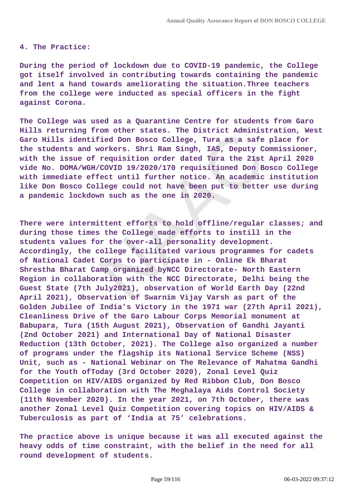#### **4. The Practice:**

**During the period of lockdown due to COVID-19 pandemic, the College got itself involved in contributing towards containing the pandemic and lent a hand towards ameliorating the situation.Three teachers from the college were inducted as special officers in the fight against Corona.**

**The College was used as a Quarantine Centre for students from Garo Hills returning from other states. The District Administration, West Garo Hills identified Don Bosco College, Tura as a safe place for the students and workers. Shri Ram Singh, IAS, Deputy Commissioner, with the issue of requisition order dated Tura the 21st April 2020 vide No. DOMA/WGH/COVID 19/2020/170 requisitioned Don Bosco College with immediate effect until further notice. An academic institution like Don Bosco College could not have been put to better use during a pandemic lockdown such as the one in 2020.**

**There were intermittent efforts to hold offline/regular classes; and during those times the College made efforts to instill in the students values for the over-all personality development. Accordingly, the college facilitated various programmes for cadets of National Cadet Corps to participate in - Online Ek Bharat Shrestha Bharat Camp organized byNCC Directorate- North Eastern Region in collaboration with the NCC Directorate, Delhi being the Guest State (7th July2021), observation of World Earth Day (22nd April 2021), Observation of Swarnim Vijay Varsh as part of the Golden Jubilee of India's Victory in the 1971 war (27th April 2021), Cleanliness Drive of the Garo Labour Corps Memorial monument at Babupara, Tura (15th August 2021), Observation of Gandhi Jayanti (2nd October 2021) and International Day of National Disaster Reduction (13th October, 2021). The College also organized a number of programs under the flagship its National Service Scheme (NSS) Unit, such as - National Webinar on The Relevance of Mahatma Gandhi for the Youth ofToday (3rd October 2020), Zonal Level Quiz Competition on HIV/AIDS organized by Red Ribbon Club, Don Bosco College in collaboration with The Meghalaya Aids Control Society (11th November 2020). In the year 2021, on 7th October, there was another Zonal Level Quiz Competition covering topics on HIV/AIDS & Tuberculosis as part of 'India at 75' celebrations.**

**The practice above is unique because it was all executed against the heavy odds of time constraint, with the belief in the need for all round development of students.**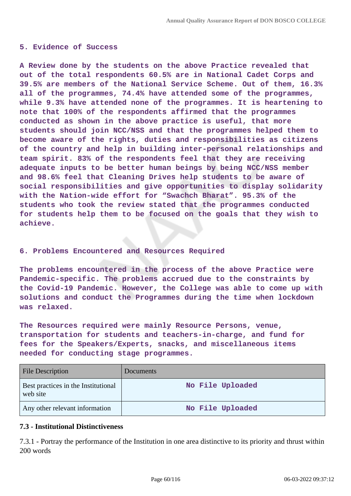#### **5. Evidence of Success**

**A Review done by the students on the above Practice revealed that out of the total respondents 60.5% are in National Cadet Corps and 39.5% are members of the National Service Scheme. Out of them, 16.3% all of the programmes, 74.4% have attended some of the programmes, while 9.3% have attended none of the programmes. It is heartening to note that 100% of the respondents affirmed that the programmes conducted as shown in the above practice is useful, that more students should join NCC/NSS and that the programmes helped them to become aware of the rights, duties and responsibilities as citizens of the country and help in building inter-personal relationships and team spirit. 83% of the respondents feel that they are receiving adequate inputs to be better human beings by being NCC/NSS member and 98.6% feel that Cleaning Drives help students to be aware of social responsibilities and give opportunities to display solidarity with the Nation-wide effort for "Swachch Bharat". 95.3% of the students who took the review stated that the programmes conducted for students help them to be focused on the goals that they wish to achieve.**

### **6. Problems Encountered and Resources Required**

**The problems encountered in the process of the above Practice were Pandemic-specific. The problems accrued due to the constraints by the Covid-19 Pandemic. However, the College was able to come up with solutions and conduct the Programmes during the time when lockdown was relaxed.**

**The Resources required were mainly Resource Persons, venue, transportation for students and teachers-in-charge, and fund for fees for the Speakers/Experts, snacks, and miscellaneous items needed for conducting stage programmes.**

| <b>File Description</b>                         | <b>Documents</b> |
|-------------------------------------------------|------------------|
| Best practices in the Institutional<br>web site | No File Uploaded |
| Any other relevant information                  | No File Uploaded |

### **7.3 - Institutional Distinctiveness**

7.3.1 - Portray the performance of the Institution in one area distinctive to its priority and thrust within 200 words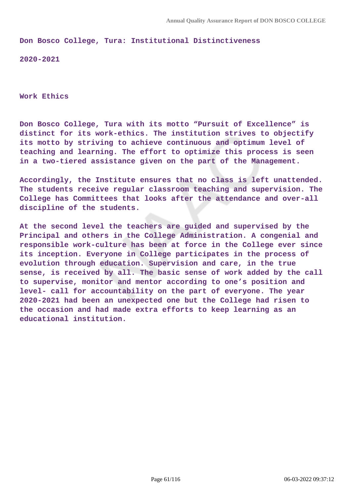**Don Bosco College, Tura: Institutional Distinctiveness**

**2020-2021**

**Work Ethics**

**Don Bosco College, Tura with its motto "Pursuit of Excellence" is distinct for its work-ethics. The institution strives to objectify its motto by striving to achieve continuous and optimum level of teaching and learning. The effort to optimize this process is seen in a two-tiered assistance given on the part of the Management.**

**Accordingly, the Institute ensures that no class is left unattended. The students receive regular classroom teaching and supervision. The College has Committees that looks after the attendance and over-all discipline of the students.**

**At the second level the teachers are guided and supervised by the Principal and others in the College Administration. A congenial and responsible work-culture has been at force in the College ever since its inception. Everyone in College participates in the process of evolution through education. Supervision and care, in the true sense, is received by all. The basic sense of work added by the call to supervise, monitor and mentor according to one's position and level- call for accountability on the part of everyone. The year 2020-2021 had been an unexpected one but the College had risen to the occasion and had made extra efforts to keep learning as an educational institution.**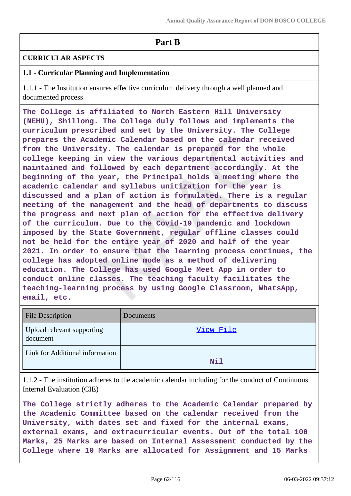# **Part B**

## **CURRICULAR ASPECTS**

## **1.1 - Curricular Planning and Implementation**

1.1.1 - The Institution ensures effective curriculum delivery through a well planned and documented process

**The College is affiliated to North Eastern Hill University (NEHU), Shillong. The College duly follows and implements the curriculum prescribed and set by the University. The College prepares the Academic Calendar based on the calendar received from the University. The calendar is prepared for the whole college keeping in view the various departmental activities and maintained and followed by each department accordingly. At the beginning of the year, the Principal holds a meeting where the academic calendar and syllabus unitization for the year is discussed and a plan of action is formulated. There is a regular meeting of the management and the head of departments to discuss the progress and next plan of action for the effective delivery of the curriculum. Due to the Covid-19 pandemic and lockdown imposed by the State Government, regular offline classes could not be held for the entire year of 2020 and half of the year 2021. In order to ensure that the learning process continues, the college has adopted online mode as a method of delivering education. The College has used Google Meet App in order to conduct online classes. The teaching faculty facilitates the teaching-learning process by using Google Classroom, WhatsApp, email, etc.**

| <b>File Description</b>                | Documents |
|----------------------------------------|-----------|
| Upload relevant supporting<br>document | View File |
| Link for Additional information        | Nil       |

1.1.2 - The institution adheres to the academic calendar including for the conduct of Continuous Internal Evaluation (CIE)

**The College strictly adheres to the Academic Calendar prepared by the Academic Committee based on the calendar received from the University, with dates set and fixed for the internal exams, external exams, and extracurricular events. Out of the total 100 Marks, 25 Marks are based on Internal Assessment conducted by the College where 10 Marks are allocated for Assignment and 15 Marks**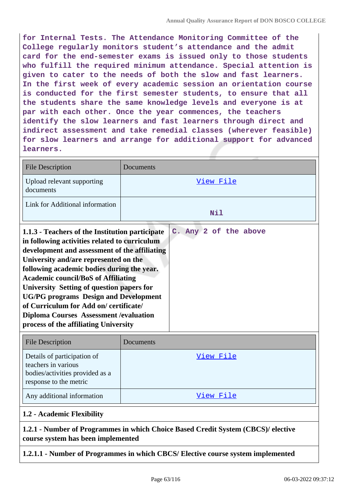**for Internal Tests. The Attendance Monitoring Committee of the College regularly monitors student's attendance and the admit card for the end-semester exams is issued only to those students who fulfill the required minimum attendance. Special attention is given to cater to the needs of both the slow and fast learners. In the first week of every academic session an orientation course is conducted for the first semester students, to ensure that all the students share the same knowledge levels and everyone is at par with each other. Once the year commences, the teachers identify the slow learners and fast learners through direct and indirect assessment and take remedial classes (wherever feasible) for slow learners and arrange for additional support for advanced learners.**

| <b>File Description</b>                                                                                                                                                                                                                                                                                                                                                                                                                                                                                                                          | Documents  |
|--------------------------------------------------------------------------------------------------------------------------------------------------------------------------------------------------------------------------------------------------------------------------------------------------------------------------------------------------------------------------------------------------------------------------------------------------------------------------------------------------------------------------------------------------|------------|
| Upload relevant supporting<br>documents                                                                                                                                                                                                                                                                                                                                                                                                                                                                                                          | View File  |
| Link for Additional information                                                                                                                                                                                                                                                                                                                                                                                                                                                                                                                  | <b>Nil</b> |
| C. Any 2 of the above<br>1.1.3 - Teachers of the Institution participate<br>in following activities related to curriculum<br>development and assessment of the affiliating<br>University and/are represented on the<br>following academic bodies during the year.<br><b>Academic council/BoS of Affiliating</b><br>University Setting of question papers for<br><b>UG/PG</b> programs Design and Development<br>of Curriculum for Add on/certificate/<br><b>Diploma Courses Assessment / evaluation</b><br>process of the affiliating University |            |
| <b>File Description</b>                                                                                                                                                                                                                                                                                                                                                                                                                                                                                                                          | Documents  |
| Details of participation of<br>teachers in various<br>bodies/activities provided as a<br>response to the metric                                                                                                                                                                                                                                                                                                                                                                                                                                  | View File  |
| Any additional information                                                                                                                                                                                                                                                                                                                                                                                                                                                                                                                       | View File  |

# **1.2 - Academic Flexibility**

# **1.2.1 - Number of Programmes in which Choice Based Credit System (CBCS)/ elective course system has been implemented**

**1.2.1.1 - Number of Programmes in which CBCS/ Elective course system implemented**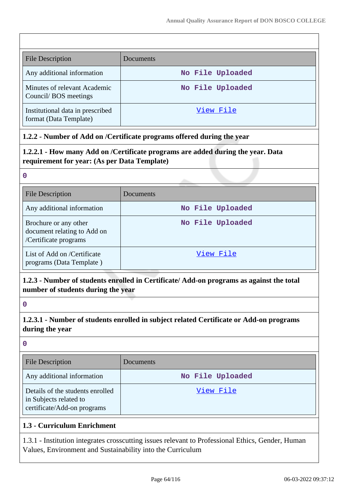| <b>File Description</b>                                    | Documents        |
|------------------------------------------------------------|------------------|
| Any additional information                                 | No File Uploaded |
| Minutes of relevant Academic<br>Council/BOS meetings       | No File Uploaded |
| Institutional data in prescribed<br>format (Data Template) | View File        |

# **1.2.2 - Number of Add on /Certificate programs offered during the year**

**1.2.2.1 - How many Add on /Certificate programs are added during the year. Data requirement for year: (As per Data Template)**

### **0**

| <b>File Description</b>                                                       | Documents        |
|-------------------------------------------------------------------------------|------------------|
| Any additional information                                                    | No File Uploaded |
| Brochure or any other<br>document relating to Add on<br>/Certificate programs | No File Uploaded |
| List of Add on /Certificate<br>programs (Data Template)                       | View File        |

# **1.2.3 - Number of students enrolled in Certificate/ Add-on programs as against the total number of students during the year**

**0**

**1.2.3.1 - Number of students enrolled in subject related Certificate or Add-on programs during the year**

**0**

| <b>File Description</b>                                                                   | Documents        |
|-------------------------------------------------------------------------------------------|------------------|
| Any additional information                                                                | No File Uploaded |
| Details of the students enrolled<br>in Subjects related to<br>certificate/Add-on programs | View File        |

# **1.3 - Curriculum Enrichment**

1.3.1 - Institution integrates crosscutting issues relevant to Professional Ethics, Gender, Human Values, Environment and Sustainability into the Curriculum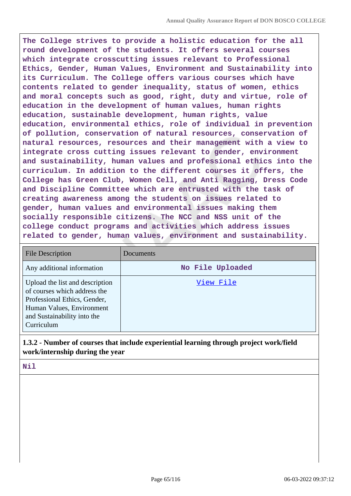**The College strives to provide a holistic education for the all round development of the students. It offers several courses which integrate crosscutting issues relevant to Professional Ethics, Gender, Human Values, Environment and Sustainability into its Curriculum. The College offers various courses which have contents related to gender inequality, status of women, ethics and moral concepts such as good, right, duty and virtue, role of education in the development of human values, human rights education, sustainable development, human rights, value education, environmental ethics, role of individual in prevention of pollution, conservation of natural resources, conservation of natural resources, resources and their management with a view to integrate cross cutting issues relevant to gender, environment and sustainability, human values and professional ethics into the curriculum. In addition to the different courses it offers, the College has Green Club, Women Cell, and Anti Ragging, Dress Code and Discipline Committee which are entrusted with the task of creating awareness among the students on issues related to gender, human values and environmental issues making them socially responsible citizens. The NCC and NSS unit of the college conduct programs and activities which address issues related to gender, human values, environment and sustainability.**

| <b>File Description</b>                                                                                                                                                   | <b>Documents</b> |
|---------------------------------------------------------------------------------------------------------------------------------------------------------------------------|------------------|
| Any additional information                                                                                                                                                | No File Uploaded |
| Upload the list and description<br>of courses which address the<br>Professional Ethics, Gender,<br>Human Values, Environment<br>and Sustainability into the<br>Curriculum | View File        |

**1.3.2 - Number of courses that include experiential learning through project work/field work/internship during the year**

### **Nil**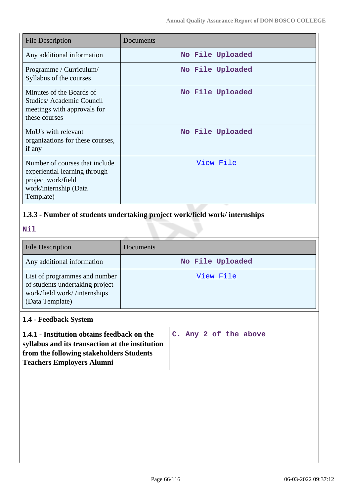| <b>File Description</b>                                                                                                     | Documents        |
|-----------------------------------------------------------------------------------------------------------------------------|------------------|
| Any additional information                                                                                                  | No File Uploaded |
| Programme / Curriculum/<br>Syllabus of the courses                                                                          | No File Uploaded |
| Minutes of the Boards of<br>Studies/Academic Council<br>meetings with approvals for<br>these courses                        | No File Uploaded |
| MoU's with relevant<br>organizations for these courses,<br>if any                                                           | No File Uploaded |
| Number of courses that include<br>experiential learning through<br>project work/field<br>work/internship (Data<br>Template) | <u>View File</u> |

# **1.3.3 - Number of students undertaking project work/field work/ internships**

**Nil**

| <b>File Description</b>                                                                                             | Documents        |
|---------------------------------------------------------------------------------------------------------------------|------------------|
| Any additional information                                                                                          | No File Uploaded |
| List of programmes and number<br>of students undertaking project<br>work/field work//internships<br>(Data Template) | View File        |

# **1.4 - Feedback System**

| 1.4.1 - Institution obtains feedback on the     |  |  | C. Any 2 of the above |
|-------------------------------------------------|--|--|-----------------------|
| syllabus and its transaction at the institution |  |  |                       |
| from the following stakeholders Students        |  |  |                       |
| <b>Teachers Employers Alumni</b>                |  |  |                       |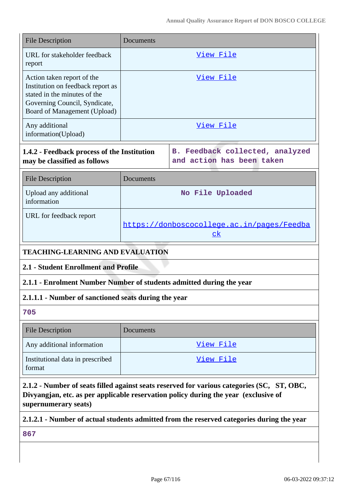| <b>File Description</b>                                                                                                                                                                                   | Documents                                                       |                                                                                           |  |  |
|-----------------------------------------------------------------------------------------------------------------------------------------------------------------------------------------------------------|-----------------------------------------------------------------|-------------------------------------------------------------------------------------------|--|--|
| URL for stakeholder feedback<br>report                                                                                                                                                                    | View File                                                       |                                                                                           |  |  |
| Action taken report of the<br>Institution on feedback report as<br>stated in the minutes of the<br>Governing Council, Syndicate,<br>Board of Management (Upload)                                          | View File                                                       |                                                                                           |  |  |
| Any additional<br>information(Upload)                                                                                                                                                                     | View File                                                       |                                                                                           |  |  |
| 1.4.2 - Feedback process of the Institution<br>may be classified as follows                                                                                                                               | Feedback collected, analyzed<br>в.<br>and action has been taken |                                                                                           |  |  |
| <b>File Description</b>                                                                                                                                                                                   | Documents                                                       |                                                                                           |  |  |
| Upload any additional<br>information                                                                                                                                                                      | No File Uploaded                                                |                                                                                           |  |  |
| URL for feedback report                                                                                                                                                                                   | https://donboscocollege.ac.in/pages/Feedba<br>$c$ k             |                                                                                           |  |  |
| <b>TEACHING-LEARNING AND EVALUATION</b>                                                                                                                                                                   |                                                                 |                                                                                           |  |  |
| 2.1 - Student Enrollment and Profile                                                                                                                                                                      |                                                                 |                                                                                           |  |  |
| 2.1.1 - Enrolment Number Number of students admitted during the year                                                                                                                                      |                                                                 |                                                                                           |  |  |
| 2.1.1.1 - Number of sanctioned seats during the year                                                                                                                                                      |                                                                 |                                                                                           |  |  |
| 705                                                                                                                                                                                                       |                                                                 |                                                                                           |  |  |
| <b>File Description</b>                                                                                                                                                                                   | Documents                                                       |                                                                                           |  |  |
| Any additional information                                                                                                                                                                                | <u>View File</u>                                                |                                                                                           |  |  |
| Institutional data in prescribed<br>format                                                                                                                                                                | View File                                                       |                                                                                           |  |  |
| 2.1.2 - Number of seats filled against seats reserved for various categories (SC, ST, OBC,<br>Divyangjan, etc. as per applicable reservation policy during the year (exclusive of<br>supernumerary seats) |                                                                 |                                                                                           |  |  |
|                                                                                                                                                                                                           |                                                                 | 2.1.2.1 - Number of actual students admitted from the reserved categories during the year |  |  |
| 867                                                                                                                                                                                                       |                                                                 |                                                                                           |  |  |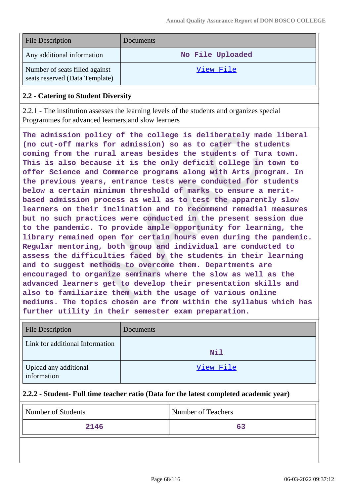| <b>File Description</b>                                          | Documents        |
|------------------------------------------------------------------|------------------|
| Any additional information                                       | No File Uploaded |
| Number of seats filled against<br>seats reserved (Data Template) | View File        |

### **2.2 - Catering to Student Diversity**

2.2.1 - The institution assesses the learning levels of the students and organizes special Programmes for advanced learners and slow learners

**The admission policy of the college is deliberately made liberal (no cut-off marks for admission) so as to cater the students coming from the rural areas besides the students of Tura town. This is also because it is the only deficit college in town to offer Science and Commerce programs along with Arts program. In the previous years, entrance tests were conducted for students below a certain minimum threshold of marks to ensure a meritbased admission process as well as to test the apparently slow learners on their inclination and to recommend remedial measures but no such practices were conducted in the present session due to the pandemic. To provide ample opportunity for learning, the library remained open for certain hours even during the pandemic. Regular mentoring, both group and individual are conducted to assess the difficulties faced by the students in their learning and to suggest methods to overcome them. Departments are encouraged to organize seminars where the slow as well as the advanced learners get to develop their presentation skills and also to familiarize them with the usage of various online mediums. The topics chosen are from within the syllabus which has further utility in their semester exam preparation.**

| <b>File Description</b>              | Documents |
|--------------------------------------|-----------|
| Link for additional Information      | Nil       |
| Upload any additional<br>information | View File |

### **2.2.2 - Student- Full time teacher ratio (Data for the latest completed academic year)**

| Number of Students | Number of Teachers |
|--------------------|--------------------|
| 2146               |                    |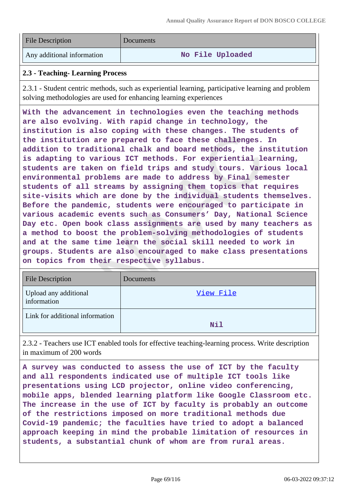| <b>File Description</b>    | Documents        |
|----------------------------|------------------|
| Any additional information | No File Uploaded |

## **2.3 - Teaching- Learning Process**

2.3.1 - Student centric methods, such as experiential learning, participative learning and problem solving methodologies are used for enhancing learning experiences

**With the advancement in technologies even the teaching methods are also evolving. With rapid change in technology, the institution is also coping with these changes. The students of the institution are prepared to face these challenges. In addition to traditional chalk and board methods, the institution is adapting to various ICT methods. For experiential learning, students are taken on field trips and study tours. Various local environmental problems are made to address by Final semester students of all streams by assigning them topics that requires site-visits which are done by the individual students themselves. Before the pandemic, students were encouraged to participate in various academic events such as Consumers' Day, National Science Day etc. Open book class assignments are used by many teachers as a method to boost the problem-solving methodologies of students and at the same time learn the social skill needed to work in groups. Students are also encouraged to make class presentations on topics from their respective syllabus.**

| <b>File Description</b>              | Documents |
|--------------------------------------|-----------|
| Upload any additional<br>information | View File |
| Link for additional information      | Nil       |

2.3.2 - Teachers use ICT enabled tools for effective teaching-learning process. Write description in maximum of 200 words

**A survey was conducted to assess the use of ICT by the faculty and all respondents indicated use of multiple ICT tools like presentations using LCD projector, online video conferencing, mobile apps, blended learning platform like Google Classroom etc. The increase in the use of ICT by faculty is probably an outcome of the restrictions imposed on more traditional methods due Covid-19 pandemic; the faculties have tried to adopt a balanced approach keeping in mind the probable limitation of resources in students, a substantial chunk of whom are from rural areas.**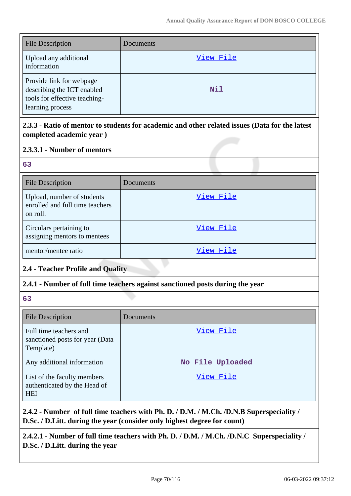| <b>File Description</b>                                                                                     | Documents  |
|-------------------------------------------------------------------------------------------------------------|------------|
| Upload any additional<br>information                                                                        | View File  |
| Provide link for webpage<br>describing the ICT enabled<br>tools for effective teaching-<br>learning process | <b>Nil</b> |

**2.3.3 - Ratio of mentor to students for academic and other related issues (Data for the latest completed academic year )**

# **2.3.3.1 - Number of mentors**

## **63**

| <b>File Description</b>                                                   | Documents |
|---------------------------------------------------------------------------|-----------|
| Upload, number of students<br>enrolled and full time teachers<br>on roll. | View File |
| Circulars pertaining to<br>assigning mentors to mentees                   | View File |
| mentor/mentee ratio                                                       | View File |

# **2.4 - Teacher Profile and Quality**

## **2.4.1 - Number of full time teachers against sanctioned posts during the year**

## **63**

| <b>File Description</b>                                                   | Documents        |
|---------------------------------------------------------------------------|------------------|
| Full time teachers and<br>sanctioned posts for year (Data<br>Template)    | View File        |
| Any additional information                                                | No File Uploaded |
| List of the faculty members<br>authenticated by the Head of<br><b>HEI</b> | View File        |

**2.4.2 - Number of full time teachers with Ph. D. / D.M. / M.Ch. /D.N.B Superspeciality / D.Sc. / D.Litt. during the year (consider only highest degree for count)**

**2.4.2.1 - Number of full time teachers with Ph. D. / D.M. / M.Ch. /D.N.C Superspeciality / D.Sc. / D.Litt. during the year**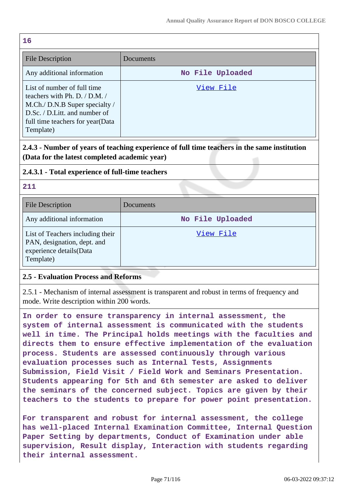| 16                                                                                                                                                                                   |                  |  |
|--------------------------------------------------------------------------------------------------------------------------------------------------------------------------------------|------------------|--|
| <b>File Description</b>                                                                                                                                                              | Documents        |  |
| Any additional information                                                                                                                                                           | No File Uploaded |  |
| List of number of full time<br>teachers with Ph. D. $/$ D.M. $/$<br>M.Ch./ D.N.B Super specialty /<br>D.Sc. / D.Litt. and number of<br>full time teachers for year(Data<br>Template) | View File        |  |

# **2.4.3 - Number of years of teaching experience of full time teachers in the same institution (Data for the latest completed academic year)**

## **2.4.3.1 - Total experience of full-time teachers**

## **211**

| <b>File Description</b>                                                                                 | Documents        |
|---------------------------------------------------------------------------------------------------------|------------------|
| Any additional information                                                                              | No File Uploaded |
| List of Teachers including their<br>PAN, designation, dept. and<br>experience details(Data<br>Template) | View File        |

## **2.5 - Evaluation Process and Reforms**

2.5.1 - Mechanism of internal assessment is transparent and robust in terms of frequency and mode. Write description within 200 words.

**In order to ensure transparency in internal assessment, the system of internal assessment is communicated with the students well in time. The Principal holds meetings with the faculties and directs them to ensure effective implementation of the evaluation process. Students are assessed continuously through various evaluation processes such as Internal Tests, Assignments Submission, Field Visit / Field Work and Seminars Presentation. Students appearing for 5th and 6th semester are asked to deliver the seminars of the concerned subject. Topics are given by their teachers to the students to prepare for power point presentation.**

**For transparent and robust for internal assessment, the college has well-placed Internal Examination Committee, Internal Question Paper Setting by departments, Conduct of Examination under able supervision, Result display, Interaction with students regarding their internal assessment.**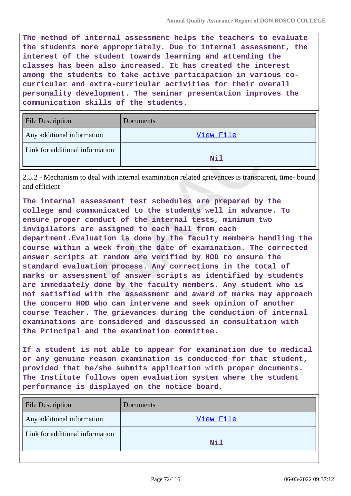**The method of internal assessment helps the teachers to evaluate the students more appropriately. Due to internal assessment, the interest of the student towards learning and attending the classes has been also increased. It has created the interest among the students to take active participation in various cocurricular and extra-curricular activities for their overall personality development. The seminar presentation improves the communication skills of the students.**

| <b>File Description</b>         | Documents |
|---------------------------------|-----------|
| Any additional information      | View File |
| Link for additional information | Nil       |

2.5.2 - Mechanism to deal with internal examination related grievances is transparent, time- bound and efficient

**The internal assessment test schedules are prepared by the college and communicated to the students well in advance. To ensure proper conduct of the internal tests, minimum two invigilators are assigned to each hall from each department.Evaluation is done by the faculty members handling the course within a week from the date of examination. The corrected answer scripts at random are verified by HOD to ensure the standard evaluation process. Any corrections in the total of marks or assessment of answer scripts as identified by students are immediately done by the faculty members. Any student who is not satisfied with the assessment and award of marks may approach the concern HOD who can intervene and seek opinion of another course Teacher. The grievances during the conduction of internal examinations are considered and discussed in consultation with the Principal and the examination committee.**

**If a student is not able to appear for examination due to medical or any genuine reason examination is conducted for that student, provided that he/she submits application with proper documents. The Institute follows open evaluation system where the student performance is displayed on the notice board.**

| Documents |
|-----------|
| View File |
| Nil       |
|           |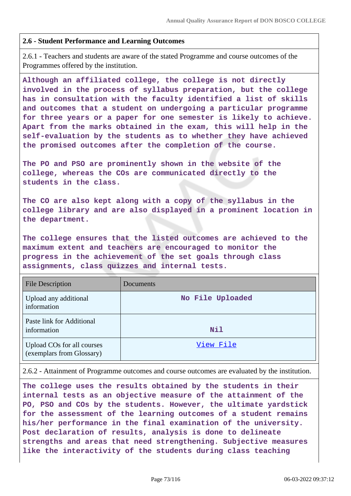#### **2.6 - Student Performance and Learning Outcomes**

2.6.1 - Teachers and students are aware of the stated Programme and course outcomes of the Programmes offered by the institution.

**Although an affiliated college, the college is not directly involved in the process of syllabus preparation, but the college has in consultation with the faculty identified a list of skills and outcomes that a student on undergoing a particular programme for three years or a paper for one semester is likely to achieve. Apart from the marks obtained in the exam, this will help in the self-evaluation by the students as to whether they have achieved the promised outcomes after the completion of the course.**

**The PO and PSO are prominently shown in the website of the college, whereas the COs are communicated directly to the students in the class.**

**The CO are also kept along with a copy of the syllabus in the college library and are also displayed in a prominent location in the department.**

**The college ensures that the listed outcomes are achieved to the maximum extent and teachers are encouraged to monitor the progress in the achievement of the set goals through class assignments, class quizzes and internal tests.**

| <b>File Description</b>                                 | Documents        |
|---------------------------------------------------------|------------------|
| Upload any additional<br>information                    | No File Uploaded |
| Paste link for Additional<br>information                | <b>Nil</b>       |
| Upload COs for all courses<br>(exemplars from Glossary) | View File        |

2.6.2 - Attainment of Programme outcomes and course outcomes are evaluated by the institution.

**The college uses the results obtained by the students in their internal tests as an objective measure of the attainment of the PO, PSO and COs by the students. However, the ultimate yardstick for the assessment of the learning outcomes of a student remains his/her performance in the final examination of the university. Post declaration of results, analysis is done to delineate strengths and areas that need strengthening. Subjective measures like the interactivity of the students during class teaching**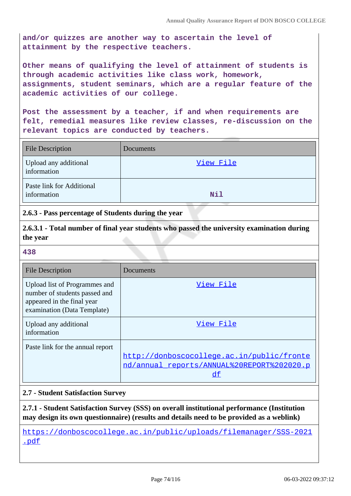**and/or quizzes are another way to ascertain the level of attainment by the respective teachers.**

**Other means of qualifying the level of attainment of students is through academic activities like class work, homework, assignments, student seminars, which are a regular feature of the academic activities of our college.**

**Post the assessment by a teacher, if and when requirements are felt, remedial measures like review classes, re-discussion on the relevant topics are conducted by teachers.**

| <b>File Description</b>                  | Documents  |
|------------------------------------------|------------|
| Upload any additional<br>information     | View File  |
| Paste link for Additional<br>information | <b>Nil</b> |

**2.6.3 - Pass percentage of Students during the year**

**2.6.3.1 - Total number of final year students who passed the university examination during the year**

#### **438**

| <b>File Description</b>                                                                                                     | Documents                                                                                      |
|-----------------------------------------------------------------------------------------------------------------------------|------------------------------------------------------------------------------------------------|
| Upload list of Programmes and<br>number of students passed and<br>appeared in the final year<br>examination (Data Template) | View File                                                                                      |
| Upload any additional<br>information                                                                                        | View File                                                                                      |
| Paste link for the annual report                                                                                            | http://donboscocollege.ac.in/public/fronte<br>nd/annual reports/ANNUAL%20REPORT%202020.p<br>df |

### **2.7 - Student Satisfaction Survey**

**2.7.1 - Student Satisfaction Survey (SSS) on overall institutional performance (Institution may design its own questionnaire) (results and details need to be provided as a weblink)**

https://donboscocollege.ac.in/public/uploads/filemanager/SSS-2021 .pdf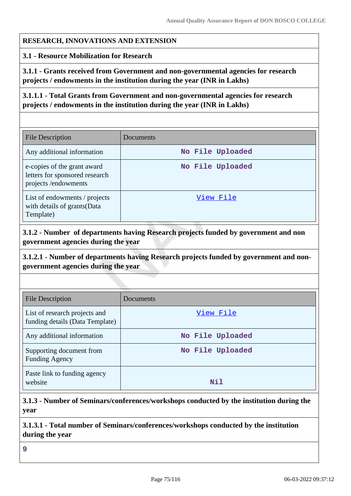#### **RESEARCH, INNOVATIONS AND EXTENSION**

#### **3.1 - Resource Mobilization for Research**

**3.1.1 - Grants received from Government and non-governmental agencies for research projects / endowments in the institution during the year (INR in Lakhs)**

**3.1.1.1 - Total Grants from Government and non-governmental agencies for research projects / endowments in the institution during the year (INR in Lakhs)**

| File Description                                                                     | Documents        |
|--------------------------------------------------------------------------------------|------------------|
| Any additional information                                                           | No File Uploaded |
| e-copies of the grant award<br>letters for sponsored research<br>projects/endowments | No File Uploaded |
| List of endowments / projects<br>with details of grants(Data<br>Template)            | View File        |

**3.1.2 - Number of departments having Research projects funded by government and non government agencies during the year**

**3.1.2.1 - Number of departments having Research projects funded by government and nongovernment agencies during the year**

| <b>File Description</b>                                          | Documents        |
|------------------------------------------------------------------|------------------|
| List of research projects and<br>funding details (Data Template) | View File        |
| Any additional information                                       | No File Uploaded |
| Supporting document from<br><b>Funding Agency</b>                | No File Uploaded |
| Paste link to funding agency<br>website                          | Nil              |

**3.1.3 - Number of Seminars/conferences/workshops conducted by the institution during the year**

**3.1.3.1 - Total number of Seminars/conferences/workshops conducted by the institution during the year**

**9**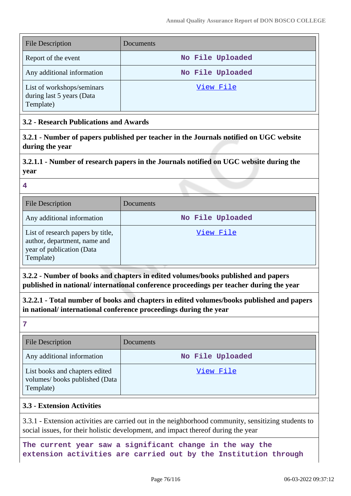| <b>File Description</b>                                              | Documents        |
|----------------------------------------------------------------------|------------------|
| Report of the event                                                  | No File Uploaded |
| Any additional information                                           | No File Uploaded |
| List of workshops/seminars<br>during last 5 years (Data<br>Template) | View File        |

## **3.2 - Research Publications and Awards**

**3.2.1 - Number of papers published per teacher in the Journals notified on UGC website during the year**

# **3.2.1.1 - Number of research papers in the Journals notified on UGC website during the year**

**4**

| <b>File Description</b>                                                                                     | Documents        |
|-------------------------------------------------------------------------------------------------------------|------------------|
| Any additional information                                                                                  | No File Uploaded |
| List of research papers by title,<br>author, department, name and<br>year of publication (Data<br>Template) | View File        |

**3.2.2 - Number of books and chapters in edited volumes/books published and papers published in national/ international conference proceedings per teacher during the year**

**3.2.2.1 - Total number of books and chapters in edited volumes/books published and papers in national/ international conference proceedings during the year**

**7**

| <b>File Description</b>                                                      | Documents        |
|------------------------------------------------------------------------------|------------------|
| Any additional information                                                   | No File Uploaded |
| List books and chapters edited<br>volumes/books published (Data<br>Template) | View File        |

### **3.3 - Extension Activities**

3.3.1 - Extension activities are carried out in the neighborhood community, sensitizing students to social issues, for their holistic development, and impact thereof during the year

**The current year saw a significant change in the way the extension activities are carried out by the Institution through**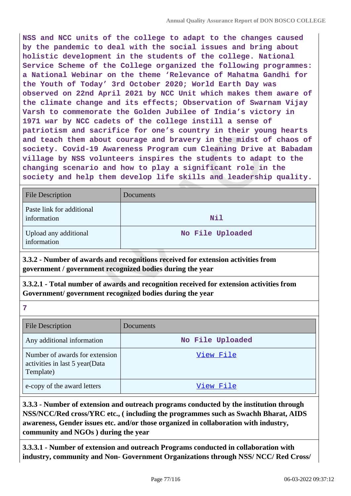**NSS and NCC units of the college to adapt to the changes caused by the pandemic to deal with the social issues and bring about holistic development in the students of the college. National Service Scheme of the College organized the following programmes: a National Webinar on the theme 'Relevance of Mahatma Gandhi for the Youth of Today' 3rd October 2020; World Earth Day was observed on 22nd April 2021 by NCC Unit which makes them aware of the climate change and its effects; Observation of Swarnam Vijay Varsh to commemorate the Golden Jubilee of India's victory in 1971 war by NCC cadets of the college instill a sense of patriotism and sacrifice for one's country in their young hearts and teach them about courage and bravery in the midst of chaos of society. Covid-19 Awareness Program cum Cleaning Drive at Babadam village by NSS volunteers inspires the students to adapt to the changing scenario and how to play a significant role in the society and help them develop life skills and leadership quality.**

| <b>File Description</b>                  | Documents        |
|------------------------------------------|------------------|
| Paste link for additional<br>information | <b>Nil</b>       |
| Upload any additional<br>information     | No File Uploaded |

**3.3.2 - Number of awards and recognitions received for extension activities from government / government recognized bodies during the year**

**3.3.2.1 - Total number of awards and recognition received for extension activities from Government/ government recognized bodies during the year**

| <b>File Description</b>                                                       | <b>Documents</b> |
|-------------------------------------------------------------------------------|------------------|
| Any additional information                                                    | No File Uploaded |
| Number of awards for extension<br>activities in last 5 year(Data<br>Template) | View File        |
| e-copy of the award letters                                                   | View File        |

**3.3.3 - Number of extension and outreach programs conducted by the institution through NSS/NCC/Red cross/YRC etc., ( including the programmes such as Swachh Bharat, AIDS awareness, Gender issues etc. and/or those organized in collaboration with industry, community and NGOs ) during the year**

**3.3.3.1 - Number of extension and outreach Programs conducted in collaboration with industry, community and Non- Government Organizations through NSS/ NCC/ Red Cross/**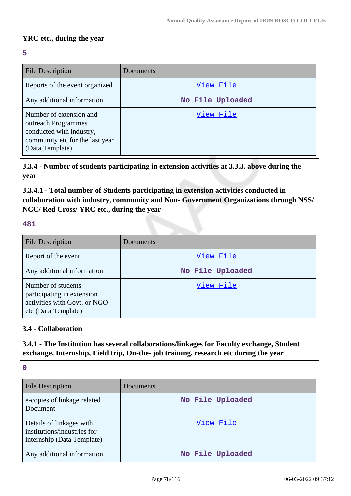### **YRC etc., during the year**

| 5                                                                                                                                |                  |
|----------------------------------------------------------------------------------------------------------------------------------|------------------|
| File Description                                                                                                                 | Documents        |
| Reports of the event organized                                                                                                   | View File        |
| Any additional information                                                                                                       | No File Uploaded |
| Number of extension and<br>outreach Programmes<br>conducted with industry,<br>community etc for the last year<br>(Data Template) | View File        |

**3.3.4 - Number of students participating in extension activities at 3.3.3. above during the year**

**3.3.4.1 - Total number of Students participating in extension activities conducted in collaboration with industry, community and Non- Government Organizations through NSS/ NCC/ Red Cross/ YRC etc., during the year**

**481**

| <b>File Description</b>                                                                                 | Documents        |
|---------------------------------------------------------------------------------------------------------|------------------|
| Report of the event                                                                                     | View File        |
| Any additional information                                                                              | No File Uploaded |
| Number of students<br>participating in extension<br>activities with Govt. or NGO<br>etc (Data Template) | View File        |

#### **3.4 - Collaboration**

**3.4.1 - The Institution has several collaborations/linkages for Faculty exchange, Student exchange, Internship, Field trip, On-the- job training, research etc during the year**

| $\mathbf 0$                                                                           |                  |
|---------------------------------------------------------------------------------------|------------------|
| <b>File Description</b>                                                               | Documents        |
| e-copies of linkage related<br>Document                                               | No File Uploaded |
| Details of linkages with<br>institutions/industries for<br>internship (Data Template) | View File        |
| Any additional information                                                            | No File Uploaded |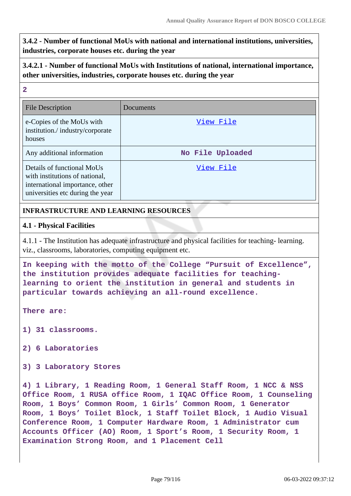**3.4.2 - Number of functional MoUs with national and international institutions, universities, industries, corporate houses etc. during the year**

## **3.4.2.1 - Number of functional MoUs with Institutions of national, international importance, other universities, industries, corporate houses etc. during the year**

# **2** File Description Documents e-Copies of the MoUs with institution./ industry/corporate houses View File Any additional information **No File Uploaded** Details of functional MoUs with institutions of national, international importance, other universities etc during the year View File

# **INFRASTRUCTURE AND LEARNING RESOURCES**

### **4.1 - Physical Facilities**

4.1.1 - The Institution has adequate infrastructure and physical facilities for teaching- learning. viz., classrooms, laboratories, computing equipment etc.

**In keeping with the motto of the College "Pursuit of Excellence", the institution provides adequate facilities for teachinglearning to orient the institution in general and students in particular towards achieving an all-round excellence.**

**There are:**

**1) 31 classrooms.**

**2) 6 Laboratories**

**3) 3 Laboratory Stores**

**4) 1 Library, 1 Reading Room, 1 General Staff Room, 1 NCC & NSS Office Room, 1 RUSA office Room, 1 IQAC Office Room, 1 Counseling Room, 1 Boys' Common Room, 1 Girls' Common Room, 1 Generator Room, 1 Boys' Toilet Block, 1 Staff Toilet Block, 1 Audio Visual Conference Room, 1 Computer Hardware Room, 1 Administrator cum Accounts Officer (AO) Room, 1 Sport's Room, 1 Security Room, 1 Examination Strong Room, and 1 Placement Cell**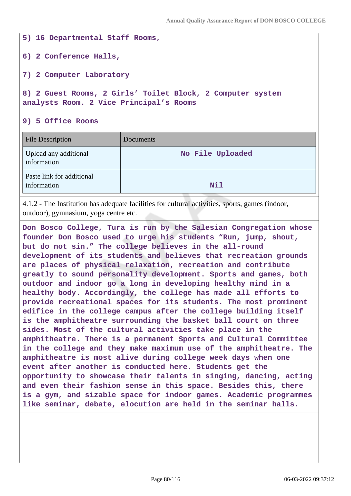**5) 16 Departmental Staff Rooms, 6) 2 Conference Halls, 7) 2 Computer Laboratory 8) 2 Guest Rooms, 2 Girls' Toilet Block, 2 Computer system analysts Room. 2 Vice Principal's Rooms**

**9) 5 Office Rooms**

| <b>File Description</b>                  | Documents        |
|------------------------------------------|------------------|
| Upload any additional<br>information     | No File Uploaded |
| Paste link for additional<br>information | Nil              |

4.1.2 - The Institution has adequate facilities for cultural activities, sports, games (indoor, outdoor), gymnasium, yoga centre etc.

**Don Bosco College, Tura is run by the Salesian Congregation whose founder Don Bosco used to urge his students "Run, jump, shout, but do not sin." The college believes in the all-round development of its students and believes that recreation grounds are places of physical relaxation, recreation and contribute greatly to sound personality development. Sports and games, both outdoor and indoor go a long in developing healthy mind in a healthy body. Accordingly, the college has made all efforts to provide recreational spaces for its students. The most prominent edifice in the college campus after the college building itself is the amphitheatre surrounding the basket ball court on three sides. Most of the cultural activities take place in the amphitheatre. There is a permanent Sports and Cultural Committee in the college and they make maximum use of the amphitheatre. The amphitheatre is most alive during college week days when one event after another is conducted here. Students get the opportunity to showcase their talents in singing, dancing, acting and even their fashion sense in this space. Besides this, there is a gym, and sizable space for indoor games. Academic programmes like seminar, debate, elocution are held in the seminar halls.**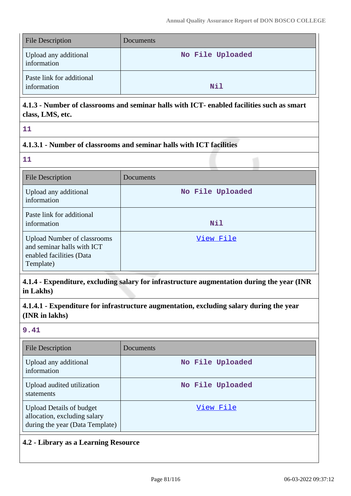| <b>File Description</b>                  | Documents        |
|------------------------------------------|------------------|
| Upload any additional<br>information     | No File Uploaded |
| Paste link for additional<br>information | Nil              |

# **4.1.3 - Number of classrooms and seminar halls with ICT- enabled facilities such as smart class, LMS, etc.**

**11**

# **4.1.3.1 - Number of classrooms and seminar halls with ICT facilities**

**11**

| <b>File Description</b>                                                                                   | Documents        |
|-----------------------------------------------------------------------------------------------------------|------------------|
| Upload any additional<br>information                                                                      | No File Uploaded |
| Paste link for additional<br>information                                                                  | Nil              |
| <b>Upload Number of classrooms</b><br>and seminar halls with ICT<br>enabled facilities (Data<br>Template) | View File        |

**4.1.4 - Expenditure, excluding salary for infrastructure augmentation during the year (INR in Lakhs)**

**4.1.4.1 - Expenditure for infrastructure augmentation, excluding salary during the year (INR in lakhs)**

### **9.41**

| <b>File Description</b>                                                                            | Documents        |
|----------------------------------------------------------------------------------------------------|------------------|
| Upload any additional<br>information                                                               | No File Uploaded |
| Upload audited utilization<br>statements                                                           | No File Uploaded |
| <b>Upload Details of budget</b><br>allocation, excluding salary<br>during the year (Data Template) | View File        |

# **4.2 - Library as a Learning Resource**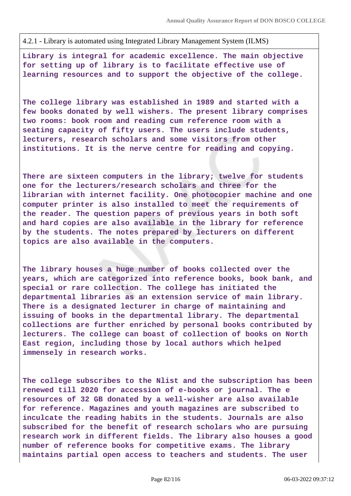4.2.1 - Library is automated using Integrated Library Management System (ILMS)

**Library is integral for academic excellence. The main objective for setting up of library is to facilitate effective use of learning resources and to support the objective of the college.**

**The college library was established in 1989 and started with a few books donated by well wishers. The present library comprises two rooms: book room and reading cum reference room with a seating capacity of fifty users. The users include students, lecturers, research scholars and some visitors from other institutions. It is the nerve centre for reading and copying.**

**There are sixteen computers in the library; twelve for students one for the lecturers/research scholars and three for the librarian with internet facility. One photocopier machine and one computer printer is also installed to meet the requirements of the reader. The question papers of previous years in both soft and hard copies are also available in the library for reference by the students. The notes prepared by lecturers on different topics are also available in the computers.**

**The library houses a huge number of books collected over the years, which are categorized into reference books, book bank, and special or rare collection. The college has initiated the departmental libraries as an extension service of main library. There is a designated lecturer in charge of maintaining and issuing of books in the departmental library. The departmental collections are further enriched by personal books contributed by lecturers. The college can boast of collection of books on North East region, including those by local authors which helped immensely in research works.**

**The college subscribes to the Nlist and the subscription has been renewed till 2020 for accession of e-books or journal. The e resources of 32 GB donated by a well-wisher are also available for reference. Magazines and youth magazines are subscribed to inculcate the reading habits in the students. Journals are also subscribed for the benefit of research scholars who are pursuing research work in different fields. The library also houses a good number of reference books for competitive exams. The library maintains partial open access to teachers and students. The user**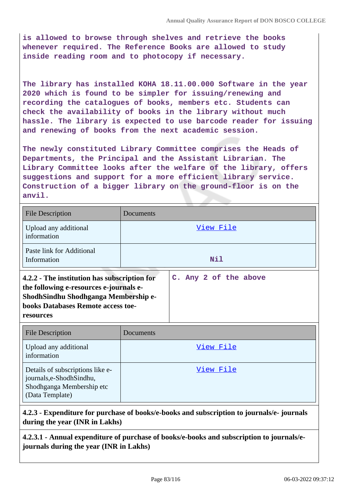**is allowed to browse through shelves and retrieve the books whenever required. The Reference Books are allowed to study inside reading room and to photocopy if necessary.**

**The library has installed KOHA 18.11.00.000 Software in the year 2020 which is found to be simpler for issuing/renewing and recording the catalogues of books, members etc. Students can check the availability of books in the library without much hassle. The library is expected to use barcode reader for issuing and renewing of books from the next academic session.**

**The newly constituted Library Committee comprises the Heads of Departments, the Principal and the Assistant Librarian. The Library Committee looks after the welfare of the library, offers suggestions and support for a more efficient library service. Construction of a bigger library on the ground-floor is on the anvil.**

| <b>File Description</b>                                                                                                                                                                   | Documents             |
|-------------------------------------------------------------------------------------------------------------------------------------------------------------------------------------------|-----------------------|
| Upload any additional<br>information                                                                                                                                                      | View File             |
| Paste link for Additional<br>Information                                                                                                                                                  | Nil                   |
| 4.2.2 - The institution has subscription for<br>the following e-resources e-journals e-<br>ShodhSindhu Shodhganga Membership e-<br><b>books Databases Remote access toe-</b><br>resources | C. Any 2 of the above |

| <b>File Description</b>                                                                                       | Documents |
|---------------------------------------------------------------------------------------------------------------|-----------|
| Upload any additional<br>information                                                                          | View File |
| Details of subscriptions like e-<br>journals, e-Shodh Sindhu,<br>Shodhganga Membership etc<br>(Data Template) | View File |

## **4.2.3 - Expenditure for purchase of books/e-books and subscription to journals/e- journals during the year (INR in Lakhs)**

**4.2.3.1 - Annual expenditure of purchase of books/e-books and subscription to journals/ejournals during the year (INR in Lakhs)**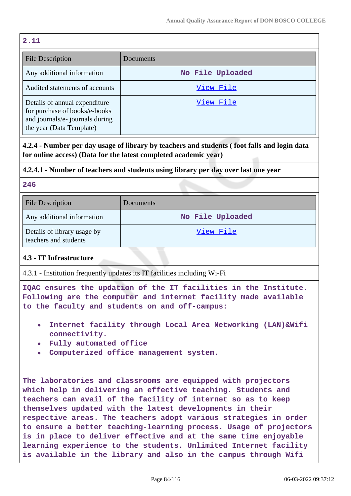#### **2.11**

| <b>File Description</b>                                                                                                       | Documents        |
|-------------------------------------------------------------------------------------------------------------------------------|------------------|
| Any additional information                                                                                                    | No File Uploaded |
| Audited statements of accounts                                                                                                | View File        |
| Details of annual expenditure<br>for purchase of books/e-books<br>and journals/e- journals during<br>the year (Data Template) | View File        |

**4.2.4 - Number per day usage of library by teachers and students ( foot falls and login data for online access) (Data for the latest completed academic year)**

### **4.2.4.1 - Number of teachers and students using library per day over last one year**

#### **246**

| <b>File Description</b>                              | Documents        |
|------------------------------------------------------|------------------|
| Any additional information                           | No File Uploaded |
| Details of library usage by<br>teachers and students | View File        |

### **4.3 - IT Infrastructure**

4.3.1 - Institution frequently updates its IT facilities including Wi-Fi

**IQAC ensures the updation of the IT facilities in the Institute. Following are the computer and internet facility made available to the faculty and students on and off-campus:**

- **Internet facility through Local Area Networking (LAN)&Wifi connectivity.**
- **Fully automated office**
- **Computerized office management system.**

**The laboratories and classrooms are equipped with projectors which help in delivering an effective teaching. Students and teachers can avail of the facility of internet so as to keep themselves updated with the latest developments in their respective areas. The teachers adopt various strategies in order to ensure a better teaching-learning process. Usage of projectors is in place to deliver effective and at the same time enjoyable learning experience to the students. Unlimited Internet facility is available in the library and also in the campus through Wifi**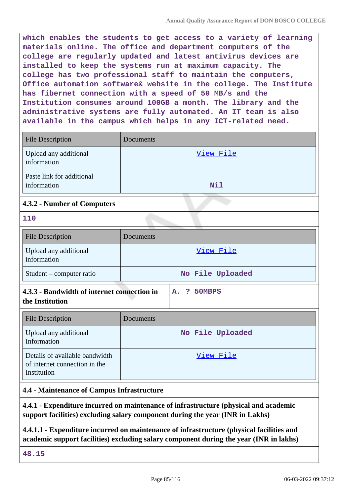**which enables the students to get access to a variety of learning materials online. The office and department computers of the college are regularly updated and latest antivirus devices are installed to keep the systems run at maximum capacity. The college has two professional staff to maintain the computers, Office automation software& website in the college. The Institute has fibernet connection with a speed of 50 MB/s and the Institution consumes around 100GB a month. The library and the administrative systems are fully automated. An IT team is also available in the campus which helps in any ICT-related need.**

| <b>File Description</b>                  | Documents |
|------------------------------------------|-----------|
| Upload any additional<br>information     | View File |
| Paste link for additional<br>information | Nil       |
| 4.3.2 - Number of Computers              |           |
| 110                                      |           |

| <b>File Description</b>              | Documents        |
|--------------------------------------|------------------|
| Upload any additional<br>information | View File        |
| Student – computer ratio             | No File Uploaded |

| 4.3.3 - Bandwidth of internet connection in |  | A. ? 50MBPS |
|---------------------------------------------|--|-------------|
| the Institution                             |  |             |

| <b>File Description</b>                                                        | Documents        |
|--------------------------------------------------------------------------------|------------------|
| Upload any additional<br>Information                                           | No File Uploaded |
| Details of available bandwidth<br>of internet connection in the<br>Institution | View File        |

### **4.4 - Maintenance of Campus Infrastructure**

**4.4.1 - Expenditure incurred on maintenance of infrastructure (physical and academic support facilities) excluding salary component during the year (INR in Lakhs)**

**4.4.1.1 - Expenditure incurred on maintenance of infrastructure (physical facilities and academic support facilities) excluding salary component during the year (INR in lakhs)**

**48.15**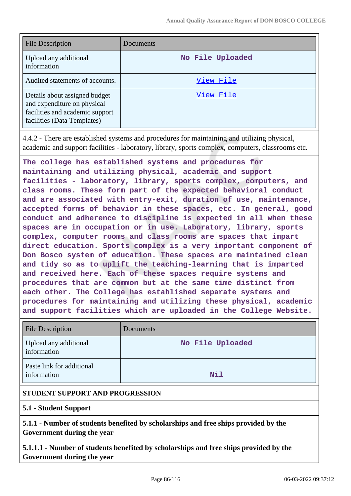| File Description                                                                                                               | Documents        |
|--------------------------------------------------------------------------------------------------------------------------------|------------------|
| Upload any additional<br>information                                                                                           | No File Uploaded |
| Audited statements of accounts.                                                                                                | View File        |
| Details about assigned budget<br>and expenditure on physical<br>facilities and academic support<br>facilities (Data Templates) | View File        |

4.4.2 - There are established systems and procedures for maintaining and utilizing physical, academic and support facilities - laboratory, library, sports complex, computers, classrooms etc.

**The college has established systems and procedures for maintaining and utilizing physical, academic and support facilities - laboratory, library, sports complex, computers, and class rooms. These form part of the expected behavioral conduct and are associated with entry-exit, duration of use, maintenance, accepted forms of behavior in these spaces, etc. In general, good conduct and adherence to discipline is expected in all when these spaces are in occupation or in use. Laboratory, library, sports complex, computer rooms and class rooms are spaces that impart direct education. Sports complex is a very important component of Don Bosco system of education. These spaces are maintained clean and tidy so as to uplift the teaching-learning that is imparted and received here. Each of these spaces require systems and procedures that are common but at the same time distinct from each other. The College has established separate systems and procedures for maintaining and utilizing these physical, academic and support facilities which are uploaded in the College Website.**

| <b>File Description</b>                  | Documents        |
|------------------------------------------|------------------|
| Upload any additional<br>information     | No File Uploaded |
| Paste link for additional<br>information | Nil              |

# **STUDENT SUPPORT AND PROGRESSION**

### **5.1 - Student Support**

**5.1.1 - Number of students benefited by scholarships and free ships provided by the Government during the year**

**5.1.1.1 - Number of students benefited by scholarships and free ships provided by the Government during the year**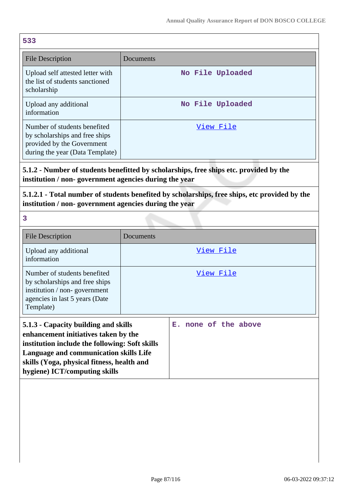| 533                                                                                                                             |                  |
|---------------------------------------------------------------------------------------------------------------------------------|------------------|
| <b>File Description</b>                                                                                                         | Documents        |
| Upload self attested letter with<br>the list of students sanctioned<br>scholarship                                              | No File Uploaded |
| Upload any additional<br>information                                                                                            | No File Uploaded |
| Number of students benefited<br>by scholarships and free ships<br>provided by the Government<br>during the year (Data Template) | <u>View File</u> |

**5.1.2 - Number of students benefitted by scholarships, free ships etc. provided by the institution / non- government agencies during the year**

**5.1.2.1 - Total number of students benefited by scholarships, free ships, etc provided by the institution / non- government agencies during the year**

**3**

| <b>File Description</b>                                                                                                                                                                                                                                 | Documents            |
|---------------------------------------------------------------------------------------------------------------------------------------------------------------------------------------------------------------------------------------------------------|----------------------|
| Upload any additional<br>information                                                                                                                                                                                                                    | View File            |
| Number of students benefited<br>by scholarships and free ships<br>institution / non-government<br>agencies in last 5 years (Date<br>Template)                                                                                                           | View File            |
| 5.1.3 - Capacity building and skills<br>enhancement initiatives taken by the<br>institution include the following: Soft skills<br>Language and communication skills Life<br>skills (Yoga, physical fitness, health and<br>hygiene) ICT/computing skills | E. none of the above |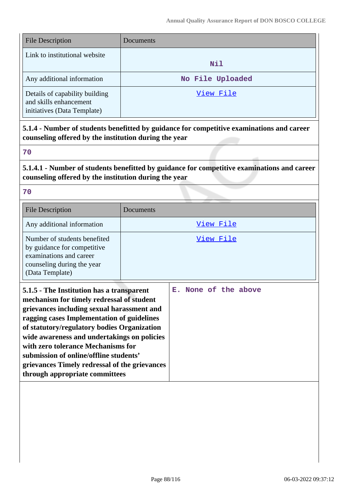| <b>File Description</b>                                                                 | Documents        |
|-----------------------------------------------------------------------------------------|------------------|
| Link to institutional website                                                           | <b>Nil</b>       |
| Any additional information                                                              | No File Uploaded |
| Details of capability building<br>and skills enhancement<br>initiatives (Data Template) | View File        |

**5.1.4 - Number of students benefitted by guidance for competitive examinations and career counseling offered by the institution during the year**

**70**

**5.1.4.1 - Number of students benefitted by guidance for competitive examinations and career counseling offered by the institution during the year**

**70**

**through appropriate committees**

| <b>File Description</b>                                                                                                                                                                                                                                                                                                                                                                                           | Documents            |
|-------------------------------------------------------------------------------------------------------------------------------------------------------------------------------------------------------------------------------------------------------------------------------------------------------------------------------------------------------------------------------------------------------------------|----------------------|
| Any additional information                                                                                                                                                                                                                                                                                                                                                                                        | View File            |
| Number of students benefited<br>by guidance for competitive<br>examinations and career<br>counseling during the year<br>(Data Template)                                                                                                                                                                                                                                                                           | View File            |
| 5.1.5 - The Institution has a transparent<br>mechanism for timely redressal of student<br>grievances including sexual harassment and<br>ragging cases Implementation of guidelines<br>of statutory/regulatory bodies Organization<br>wide awareness and undertakings on policies<br>with zero tolerance Mechanisms for<br>submission of online/offline students'<br>grievances Timely redressal of the grievances | E. None of the above |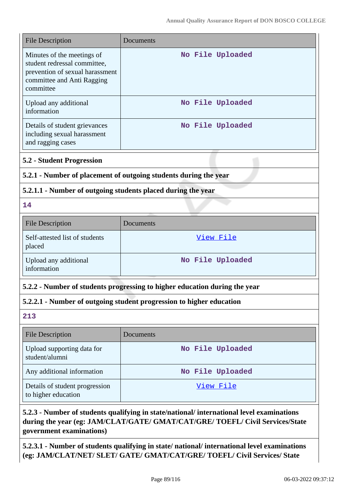| <b>File Description</b>                                                                                                                  | Documents                                                                                 |
|------------------------------------------------------------------------------------------------------------------------------------------|-------------------------------------------------------------------------------------------|
| Minutes of the meetings of<br>student redressal committee,<br>prevention of sexual harassment<br>committee and Anti Ragging<br>committee | No File Uploaded                                                                          |
| Upload any additional<br>information                                                                                                     | No File Uploaded                                                                          |
| Details of student grievances<br>including sexual harassment<br>and ragging cases                                                        | No File Uploaded                                                                          |
| <b>5.2 - Student Progression</b>                                                                                                         |                                                                                           |
| 5.2.1 - Number of placement of outgoing students during the year                                                                         |                                                                                           |
| 5.2.1.1 - Number of outgoing students placed during the year                                                                             |                                                                                           |
| 14                                                                                                                                       |                                                                                           |
| <b>File Description</b>                                                                                                                  | Documents                                                                                 |
| Self-attested list of students<br>placed                                                                                                 | View File                                                                                 |
| Upload any additional<br>information                                                                                                     | No File Uploaded                                                                          |
| 5.2.2 - Number of students progressing to higher education during the year                                                               |                                                                                           |
|                                                                                                                                          | 5.2.2.1 - Number of outgoing student progression to higher education                      |
| 213                                                                                                                                      |                                                                                           |
| <b>File Description</b>                                                                                                                  | Documents                                                                                 |
| Upload supporting data for<br>student/alumni                                                                                             | No File Uploaded                                                                          |
| Any additional information                                                                                                               | No File Uploaded                                                                          |
| Details of student progression<br>to higher education                                                                                    | View File                                                                                 |
|                                                                                                                                          | 5.2.3 - Number of students qualifying in state/national/ international level examinations |

### **5.2.3 - Number of students qualifying in state/national/ international level examinations during the year (eg: JAM/CLAT/GATE/ GMAT/CAT/GRE/ TOEFL/ Civil Services/State government examinations)**

**5.2.3.1 - Number of students qualifying in state/ national/ international level examinations (eg: JAM/CLAT/NET/ SLET/ GATE/ GMAT/CAT/GRE/ TOEFL/ Civil Services/ State**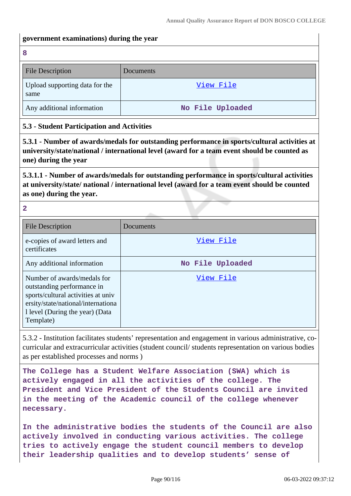#### **government examinations) during the year**

**8**

| <b>File Description</b>                | Documents        |
|----------------------------------------|------------------|
| Upload supporting data for the<br>same | View File        |
| Any additional information             | No File Uploaded |

### **5.3 - Student Participation and Activities**

**5.3.1 - Number of awards/medals for outstanding performance in sports/cultural activities at university/state/national / international level (award for a team event should be counted as one) during the year**

**5.3.1.1 - Number of awards/medals for outstanding performance in sports/cultural activities at university/state/ national / international level (award for a team event should be counted as one) during the year.**

**2**

| <b>File Description</b>                                                                                                                                                               | Documents        |
|---------------------------------------------------------------------------------------------------------------------------------------------------------------------------------------|------------------|
| e-copies of award letters and<br>certificates                                                                                                                                         | View File        |
| Any additional information                                                                                                                                                            | No File Uploaded |
| Number of awards/medals for<br>outstanding performance in<br>sports/cultural activities at univ<br>ersity/state/national/internationa<br>1 level (During the year) (Data<br>Template) | View File        |

5.3.2 - Institution facilitates students' representation and engagement in various administrative, cocurricular and extracurricular activities (student council/ students representation on various bodies as per established processes and norms )

**The College has a Student Welfare Association (SWA) which is actively engaged in all the activities of the college. The President and Vice President of the Students Council are invited in the meeting of the Academic council of the college whenever necessary.**

**In the administrative bodies the students of the Council are also actively involved in conducting various activities. The college tries to actively engage the student council members to develop their leadership qualities and to develop students' sense of**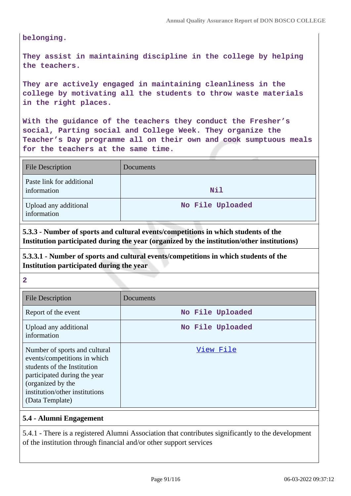**belonging.**

**They assist in maintaining discipline in the college by helping the teachers.**

**They are actively engaged in maintaining cleanliness in the college by motivating all the students to throw waste materials in the right places.**

**With the guidance of the teachers they conduct the Fresher's social, Parting social and College Week. They organize the Teacher's Day programme all on their own and cook sumptuous meals for the teachers at the same time.**

| <b>File Description</b>                  | Documents        |
|------------------------------------------|------------------|
| Paste link for additional<br>information | <b>Nil</b>       |
| Upload any additional<br>information     | No File Uploaded |

**5.3.3 - Number of sports and cultural events/competitions in which students of the Institution participated during the year (organized by the institution/other institutions)**

**5.3.3.1 - Number of sports and cultural events/competitions in which students of the Institution participated during the year**

#### **2**

| <b>File Description</b>                                                                                                                                                                                | Documents        |
|--------------------------------------------------------------------------------------------------------------------------------------------------------------------------------------------------------|------------------|
| Report of the event                                                                                                                                                                                    | No File Uploaded |
| Upload any additional<br>information                                                                                                                                                                   | No File Uploaded |
| Number of sports and cultural<br>events/competitions in which<br>students of the Institution<br>participated during the year<br>(organized by the<br>institution/other institutions<br>(Data Template) | View File        |

#### **5.4 - Alumni Engagement**

5.4.1 - There is a registered Alumni Association that contributes significantly to the development of the institution through financial and/or other support services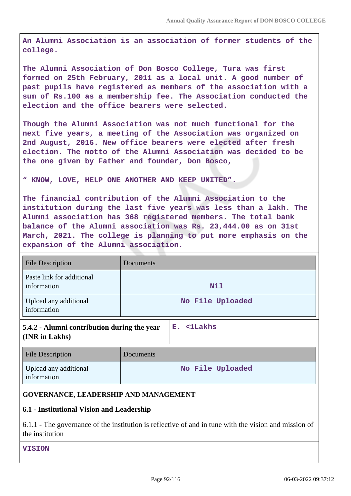**An Alumni Association is an association of former students of the college.**

**The Alumni Association of Don Bosco College, Tura was first formed on 25th February, 2011 as a local unit. A good number of past pupils have registered as members of the association with a sum of Rs.100 as a membership fee. The Association conducted the election and the office bearers were selected.**

**Though the Alumni Association was not much functional for the next five years, a meeting of the Association was organized on 2nd August, 2016. New office bearers were elected after fresh election. The motto of the Alumni Association was decided to be the one given by Father and founder, Don Bosco,**

#### **" KNOW, LOVE, HELP ONE ANOTHER AND KEEP UNITED".**

**The financial contribution of the Alumni Association to the institution during the last five years was less than a lakh. The Alumni association has 368 registered members. The total bank balance of the Alumni association was Rs. 23,444.00 as on 31st March, 2021. The college is planning to put more emphasis on the expansion of the Alumni association.**

| <b>File Description</b>                                                                                                  | Documents |                  |
|--------------------------------------------------------------------------------------------------------------------------|-----------|------------------|
| Paste link for additional<br>information                                                                                 |           | Nil              |
| Upload any additional<br>information                                                                                     |           | No File Uploaded |
| 5.4.2 - Alumni contribution during the year<br>(INR in Lakhs)                                                            |           | E. <1Lakhs       |
| <b>File Description</b>                                                                                                  | Documents |                  |
| Upload any additional<br>information                                                                                     |           | No File Uploaded |
| <b>GOVERNANCE, LEADERSHIP AND MANAGEMENT</b>                                                                             |           |                  |
| 6.1 - Institutional Vision and Leadership                                                                                |           |                  |
| 6.1.1 - The governance of the institution is reflective of and in tune with the vision and mission of<br>the institution |           |                  |

**VISION**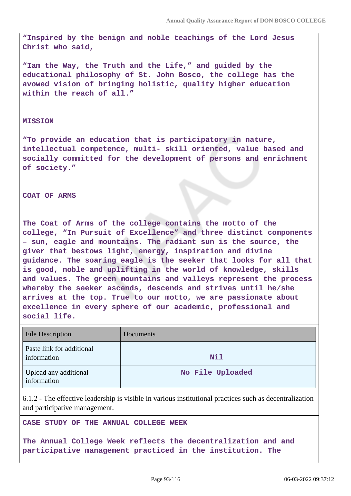**"Inspired by the benign and noble teachings of the Lord Jesus Christ who said,**

**"Iam the Way, the Truth and the Life," and guided by the educational philosophy of St. John Bosco, the college has the avowed vision of bringing holistic, quality higher education within the reach of all."**

#### **MISSION**

**"To provide an education that is participatory in nature, intellectual competence, multi- skill oriented, value based and socially committed for the development of persons and enrichment of society."**

**COAT OF ARMS**

**The Coat of Arms of the college contains the motto of the college, "In Pursuit of Excellence" and three distinct components – sun, eagle and mountains. The radiant sun is the source, the giver that bestows light, energy, inspiration and divine guidance. The soaring eagle is the seeker that looks for all that is good, noble and uplifting in the world of knowledge, skills and values. The green mountains and valleys represent the process whereby the seeker ascends, descends and strives until he/she arrives at the top. True to our motto, we are passionate about excellence in every sphere of our academic, professional and social life.**

| <b>File Description</b>                  | <b>Documents</b> |
|------------------------------------------|------------------|
| Paste link for additional<br>information | Nil              |
| Upload any additional<br>information     | No File Uploaded |

6.1.2 - The effective leadership is visible in various institutional practices such as decentralization and participative management.

**CASE STUDY OF THE ANNUAL COLLEGE WEEK**

**The Annual College Week reflects the decentralization and and participative management practiced in the institution. The**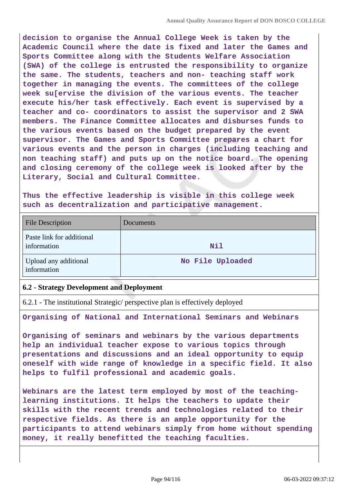**decision to organise the Annual College Week is taken by the Academic Council where the date is fixed and later the Games and Sports Committee along with the Students Welfare Association (SWA) of the college is entrusted the responsibility to organize the same. The students, teachers and non- teaching staff work together in managing the events. The committees of the college week su[ervise the division of the various events. The teacher execute his/her task effectively. Each event is supervised by a teacher and co- coordinators to assist the supervisor and 2 SWA members. The Finance Committee allocates and disburses funds to the various events based on the budget prepared by the event supervisor. The Games and Sports Committee prepares a chart for various events and the person in charges (including teaching and non teaching staff) and puts up on the notice board. The opening and closing ceremony of the college week is looked after by the Literary, Social and Cultural Committee.**

**Thus the effective leadership is visible in this college week such as decentralization and participative management.**

| <b>File Description</b>                  | Documents        |
|------------------------------------------|------------------|
| Paste link for additional<br>information | Nil              |
| Upload any additional<br>information     | No File Uploaded |

### **6.2 - Strategy Development and Deployment**

6.2.1 - The institutional Strategic/ perspective plan is effectively deployed

**Organising of National and International Seminars and Webinars**

**Organising of seminars and webinars by the various departments help an individual teacher expose to various topics through presentations and discussions and an ideal opportunity to equip oneself with wide range of knowledge in a specific field. It also helps to fulfil professional and academic goals.**

**Webinars are the latest term employed by most of the teachinglearning institutions. It helps the teachers to update their skills with the recent trends and technologies related to their respective fields. As there is an ample opportunity for the participants to attend webinars simply from home without spending money, it really benefitted the teaching faculties.**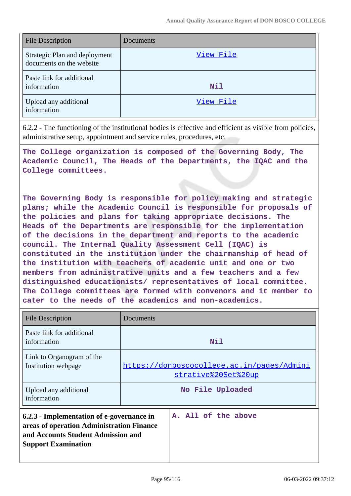| <b>File Description</b>                                   | Documents |
|-----------------------------------------------------------|-----------|
| Strategic Plan and deployment<br>documents on the website | View File |
| Paste link for additional<br>information                  | Nil       |
| Upload any additional<br>information                      | View File |

6.2.2 - The functioning of the institutional bodies is effective and efficient as visible from policies, administrative setup, appointment and service rules, procedures, etc.

**The College organization is composed of the Governing Body, The Academic Council, The Heads of the Departments, the IQAC and the College committees.**

**The Governing Body is responsible for policy making and strategic plans; while the Academic Council is responsible for proposals of the policies and plans for taking appropriate decisions. The Heads of the Departments are responsible for the implementation of the decisions in the department and reports to the academic council. The Internal Quality Assessment Cell (IQAC) is constituted in the institution under the chairmanship of head of the institution with teachers of academic unit and one or two members from administrative units and a few teachers and a few distinguished educationists/ representatives of local committee. The College committees are formed with convenors and it member to cater to the needs of the academics and non-academics.**

| <b>File Description</b>                                                                                                                                    | Documents |                                                                   |
|------------------------------------------------------------------------------------------------------------------------------------------------------------|-----------|-------------------------------------------------------------------|
| Paste link for additional<br>information                                                                                                                   |           | Nil                                                               |
| Link to Organogram of the<br>Institution webpage                                                                                                           |           | https://donboscocollege.ac.in/pages/Admini<br>strative%20Set%20up |
| Upload any additional<br>information                                                                                                                       |           | No File Uploaded                                                  |
| 6.2.3 - Implementation of e-governance in<br>areas of operation Administration Finance<br>and Accounts Student Admission and<br><b>Support Examination</b> |           | A. All of the above                                               |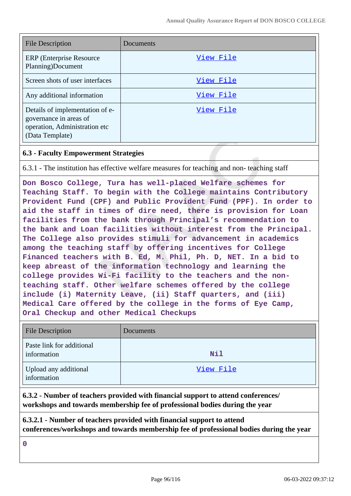| <b>File Description</b>                                                                                       | Documents |
|---------------------------------------------------------------------------------------------------------------|-----------|
| ERP (Enterprise Resource)<br>Planning)Document                                                                | View File |
| Screen shots of user interfaces                                                                               | View File |
| Any additional information                                                                                    | View File |
| Details of implementation of e-<br>governance in areas of<br>operation, Administration etc<br>(Data Template) | View File |

## **6.3 - Faculty Empowerment Strategies**

6.3.1 - The institution has effective welfare measures for teaching and non- teaching staff

**Don Bosco College, Tura has well-placed Welfare schemes for Teaching Staff. To begin with the College maintains Contributory Provident Fund (CPF) and Public Provident Fund (PPF). In order to aid the staff in times of dire need, there is provision for Loan facilities from the bank through Principal's recommendation to the bank and Loan facilities without interest from the Principal. The College also provides stimuli for advancement in academics among the teaching staff by offering incentives for College Financed teachers with B. Ed, M. Phil, Ph. D, NET. In a bid to keep abreast of the information technology and learning the college provides Wi-Fi facility to the teachers and the nonteaching staff. Other welfare schemes offered by the college include (i) Maternity Leave, (ii) Staff quarters, and (iii) Medical Care offered by the college in the forms of Eye Camp, Oral Checkup and other Medical Checkups**

| <b>File Description</b>                  | Documents |
|------------------------------------------|-----------|
| Paste link for additional<br>information | Nil       |
| Upload any additional<br>information     | View File |

**6.3.2 - Number of teachers provided with financial support to attend conferences/ workshops and towards membership fee of professional bodies during the year**

**6.3.2.1 - Number of teachers provided with financial support to attend conferences/workshops and towards membership fee of professional bodies during the year**

**0**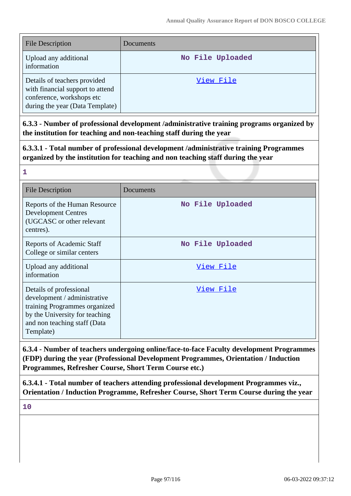| <b>File Description</b>                                                                                                          | Documents        |
|----------------------------------------------------------------------------------------------------------------------------------|------------------|
| Upload any additional<br>information                                                                                             | No File Uploaded |
| Details of teachers provided<br>with financial support to attend<br>conference, workshops etc<br>during the year (Data Template) | View File        |

**6.3.3 - Number of professional development /administrative training programs organized by the institution for teaching and non-teaching staff during the year**

**6.3.3.1 - Total number of professional development /administrative training Programmes organized by the institution for teaching and non teaching staff during the year**

| 1                                                                                                                                                                       |                  |
|-------------------------------------------------------------------------------------------------------------------------------------------------------------------------|------------------|
| <b>File Description</b>                                                                                                                                                 | Documents        |
| Reports of the Human Resource<br><b>Development Centres</b><br>(UGCASC or other relevant<br>centres).                                                                   | No File Uploaded |
| Reports of Academic Staff<br>College or similar centers                                                                                                                 | No File Uploaded |
| Upload any additional<br>information                                                                                                                                    | <u>View File</u> |
| Details of professional<br>development / administrative<br>training Programmes organized<br>by the University for teaching<br>and non teaching staff (Data<br>Template) | View File        |

**6.3.4 - Number of teachers undergoing online/face-to-face Faculty development Programmes (FDP) during the year (Professional Development Programmes, Orientation / Induction Programmes, Refresher Course, Short Term Course etc.)**

**6.3.4.1 - Total number of teachers attending professional development Programmes viz., Orientation / Induction Programme, Refresher Course, Short Term Course during the year**

**10**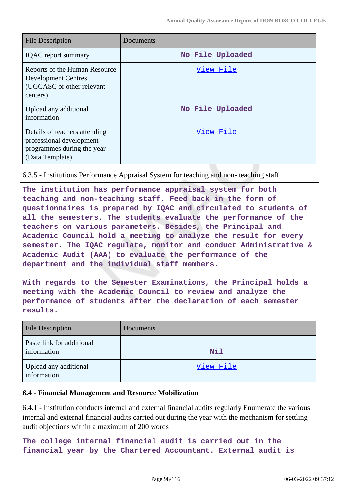| <b>File Description</b>                                                                                    | Documents        |
|------------------------------------------------------------------------------------------------------------|------------------|
| <b>IQAC</b> report summary                                                                                 | No File Uploaded |
| Reports of the Human Resource<br><b>Development Centres</b><br>(UGCASC or other relevant<br>centers)       | View File        |
| Upload any additional<br>information                                                                       | No File Uploaded |
| Details of teachers attending<br>professional development<br>programmes during the year<br>(Data Template) | View File        |

#### 6.3.5 - Institutions Performance Appraisal System for teaching and non- teaching staff

**The institution has performance appraisal system for both teaching and non-teaching staff. Feed back in the form of questionnaires is prepared by IQAC and circulated to students of all the semesters. The students evaluate the performance of the teachers on various parameters. Besides, the Principal and Academic Council hold a meeting to analyze the result for every semester. The IQAC regulate, monitor and conduct Administrative & Academic Audit (AAA) to evaluate the performance of the department and the individual staff members.**

**With regards to the Semester Examinations, the Principal holds a meeting with the Academic Council to review and analyze the performance of students after the declaration of each semester results.**

| <b>File Description</b>                  | Documents  |
|------------------------------------------|------------|
| Paste link for additional<br>information | <b>Nil</b> |
| Upload any additional<br>information     | View File  |

#### **6.4 - Financial Management and Resource Mobilization**

6.4.1 - Institution conducts internal and external financial audits regularly Enumerate the various internal and external financial audits carried out during the year with the mechanism for settling audit objections within a maximum of 200 words

**The college internal financial audit is carried out in the financial year by the Chartered Accountant. External audit is**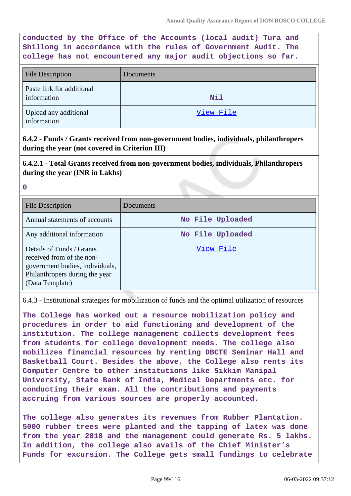**conducted by the Office of the Accounts (local audit) Tura and Shillong in accordance with the rules of Government Audit. The college has not encountered any major audit objections so far.**

| <b>File Description</b>                  | Documents  |
|------------------------------------------|------------|
| Paste link for additional<br>information | <b>Nil</b> |
| Upload any additional<br>information     | View File  |

**6.4.2 - Funds / Grants received from non-government bodies, individuals, philanthropers during the year (not covered in Criterion III)**

**6.4.2.1 - Total Grants received from non-government bodies, individuals, Philanthropers during the year (INR in Lakhs)**

**0**

| <b>File Description</b>                                                                                                                        | Documents        |
|------------------------------------------------------------------------------------------------------------------------------------------------|------------------|
| Annual statements of accounts                                                                                                                  | No File Uploaded |
| Any additional information                                                                                                                     | No File Uploaded |
| Details of Funds / Grants<br>received from of the non-<br>government bodies, individuals,<br>Philanthropers during the year<br>(Data Template) | View File        |

6.4.3 - Institutional strategies for mobilization of funds and the optimal utilization of resources

**The College has worked out a resource mobilization policy and procedures in order to aid functioning and development of the institution. The college management collects development fees from students for college development needs. The college also mobilizes financial resources by renting DBCTE Seminar Hall and Basketball Court. Besides the above, the College also rents its Computer Centre to other institutions like Sikkim Manipal University, State Bank of India, Medical Departments etc. for conducting their exam. All the contributions and payments accruing from various sources are properly accounted.**

**The college also generates its revenues from Rubber Plantation. 5000 rubber trees were planted and the tapping of latex was done from the year 2018 and the management could generate Rs. 5 lakhs. In addition, the college also avails of the Chief Minister's Funds for excursion. The College gets small fundings to celebrate**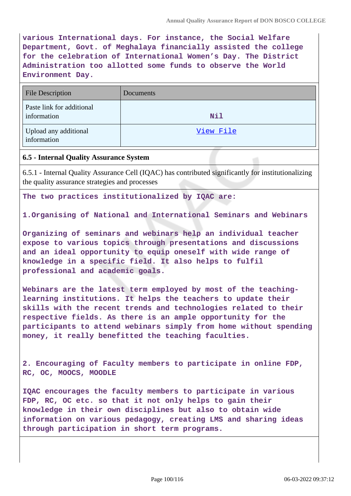**various International days. For instance, the Social Welfare Department, Govt. of Meghalaya financially assisted the college for the celebration of International Women's Day. The District Administration too allotted some funds to observe the World Environment Day.**

| <b>File Description</b>                  | Documents |
|------------------------------------------|-----------|
| Paste link for additional<br>information | Nil       |
| Upload any additional<br>information     | View File |

### **6.5 - Internal Quality Assurance System**

6.5.1 - Internal Quality Assurance Cell (IQAC) has contributed significantly for institutionalizing the quality assurance strategies and processes

**The two practices institutionalized by IQAC are:**

**1.Organising of National and International Seminars and Webinars**

**Organizing of seminars and webinars help an individual teacher expose to various topics through presentations and discussions and an ideal opportunity to equip oneself with wide range of knowledge in a specific field. It also helps to fulfil professional and academic goals.**

**Webinars are the latest term employed by most of the teachinglearning institutions. It helps the teachers to update their skills with the recent trends and technologies related to their respective fields. As there is an ample opportunity for the participants to attend webinars simply from home without spending money, it really benefitted the teaching faculties.**

**2. Encouraging of Faculty members to participate in online FDP, RC, OC, MOOCS, MOODLE**

**IQAC encourages the faculty members to participate in various FDP, RC, OC etc. so that it not only helps to gain their knowledge in their own disciplines but also to obtain wide information on various pedagogy, creating LMS and sharing ideas through participation in short term programs.**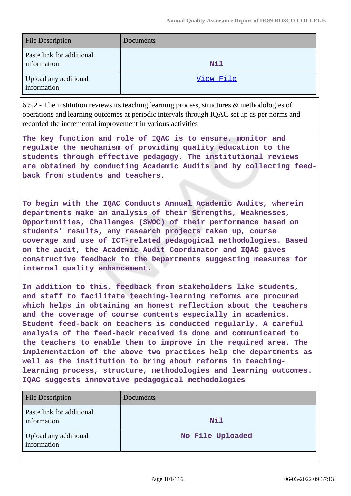| <b>File Description</b>                  | Documents |
|------------------------------------------|-----------|
| Paste link for additional<br>information | Nil       |
| Upload any additional<br>information     | View File |

6.5.2 - The institution reviews its teaching learning process, structures & methodologies of operations and learning outcomes at periodic intervals through IQAC set up as per norms and recorded the incremental improvement in various activities

**The key function and role of IQAC is to ensure, monitor and regulate the mechanism of providing quality education to the students through effective pedagogy. The institutional reviews are obtained by conducting Academic Audits and by collecting feedback from students and teachers.**

**To begin with the IQAC Conducts Annual Academic Audits, wherein departments make an analysis of their Strengths, Weaknesses, Opportunities, Challenges (SWOC) of their performance based on students' results, any research projects taken up, course coverage and use of ICT-related pedagogical methodologies. Based on the audit, the Academic Audit Coordinator and IQAC gives constructive feedback to the Departments suggesting measures for internal quality enhancement.**

**In addition to this, feedback from stakeholders like students, and staff to facilitate teaching-learning reforms are procured which helps in obtaining an honest reflection about the teachers and the coverage of course contents especially in academics. Student feed-back on teachers is conducted regularly. A careful analysis of the feed-back received is done and communicated to the teachers to enable them to improve in the required area. The implementation of the above two practices help the departments as well as the institution to bring about reforms in teachinglearning process, structure, methodologies and learning outcomes. IQAC suggests innovative pedagogical methodologies**

| <b>File Description</b>                  | Documents        |
|------------------------------------------|------------------|
| Paste link for additional<br>information | <b>Nil</b>       |
| Upload any additional<br>information     | No File Uploaded |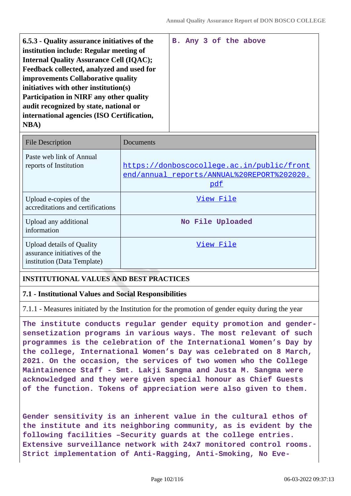| 6.5.3 - Quality assurance initiatives of the   |  |  | B. Any 3 of the above |
|------------------------------------------------|--|--|-----------------------|
| institution include: Regular meeting of        |  |  |                       |
| <b>Internal Quality Assurance Cell (IQAC);</b> |  |  |                       |
| Feedback collected, analyzed and used for      |  |  |                       |
| improvements Collaborative quality             |  |  |                       |
| initiatives with other institution(s)          |  |  |                       |
| <b>Participation in NIRF any other quality</b> |  |  |                       |
| audit recognized by state, national or         |  |  |                       |
| international agencies (ISO Certification,     |  |  |                       |
| <b>NBA</b> )                                   |  |  |                       |
|                                                |  |  |                       |

| <b>File Description</b>                                                                         | Documents                                                                                       |
|-------------------------------------------------------------------------------------------------|-------------------------------------------------------------------------------------------------|
| Paste web link of Annual<br>reports of Institution                                              | https://donboscocollege.ac.in/public/front<br>end/annual reports/ANNUAL%20REPORT%202020.<br>pdf |
| Upload e-copies of the<br>accreditations and certifications                                     | View File                                                                                       |
| Upload any additional<br>information                                                            | No File Uploaded                                                                                |
| <b>Upload details of Quality</b><br>assurance initiatives of the<br>institution (Data Template) | View File                                                                                       |

# **INSTITUTIONAL VALUES AND BEST PRACTICES**

#### **7.1 - Institutional Values and Social Responsibilities**

7.1.1 - Measures initiated by the Institution for the promotion of gender equity during the year

**The institute conducts regular gender equity promotion and gendersensetization programs in various ways. The most relevant of such programmes is the celebration of the International Women's Day by the college, International Women's Day was celebrated on 8 March, 2021. On the occasion, the services of two women who the College Maintainence Staff - Smt. Lakji Sangma and Justa M. Sangma were acknowledged and they were given special honour as Chief Guests of the function. Tokens of appreciation were also given to them.**

**Gender sensitivity is an inherent value in the cultural ethos of the institute and its neighboring community, as is evident by the following facilities –Security guards at the college entries. Extensive surveillance network with 24x7 monitored control rooms. Strict implementation of Anti-Ragging, Anti-Smoking, No Eve-**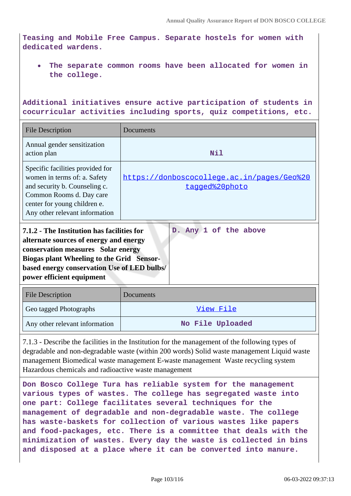**Teasing and Mobile Free Campus. Separate hostels for women with dedicated wardens.**

**The separate common rooms have been allocated for women in the college.**

**Additional initiatives ensure active participation of students in cocurricular activities including sports, quiz competitions, etc.**

| <b>File Description</b>                                                                                                                                                                                                                                                             | Documents                                                    |  |  |
|-------------------------------------------------------------------------------------------------------------------------------------------------------------------------------------------------------------------------------------------------------------------------------------|--------------------------------------------------------------|--|--|
| Annual gender sensitization<br>action plan                                                                                                                                                                                                                                          | Nil                                                          |  |  |
| Specific facilities provided for<br>women in terms of: a. Safety<br>and security b. Counseling c.<br>Common Rooms d. Day care<br>center for young children e.<br>Any other relevant information                                                                                     | https://donboscocollege.ac.in/pages/Geo%20<br>tagged%20photo |  |  |
| D. Any 1 of the above<br>7.1.2 - The Institution has facilities for<br>alternate sources of energy and energy<br>conservation measures Solar energy<br><b>Biogas plant Wheeling to the Grid Sensor-</b><br>based energy conservation Use of LED bulbs/<br>power efficient equipment |                                                              |  |  |
| <b>File Description</b>                                                                                                                                                                                                                                                             | Documents                                                    |  |  |
| Geo tagged Photographs                                                                                                                                                                                                                                                              | View File                                                    |  |  |
| Any other relevant information                                                                                                                                                                                                                                                      | No File Uploaded                                             |  |  |

7.1.3 - Describe the facilities in the Institution for the management of the following types of degradable and non-degradable waste (within 200 words) Solid waste management Liquid waste management Biomedical waste management E-waste management Waste recycling system Hazardous chemicals and radioactive waste management

**Don Bosco College Tura has reliable system for the management various types of wastes. The college has segregated waste into one part: College facilitates several techniques for the management of degradable and non-degradable waste. The college has waste-baskets for collection of various wastes like papers and food-packages, etc. There is a committee that deals with the minimization of wastes. Every day the waste is collected in bins and disposed at a place where it can be converted into manure.**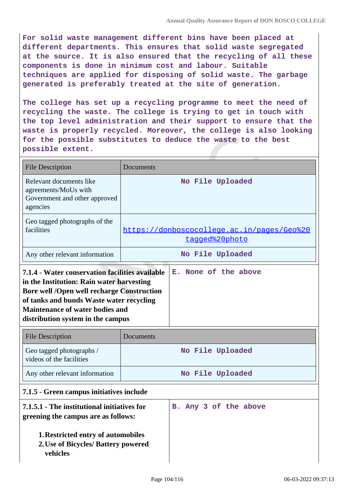**For solid waste management different bins have been placed at different departments. This ensures that solid waste segregated at the source. It is also ensured that the recycling of all these components is done in minimum cost and labour. Suitable techniques are applied for disposing of solid waste. The garbage generated is preferably treated at the site of generation.**

**The college has set up a recycling programme to meet the need of recycling the waste. The college is trying to get in touch with the top level administration and their support to ensure that the waste is properly recycled. Moreover, the college is also looking for the possible substitutes to deduce the waste to the best possible extent.**

|                                                                                                                                                                                                                                                                              | Documents                                                    |                      |  |  |  |  |
|------------------------------------------------------------------------------------------------------------------------------------------------------------------------------------------------------------------------------------------------------------------------------|--------------------------------------------------------------|----------------------|--|--|--|--|
| Relevant documents like<br>agreements/MoUs with<br>Government and other approved<br>agencies                                                                                                                                                                                 | No File Uploaded                                             |                      |  |  |  |  |
| Geo tagged photographs of the<br>facilities                                                                                                                                                                                                                                  | https://donboscocollege.ac.in/pages/Geo%20<br>tagged%20photo |                      |  |  |  |  |
| Any other relevant information                                                                                                                                                                                                                                               |                                                              | No File Uploaded     |  |  |  |  |
| 7.1.4 - Water conservation facilities available<br>in the Institution: Rain water harvesting<br><b>Bore well /Open well recharge Construction</b><br>of tanks and bunds Waste water recycling<br><b>Maintenance of water bodies and</b><br>distribution system in the campus |                                                              | E. None of the above |  |  |  |  |
|                                                                                                                                                                                                                                                                              |                                                              |                      |  |  |  |  |
| <b>File Description</b>                                                                                                                                                                                                                                                      | Documents                                                    |                      |  |  |  |  |
| Geo tagged photographs /<br>videos of the facilities                                                                                                                                                                                                                         |                                                              | No File Uploaded     |  |  |  |  |
| Any other relevant information                                                                                                                                                                                                                                               |                                                              | No File Uploaded     |  |  |  |  |
| 7.1.5 - Green campus initiatives include                                                                                                                                                                                                                                     |                                                              |                      |  |  |  |  |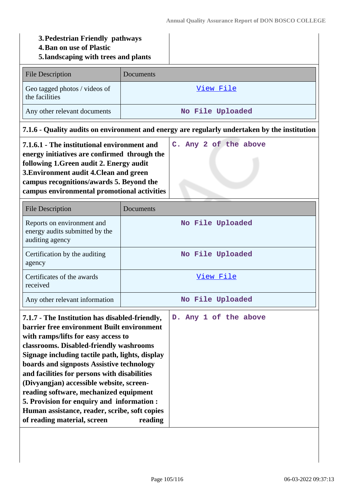# **3.Pedestrian Friendly pathways**

- **4.Ban on use of Plastic**
- **5.landscaping with trees and plants**

| <b>File Description</b>                                                                      | Documents        |  |  |  |
|----------------------------------------------------------------------------------------------|------------------|--|--|--|
| Geo tagged photos / videos of<br>the facilities                                              | View File        |  |  |  |
| Any other relevant documents                                                                 | No File Uploaded |  |  |  |
| 7.1.6 - Quality audits on environment and energy are regularly undertaken by the institution |                  |  |  |  |

| 7.1.6.1 - The institutional environment and  |  |  | C. Any 2 of the above |
|----------------------------------------------|--|--|-----------------------|
| energy initiatives are confirmed through the |  |  |                       |
| following 1. Green audit 2. Energy audit     |  |  |                       |
| 3. Environment audit 4. Clean and green      |  |  |                       |
| campus recognitions/awards 5. Beyond the     |  |  |                       |
| campus environmental promotional activities  |  |  |                       |

| <b>File Description</b>                                                                                                                                                                                                                                                                                                                                                                                                                                                                                                                            | Documents                        |  |  |  |
|----------------------------------------------------------------------------------------------------------------------------------------------------------------------------------------------------------------------------------------------------------------------------------------------------------------------------------------------------------------------------------------------------------------------------------------------------------------------------------------------------------------------------------------------------|----------------------------------|--|--|--|
| Reports on environment and<br>energy audits submitted by the<br>auditing agency                                                                                                                                                                                                                                                                                                                                                                                                                                                                    | No File Uploaded                 |  |  |  |
| Certification by the auditing<br>agency                                                                                                                                                                                                                                                                                                                                                                                                                                                                                                            | No File Uploaded                 |  |  |  |
| Certificates of the awards<br>received                                                                                                                                                                                                                                                                                                                                                                                                                                                                                                             | View File                        |  |  |  |
| Any other relevant information                                                                                                                                                                                                                                                                                                                                                                                                                                                                                                                     | No File Uploaded                 |  |  |  |
| 7.1.7 - The Institution has disabled-friendly,<br>barrier free environment Built environment<br>with ramps/lifts for easy access to<br>classrooms. Disabled-friendly washrooms<br>Signage including tactile path, lights, display<br>boards and signposts Assistive technology<br>and facilities for persons with disabilities<br>(Divyangjan) accessible website, screen-<br>reading software, mechanized equipment<br>5. Provision for enquiry and information :<br>Human assistance, reader, scribe, soft copies<br>of reading material, screen | D. Any 1 of the above<br>reading |  |  |  |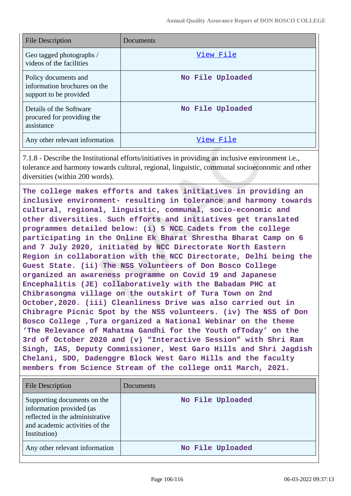| <b>File Description</b>                                                        | Documents        |
|--------------------------------------------------------------------------------|------------------|
| Geo tagged photographs /<br>videos of the facilities                           | View File        |
| Policy documents and<br>information brochures on the<br>support to be provided | No File Uploaded |
| Details of the Software<br>procured for providing the<br>assistance            | No File Uploaded |
| Any other relevant information                                                 | View File        |

7.1.8 - Describe the Institutional efforts/initiatives in providing an inclusive environment i.e., tolerance and harmony towards cultural, regional, linguistic, communal socioeconomic and other diversities (within 200 words).

**The college makes efforts and takes initiatives in providing an inclusive environment- resulting in tolerance and harmony towards cultural, regional, linguistic, communal, socio-economic and other diversities. Such efforts and initiatives get translated programmes detailed below: (i) 5 NCC Cadets from the college participating in the Online Ek Bharat Shrestha Bharat Camp on 6 and 7 July 2020, initiated by NCC Directorate North Eastern Region in collaboration with the NCC Directorate, Delhi being the Guest State. (ii) The NSS Volunteers of Don Bosco College organized an awareness programme on Covid 19 and Japanese Encephalitis (JE) collaboratively with the Babadam PHC at Chibrasongma village on the outskirt of Tura Town on 2nd October,2020. (iii) Cleanliness Drive was also carried out in Chibragre Picnic Spot by the NSS volunteers. (iv) The NSS of Don Bosco College ,Tura organized a National Webinar on the theme 'The Relevance of Mahatma Gandhi for the Youth ofToday' on the 3rd of October 2020 and (v) "Interactive Session" with Shri Ram Singh, IAS, Deputy Commissioner, West Garo Hills and Shri Jagdish Chelani, SDO, Dadenggre Block West Garo Hills and the faculty members from Science Stream of the college on11 March, 2021.**

| <b>File Description</b>                                                                                                                      | Documents        |
|----------------------------------------------------------------------------------------------------------------------------------------------|------------------|
| Supporting documents on the<br>information provided (as<br>reflected in the administrative<br>and academic activities of the<br>Institution) | No File Uploaded |
| Any other relevant information                                                                                                               | No File Uploaded |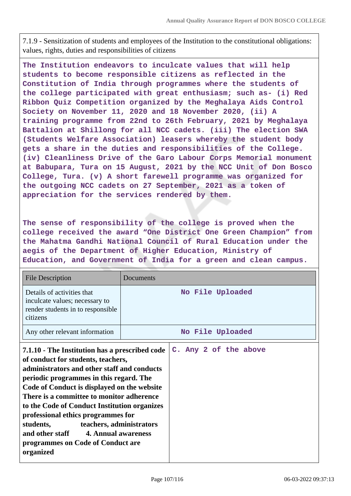7.1.9 - Sensitization of students and employees of the Institution to the constitutional obligations: values, rights, duties and responsibilities of citizens

**The Institution endeavors to inculcate values that will help students to become responsible citizens as reflected in the Constitution of India through programmes where the students of the college participated with great enthusiasm; such as- (i) Red Ribbon Quiz Competition organized by the Meghalaya Aids Control Society on November 11, 2020 and 18 November 2020, (ii) A training programme from 22nd to 26th February, 2021 by Meghalaya Battalion at Shillong for all NCC cadets. (iii) The election SWA (Students Welfare Association) leasers whereby the student body gets a share in the duties and responsibilities of the College. (iv) Cleanliness Drive of the Garo Labour Corps Memorial monument at Babupara, Tura on 15 August, 2021 by the NCC Unit of Don Bosco College, Tura. (v) A short farewell programme was organized for the outgoing NCC cadets on 27 September, 2021 as a token of appreciation for the services rendered by them.**

**The sense of responsibility of the college is proved when the college received the award "One District One Green Champion" from the Mahatma Gandhi National Council of Rural Education under the aegis of the Department of Higher Education, Ministry of Education, and Government of India for a green and clean campus.**

| <b>File Description</b>                                                                                                                                                                                                                                                                                                                                                                                                                                                                            | Documents             |
|----------------------------------------------------------------------------------------------------------------------------------------------------------------------------------------------------------------------------------------------------------------------------------------------------------------------------------------------------------------------------------------------------------------------------------------------------------------------------------------------------|-----------------------|
| Details of activities that<br>inculcate values; necessary to<br>render students in to responsible<br>citizens                                                                                                                                                                                                                                                                                                                                                                                      | No File Uploaded      |
| Any other relevant information                                                                                                                                                                                                                                                                                                                                                                                                                                                                     | No File Uploaded      |
| 7.1.10 - The Institution has a prescribed code<br>of conduct for students, teachers,<br>administrators and other staff and conducts<br>periodic programmes in this regard. The<br>Code of Conduct is displayed on the website<br>There is a committee to monitor adherence<br>to the Code of Conduct Institution organizes<br>professional ethics programmes for<br>teachers, administrators<br>students,<br>and other staff 4. Annual awareness<br>programmes on Code of Conduct are<br>organized | C. Any 2 of the above |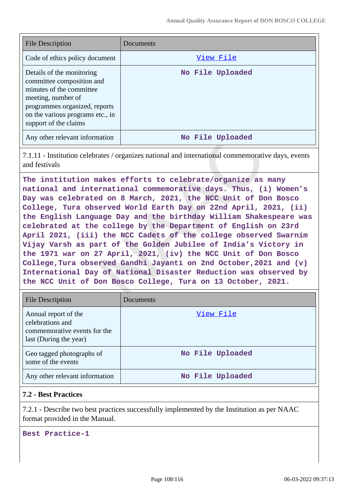| <b>File Description</b>                                                                                                                                                                                | Documents        |
|--------------------------------------------------------------------------------------------------------------------------------------------------------------------------------------------------------|------------------|
| Code of ethics policy document                                                                                                                                                                         | View File        |
| Details of the monitoring<br>committee composition and<br>minutes of the committee<br>meeting, number of<br>programmes organized, reports<br>on the various programs etc., in<br>support of the claims | No File Uploaded |
| Any other relevant information                                                                                                                                                                         | No File Uploaded |

7.1.11 - Institution celebrates / organizes national and international commemorative days, events and festivals

**The institution makes efforts to celebrate/organize as many national and international commemorative days. Thus, (i) Women's Day was celebrated on 8 March, 2021, the NCC Unit of Don Bosco College, Tura observed World Earth Day on 22nd April, 2021, (ii) the English Language Day and the birthday William Shakespeare was celebrated at the college by the Department of English on 23rd April 2021, (iii) the NCC Cadets of the college observed Swarnim Vijay Varsh as part of the Golden Jubilee of India's Victory in the 1971 war on 27 April, 2021, (iv) the NCC Unit of Don Bosco College,Tura observed Gandhi Jayanti on 2nd October,2021 and (v) International Day of National Disaster Reduction was observed by the NCC Unit of Don Bosco College, Tura on 13 October, 2021.**

| <b>File Description</b>                                                                            | Documents        |
|----------------------------------------------------------------------------------------------------|------------------|
| Annual report of the<br>celebrations and<br>commemorative events for the<br>last (During the year) | View File        |
| Geo tagged photographs of<br>some of the events                                                    | No File Uploaded |
| Any other relevant information                                                                     | No File Uploaded |

### **7.2 - Best Practices**

7.2.1 - Describe two best practices successfully implemented by the Institution as per NAAC format provided in the Manual.

**Best Practice-1**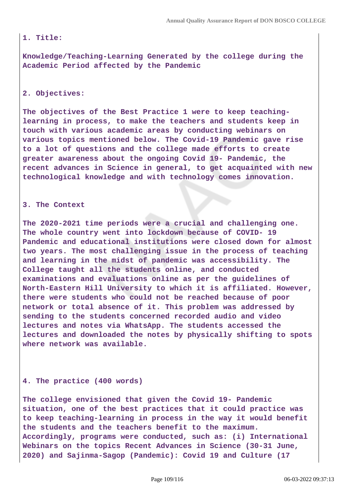## **1. Title:**

**Knowledge/Teaching-Learning Generated by the college during the Academic Period affected by the Pandemic**

# **2. Objectives:**

**The objectives of the Best Practice 1 were to keep teachinglearning in process, to make the teachers and students keep in touch with various academic areas by conducting webinars on various topics mentioned below. The Covid-19 Pandemic gave rise to a lot of questions and the college made efforts to create greater awareness about the ongoing Covid 19- Pandemic, the recent advances in Science in general, to get acquainted with new technological knowledge and with technology comes innovation.**

### **3. The Context**

**The 2020-2021 time periods were a crucial and challenging one. The whole country went into lockdown because of COVID- 19 Pandemic and educational institutions were closed down for almost two years. The most challenging issue in the process of teaching and learning in the midst of pandemic was accessibility. The College taught all the students online, and conducted examinations and evaluations online as per the guidelines of North-Eastern Hill University to which it is affiliated. However, there were students who could not be reached because of poor network or total absence of it. This problem was addressed by sending to the students concerned recorded audio and video lectures and notes via WhatsApp. The students accessed the lectures and downloaded the notes by physically shifting to spots where network was available.**

### **4. The practice (400 words)**

**The college envisioned that given the Covid 19- Pandemic situation, one of the best practices that it could practice was to keep teaching-learning in process in the way it would benefit the students and the teachers benefit to the maximum. Accordingly, programs were conducted, such as: (i) International Webinars on the topics Recent Advances in Science (30-31 June, 2020) and Sajinma-Sagop (Pandemic): Covid 19 and Culture (17**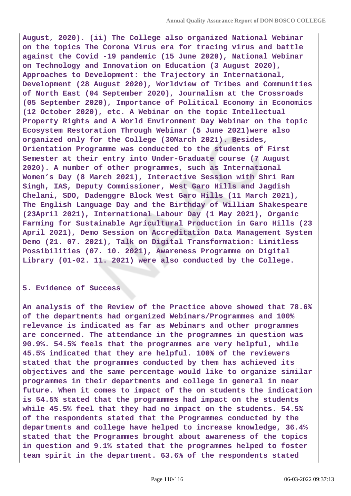**August, 2020). (ii) The College also organized National Webinar on the topics The Corona Virus era for tracing virus and battle against the Covid -19 pandemic (15 June 2020), National Webinar on Technology and Innovation on Education (3 August 2020), Approaches to Development: the Trajectory in International, Development (28 August 2020), Worldview of Tribes and Communities of North East (04 September 2020), Journalism at the Crossroads (05 September 2020), Importance of Political Economy in Economics (12 October 2020), etc. A Webinar on the topic Intellectual Property Rights and A World Environment Day Webinar on the topic Ecosystem Restoration Through Webinar (5 June 2021)were also organized only for the College (30March 2021). Besides, Orientation Programme was conducted to the students of First Semester at their entry into Under-Graduate course (7 August 2020). A number of other programmes, such as International Women's Day (8 March 2021), Interactive Session with Shri Ram Singh, IAS, Deputy Commissioner, West Garo Hills and Jagdish Chelani, SDO, Dadenggre Block West Garo Hills (11 March 2021), The English Language Day and the Birthday of William Shakespeare (23April 2021), International Labour Day (1 May 2021), Organic Farming for Sustainable Agricultural Production in Garo Hills (23 April 2021), Demo Session on Accreditation Data Management System Demo (21. 07. 2021), Talk on Digital Transformation: Limitless Possibilities (07. 10. 2021), Awareness Programme on Digital Library (01-02. 11. 2021) were also conducted by the College.**

#### **5. Evidence of Success**

**An analysis of the Review of the Practice above showed that 78.6% of the departments had organized Webinars/Programmes and 100% relevance is indicated as far as Webinars and other programmes are concerned. The attendance in the programmes in question was 90.9%. 54.5% feels that the programmes are very helpful, while 45.5% indicated that they are helpful. 100% of the reviewers stated that the programmes conducted by them has achieved its objectives and the same percentage would like to organize similar programmes in their departments and college in general in near future. When it comes to impact of the on students the indication is 54.5% stated that the programmes had impact on the students while 45.5% feel that they had no impact on the students. 54.5% of the respondents stated that the Programmes conducted by the departments and college have helped to increase knowledge, 36.4% stated that the Programmes brought about awareness of the topics in question and 9.1% stated that the programmes helped to foster team spirit in the department. 63.6% of the respondents stated**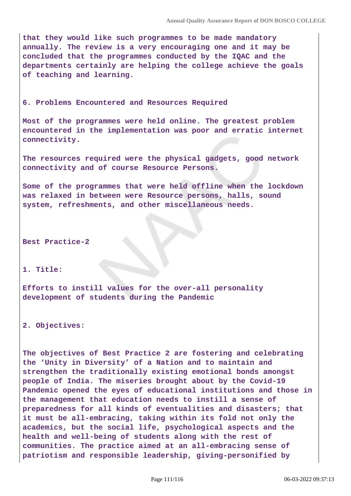**that they would like such programmes to be made mandatory annually. The review is a very encouraging one and it may be concluded that the programmes conducted by the IQAC and the departments certainly are helping the college achieve the goals of teaching and learning.**

#### **6. Problems Encountered and Resources Required**

**Most of the programmes were held online. The greatest problem encountered in the implementation was poor and erratic internet connectivity.**

**The resources required were the physical gadgets, good network connectivity and of course Resource Persons.**

**Some of the programmes that were held offline when the lockdown was relaxed in between were Resource persons, halls, sound system, refreshments, and other miscellaneous needs.**

**Best Practice-2**

# **1. Title:**

**Efforts to instill values for the over-all personality development of students during the Pandemic**

**2. Objectives:**

**The objectives of Best Practice 2 are fostering and celebrating the 'Unity in Diversity' of a Nation and to maintain and strengthen the traditionally existing emotional bonds amongst people of India. The miseries brought about by the Covid-19 Pandemic opened the eyes of educational institutions and those in the management that education needs to instill a sense of preparedness for all kinds of eventualities and disasters; that it must be all-embracing, taking within its fold not only the academics, but the social life, psychological aspects and the health and well-being of students along with the rest of communities. The practice aimed at an all-embracing sense of patriotism and responsible leadership, giving-personified by**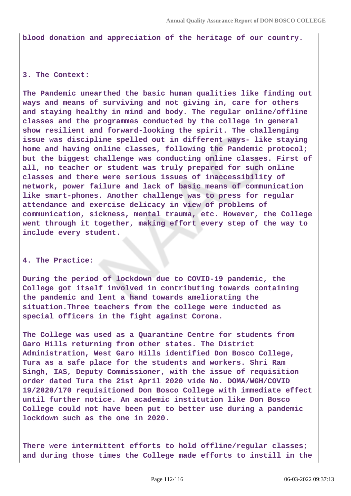**blood donation and appreciation of the heritage of our country.**

## **3. The Context:**

**The Pandemic unearthed the basic human qualities like finding out ways and means of surviving and not giving in, care for others and staying healthy in mind and body. The regular online/offline classes and the programmes conducted by the college in general show resilient and forward-looking the spirit. The challenging issue was discipline spelled out in different ways- like staying home and having online classes, following the Pandemic protocol; but the biggest challenge was conducting online classes. First of all, no teacher or student was truly prepared for such online classes and there were serious issues of inaccessibility of network, power failure and lack of basic means of communication like smart-phones. Another challenge was to press for regular attendance and exercise delicacy in view of problems of communication, sickness, mental trauma, etc. However, the College went through it together, making effort every step of the way to include every student.**

### **4. The Practice:**

**During the period of lockdown due to COVID-19 pandemic, the College got itself involved in contributing towards containing the pandemic and lent a hand towards ameliorating the situation.Three teachers from the college were inducted as special officers in the fight against Corona.**

**The College was used as a Quarantine Centre for students from Garo Hills returning from other states. The District Administration, West Garo Hills identified Don Bosco College, Tura as a safe place for the students and workers. Shri Ram Singh, IAS, Deputy Commissioner, with the issue of requisition order dated Tura the 21st April 2020 vide No. DOMA/WGH/COVID 19/2020/170 requisitioned Don Bosco College with immediate effect until further notice. An academic institution like Don Bosco College could not have been put to better use during a pandemic lockdown such as the one in 2020.**

**There were intermittent efforts to hold offline/regular classes; and during those times the College made efforts to instill in the**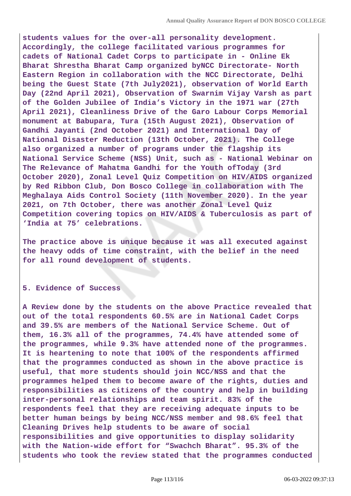**students values for the over-all personality development. Accordingly, the college facilitated various programmes for cadets of National Cadet Corps to participate in - Online Ek Bharat Shrestha Bharat Camp organized byNCC Directorate- North Eastern Region in collaboration with the NCC Directorate, Delhi being the Guest State (7th July2021), observation of World Earth Day (22nd April 2021), Observation of Swarnim Vijay Varsh as part of the Golden Jubilee of India's Victory in the 1971 war (27th April 2021), Cleanliness Drive of the Garo Labour Corps Memorial monument at Babupara, Tura (15th August 2021), Observation of Gandhi Jayanti (2nd October 2021) and International Day of National Disaster Reduction (13th October, 2021). The College also organized a number of programs under the flagship its National Service Scheme (NSS) Unit, such as - National Webinar on The Relevance of Mahatma Gandhi for the Youth ofToday (3rd October 2020), Zonal Level Quiz Competition on HIV/AIDS organized by Red Ribbon Club, Don Bosco College in collaboration with The Meghalaya Aids Control Society (11th November 2020). In the year 2021, on 7th October, there was another Zonal Level Quiz Competition covering topics on HIV/AIDS & Tuberculosis as part of 'India at 75' celebrations.**

**The practice above is unique because it was all executed against the heavy odds of time constraint, with the belief in the need for all round development of students.**

#### **5. Evidence of Success**

**A Review done by the students on the above Practice revealed that out of the total respondents 60.5% are in National Cadet Corps and 39.5% are members of the National Service Scheme. Out of them, 16.3% all of the programmes, 74.4% have attended some of the programmes, while 9.3% have attended none of the programmes. It is heartening to note that 100% of the respondents affirmed that the programmes conducted as shown in the above practice is useful, that more students should join NCC/NSS and that the programmes helped them to become aware of the rights, duties and responsibilities as citizens of the country and help in building inter-personal relationships and team spirit. 83% of the respondents feel that they are receiving adequate inputs to be better human beings by being NCC/NSS member and 98.6% feel that Cleaning Drives help students to be aware of social responsibilities and give opportunities to display solidarity with the Nation-wide effort for "Swachch Bharat". 95.3% of the students who took the review stated that the programmes conducted**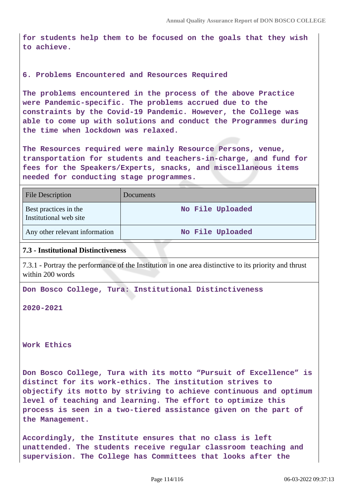**for students help them to be focused on the goals that they wish to achieve.**

# **6. Problems Encountered and Resources Required**

**The problems encountered in the process of the above Practice were Pandemic-specific. The problems accrued due to the constraints by the Covid-19 Pandemic. However, the College was able to come up with solutions and conduct the Programmes during the time when lockdown was relaxed.**

**The Resources required were mainly Resource Persons, venue, transportation for students and teachers-in-charge, and fund for fees for the Speakers/Experts, snacks, and miscellaneous items needed for conducting stage programmes.**

| <b>File Description</b>                         | Documents        |
|-------------------------------------------------|------------------|
| Best practices in the<br>Institutional web site | No File Uploaded |
| Any other relevant information                  | No File Uploaded |

## **7.3 - Institutional Distinctiveness**

7.3.1 - Portray the performance of the Institution in one area distinctive to its priority and thrust within 200 words

**Don Bosco College, Tura: Institutional Distinctiveness**

**2020-2021**

**Work Ethics**

**Don Bosco College, Tura with its motto "Pursuit of Excellence" is distinct for its work-ethics. The institution strives to objectify its motto by striving to achieve continuous and optimum level of teaching and learning. The effort to optimize this process is seen in a two-tiered assistance given on the part of the Management.**

**Accordingly, the Institute ensures that no class is left unattended. The students receive regular classroom teaching and supervision. The College has Committees that looks after the**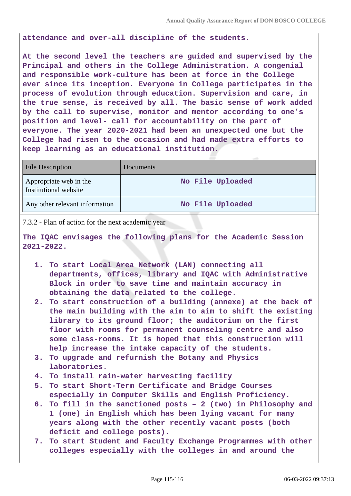**attendance and over-all discipline of the students.**

**At the second level the teachers are guided and supervised by the Principal and others in the College Administration. A congenial and responsible work-culture has been at force in the College ever since its inception. Everyone in College participates in the process of evolution through education. Supervision and care, in the true sense, is received by all. The basic sense of work added by the call to supervise, monitor and mentor according to one's position and level- call for accountability on the part of everyone. The year 2020-2021 had been an unexpected one but the College had risen to the occasion and had made extra efforts to keep learning as an educational institution.**

| <b>File Description</b>                         | Documents        |
|-------------------------------------------------|------------------|
| Appropriate web in the<br>Institutional website | No File Uploaded |
| Any other relevant information                  | No File Uploaded |

7.3.2 - Plan of action for the next academic year

**The IQAC envisages the following plans for the Academic Session 2021-2022.**

- **1. To start Local Area Network (LAN) connecting all departments, offices, library and IQAC with Administrative Block in order to save time and maintain accuracy in obtaining the data related to the college.**
- **2. To start construction of a building (annexe) at the back of the main building with the aim to aim to shift the existing library to its ground floor; the auditorium on the first floor with rooms for permanent counseling centre and also some class-rooms. It is hoped that this construction will help increase the intake capacity of the students.**
- **3. To upgrade and refurnish the Botany and Physics laboratories.**
- **4. To install rain-water harvesting facility**
- **5. To start Short-Term Certificate and Bridge Courses especially in Computer Skills and English Proficiency.**
- **6. To fill in the sanctioned posts 2 (two) in Philosophy and 1 (one) in English which has been lying vacant for many years along with the other recently vacant posts (both deficit and college posts).**
- **7. To start Student and Faculty Exchange Programmes with other colleges especially with the colleges in and around the**